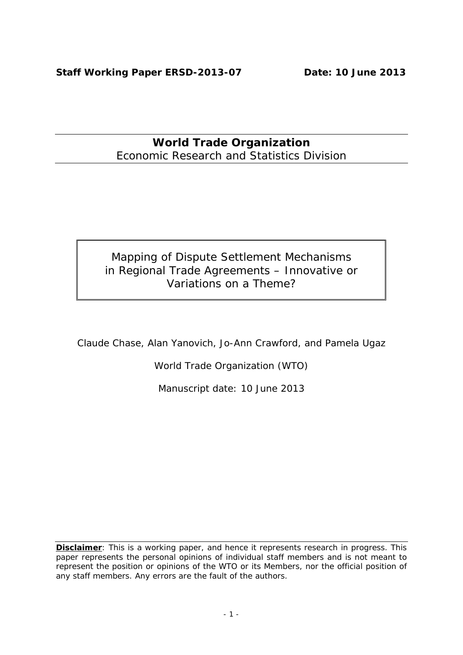**World Trade Organization**  Economic Research and Statistics Division

# Mapping of Dispute Settlement Mechanisms in Regional Trade Agreements – Innovative or Variations on a Theme?

Claude Chase, Alan Yanovich, Jo-Ann Crawford, and Pamela Ugaz

World Trade Organization (WTO)

*Manuscript date: 10 June 2013*

**Disclaimer**: This is a working paper, and hence it represents research in progress. This paper represents the personal opinions of individual staff members and is not meant to represent the position or opinions of the WTO or its Members, nor the official position of any staff members. Any errors are the fault of the authors.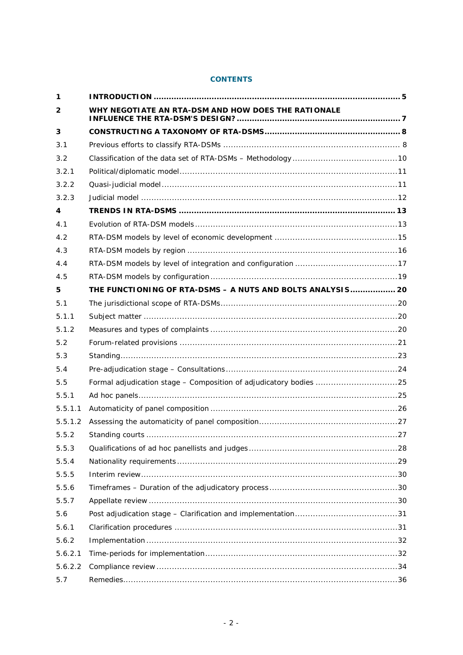## **CONTENTS**

| 1       |                                                            |
|---------|------------------------------------------------------------|
| 2       | WHY NEGOTIATE AN RTA-DSM AND HOW DOES THE RATIONALE        |
| 3       |                                                            |
| 3.1     |                                                            |
| 3.2     |                                                            |
| 3.2.1   |                                                            |
| 3.2.2   |                                                            |
| 3.2.3   |                                                            |
| 4       |                                                            |
| 4.1     |                                                            |
| 4.2     |                                                            |
| 4.3     |                                                            |
| 4.4     |                                                            |
| 4.5     |                                                            |
| 5       | THE FUNCTIONING OF RTA-DSMS - A NUTS AND BOLTS ANALYSIS 20 |
| 5.1     |                                                            |
| 5.1.1   |                                                            |
| 5.1.2   |                                                            |
| 5.2     |                                                            |
| 5.3     |                                                            |
| 5.4     |                                                            |
| 5.5     |                                                            |
| 5.5.1   |                                                            |
| 5.5.1.1 |                                                            |
| 5.5.1.2 |                                                            |
| 5.5.2   |                                                            |
| 5.5.3   |                                                            |
| 5.5.4   |                                                            |
| 5.5.5   |                                                            |
| 5.5.6   |                                                            |
| 5.5.7   |                                                            |
| 5.6     |                                                            |
| 5.6.1   |                                                            |
| 5.6.2   |                                                            |
| 5.6.2.1 |                                                            |
| 5.6.2.2 |                                                            |
| 5.7     |                                                            |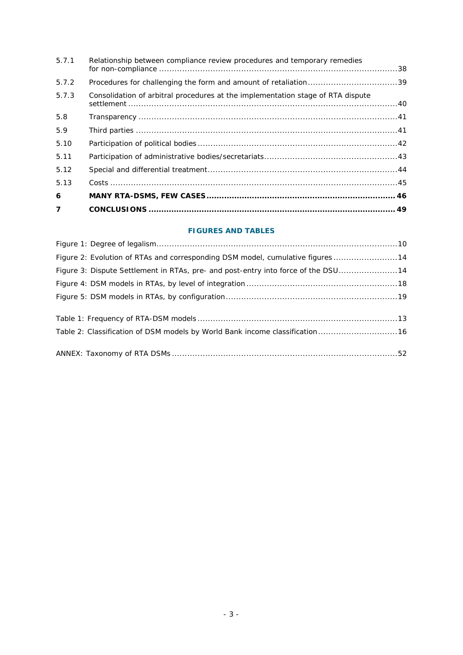| $\overline{7}$ |                                                                                 |  |
|----------------|---------------------------------------------------------------------------------|--|
| 6              |                                                                                 |  |
| 5.13           |                                                                                 |  |
| 5.12           |                                                                                 |  |
| 5.11           |                                                                                 |  |
| 5.10           |                                                                                 |  |
| 5.9            |                                                                                 |  |
| 5.8            |                                                                                 |  |
| 5.7.3          | Consolidation of arbitral procedures at the implementation stage of RTA dispute |  |
| 5.7.2          |                                                                                 |  |
| 5.7.1          | Relationship between compliance review procedures and temporary remedies        |  |

## **FIGURES AND TABLES**

| Figure 2: Evolution of RTAs and corresponding DSM model, cumulative figures 14    |  |
|-----------------------------------------------------------------------------------|--|
| Figure 3: Dispute Settlement in RTAs, pre- and post-entry into force of the DSU14 |  |
|                                                                                   |  |
|                                                                                   |  |
|                                                                                   |  |
|                                                                                   |  |
| Table 2: Classification of DSM models by World Bank income classification16       |  |
|                                                                                   |  |
|                                                                                   |  |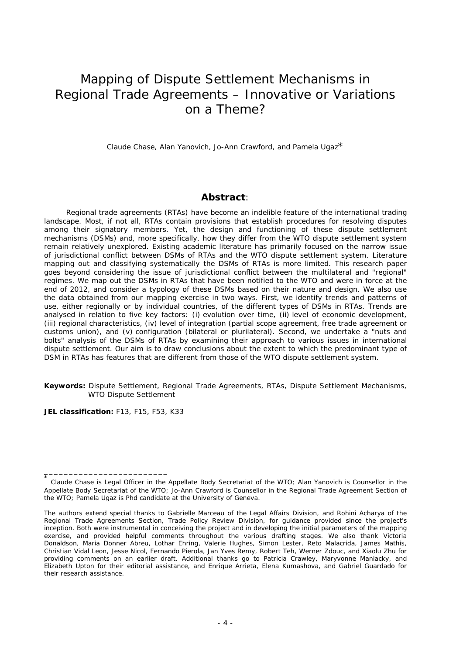# Mapping of Dispute Settlement Mechanisms in Regional Trade Agreements – Innovative or Variations on a Theme?

Claude Chase, Alan Yanovich, Jo-Ann Crawford, and Pamela Ugaz\*

## **Abstract**:

Regional trade agreements (RTAs) have become an indelible feature of the international trading landscape. Most, if not all, RTAs contain provisions that establish procedures for resolving disputes among their signatory members. Yet, the design and functioning of these dispute settlement mechanisms (DSMs) and, more specifically, how they differ from the WTO dispute settlement system remain relatively unexplored. Existing academic literature has primarily focused on the narrow issue of jurisdictional conflict between DSMs of RTAs and the WTO dispute settlement system. Literature mapping out and classifying systematically the DSMs of RTAs is more limited. This research paper goes beyond considering the issue of jurisdictional conflict between the multilateral and "regional" regimes. We map out the DSMs in RTAs that have been notified to the WTO and were in force at the end of 2012, and consider a typology of these DSMs based on their nature and design. We also use the data obtained from our mapping exercise in two ways. First, we identify trends and patterns of use, either regionally or by individual countries, of the different types of DSMs in RTAs. Trends are analysed in relation to five key factors: (i) evolution over time, (ii) level of economic development, (iii) regional characteristics, (iv) level of integration (partial scope agreement, free trade agreement or customs union), and (v) configuration (bilateral or plurilateral). Second, we undertake a "nuts and bolts" analysis of the DSMs of RTAs by examining their approach to various issues in international dispute settlement. Our aim is to draw conclusions about the extent to which the predominant type of DSM in RTAs has features that are different from those of the WTO dispute settlement system.

**Keywords:** Dispute Settlement, Regional Trade Agreements, RTAs, Dispute Settlement Mechanisms, WTO Dispute Settlement

**JEL classification:** F13, F15, F53, K33

**\_\_\_\_\_\_\_\_\_\_\_\_\_\_\_\_\_\_\_\_\_\_\_\_\_** 

Claude Chase is Legal Officer in the Appellate Body Secretariat of the WTO; Alan Yanovich is Counsellor in the Appellate Body Secretariat of the WTO; Jo-Ann Crawford is Counsellor in the Regional Trade Agreement Section of the WTO; Pamela Ugaz is Phd candidate at the University of Geneva.

The authors extend special thanks to Gabrielle Marceau of the Legal Affairs Division, and Rohini Acharya of the Regional Trade Agreements Section, Trade Policy Review Division, for guidance provided since the project's inception. Both were instrumental in conceiving the project and in developing the initial parameters of the mapping exercise, and provided helpful comments throughout the various drafting stages. We also thank Victoria Donaldson, Maria Donner Abreu, Lothar Ehring, Valerie Hughes, Simon Lester, Reto Malacrida, James Mathis, Christian Vidal Leon, Jesse Nicol, Fernando Pierola, Jan Yves Remy, Robert Teh, Werner Zdouc, and Xiaolu Zhu for providing comments on an earlier draft. Additional thanks go to Patricia Crawley, Maryvonne Maniacky, and Elizabeth Upton for their editorial assistance, and Enrique Arrieta, Elena Kumashova, and Gabriel Guardado for their research assistance.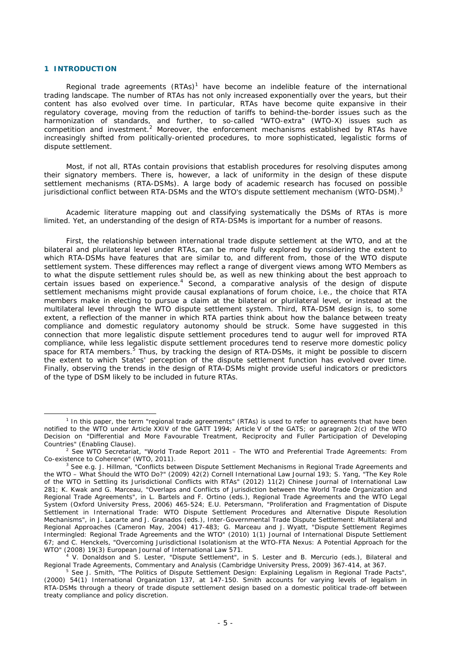#### **1 INTRODUCTION**

Regional trade agreements  $(RTAs)^1$  have become an indelible feature of the international trading landscape. The number of RTAs has not only increased exponentially over the years, but their content has also evolved over time. In particular, RTAs have become quite expansive in their regulatory coverage, moving from the reduction of tariffs to behind-the-border issues such as the harmonization of standards, and further, to so-called "WTO-extra" (WTO-X) issues such as competition and investment.<sup>2</sup> Moreover, the enforcement mechanisms established by RTAs have increasingly shifted from politically-oriented procedures, to more sophisticated, legalistic forms of dispute settlement.

Most, if not all, RTAs contain provisions that establish procedures for resolving disputes among their signatory members. There is, however, a lack of uniformity in the design of these dispute settlement mechanisms (RTA-DSMs). A large body of academic research has focused on possible jurisdictional conflict between RTA-DSMs and the WTO's dispute settlement mechanism (WTO-DSM).<sup>3</sup>

Academic literature mapping out and classifying systematically the DSMs of RTAs is more limited. Yet, an understanding of the design of RTA-DSMs is important for a number of reasons.

First, the relationship between international trade dispute settlement at the WTO, and at the bilateral and plurilateral level under RTAs, can be more fully explored by considering the extent to which RTA-DSMs have features that are similar to, and different from, those of the WTO dispute settlement system. These differences may reflect a range of divergent views among WTO Members as to what the dispute settlement rules should be, as well as new thinking about the best approach to certain issues based on experience.<sup>4</sup> Second, a comparative analysis of the design of dispute settlement mechanisms might provide causal explanations of forum choice, i.e., the choice that RTA members make in electing to pursue a claim at the bilateral or plurilateral level, or instead at the multilateral level through the WTO dispute settlement system. Third, RTA-DSM design is, to some extent, a reflection of the manner in which RTA parties think about how the balance between treaty compliance and domestic regulatory autonomy should be struck. Some have suggested in this connection that more legalistic dispute settlement procedures tend to augur well for improved RTA compliance, while less legalistic dispute settlement procedures tend to reserve more domestic policy space for RTA members.<sup>5</sup> Thus, by tracking the design of RTA-DSMs, it might be possible to discern the extent to which States' perception of the dispute settlement function has evolved over time. Finally, observing the trends in the design of RTA-DSMs might provide useful indicators or predictors of the type of DSM likely to be included in future RTAs.

 $\frac{1}{1}$  $<sup>1</sup>$  In this paper, the term "regional trade agreements" (RTAs) is used to refer to agreements that have been</sup> notified to the WTO under Article XXIV of the GATT 1994; Article V of the GATS; or paragraph 2(c) of the WTO Decision on "Differential and More Favourable Treatment, Reciprocity and Fuller Participation of Developing Countries" (Enabling Clause). 2

 $2$  See WTO Secretariat, "World Trade Report 2011 – The WTO and Preferential Trade Agreements: From

Co-existence to Coherence" (WTO, 2011).<br><sup>3</sup> See e.g. J. Hillman, "Conflicts between Dispute Settlement Mechanisms in Regional Trade Agreements and the WTO – What Should the WTO Do?" (2009) 42(2) *Cornell International Law Journal* 193; S. Yang, "The Key Role of the WTO in Settling its Jurisdictional Conflicts with RTAs" (2012) 11(2) *Chinese Journal of International Law*  281; K. Kwak and G. Marceau, "Overlaps and Conflicts of Jurisdiction between the World Trade Organization and Regional Trade Agreements", in L. Bartels and F. Ortino (eds.), *Regional Trade Agreements and the WTO Legal System* (Oxford University Press, 2006) 465-524; E.U. Petersmann, "Proliferation and Fragmentation of Dispute Settlement in International Trade: WTO Dispute Settlement Procedures and Alternative Dispute Resolution Mechanisms", in J. Lacarte and J. Granados (eds.), *Inter-Governmental Trade Dispute Settlement*: *Multilateral and Regional Approaches* (Cameron May, 2004) 417-483; G. Marceau and J. Wyatt, "Dispute Settlement Regimes Intermingled: Regional Trade Agreements and the WTO" (2010) 1(1) *Journal of International Dispute Settlement*  67; and C. Henckels, "Overcoming Jurisdictional Isolationism at the WTO-FTA Nexus: A Potential Approach for the WTO" (2008) 19(3) *European Journal of International Law* 571. 4

V. Donaldson and S. Lester, "Dispute Settlement", in S. Lester and B. Mercurio (eds.), *Bilateral and Regional Trade Agreements, Commentary and Analysis* (Cambridge University Press, 2009) 367-414, at 367. 5

<sup>&</sup>lt;sup>5</sup> See J. Smith, "The Politics of Dispute Settlement Design: Explaining Legalism in Regional Trade Pacts", (2000) 54(1) *International Organization* 137, at 147-150. Smith accounts for varying levels of legalism in RTA-DSMs through a theory of trade dispute settlement design based on a domestic political trade-off between treaty compliance and policy discretion.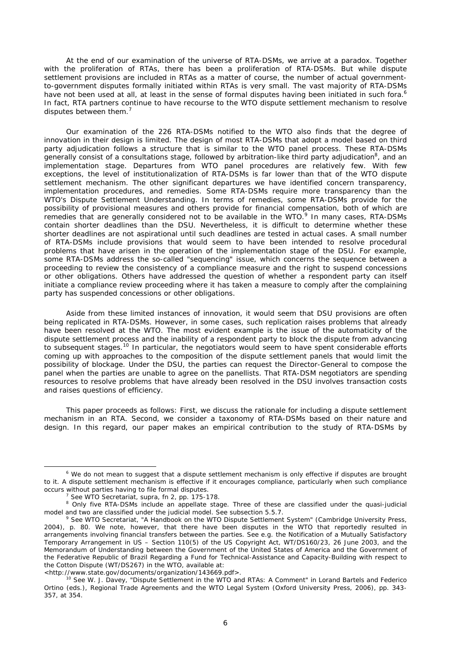At the end of our examination of the universe of RTA-DSMs, we arrive at a paradox. Together with the proliferation of RTAs, there has been a proliferation of RTA-DSMs. But while dispute settlement provisions are included in RTAs as a matter of course, the number of actual governmentto-government disputes formally initiated within RTAs is very small. The vast majority of RTA-DSMs have not been used at all, at least in the sense of formal disputes having been initiated in such fora.<sup>6</sup> In fact, RTA partners continue to have recourse to the WTO dispute settlement mechanism to resolve disputes between them.<sup>7</sup>

Our examination of the 226 RTA-DSMs notified to the WTO also finds that the degree of innovation in their design is limited. The design of most RTA-DSMs that adopt a model based on third party adjudication follows a structure that is similar to the WTO panel process. These RTA-DSMs generally consist of a consultations stage, followed by arbitration-like third party adjudication<sup>8</sup>, and an implementation stage. Departures from WTO panel procedures are relatively few. With few exceptions, the level of institutionalization of RTA-DSMs is far lower than that of the WTO dispute settlement mechanism. The other significant departures we have identified concern transparency, implementation procedures, and remedies. Some RTA-DSMs require more transparency than the WTO's Dispute Settlement Understanding. In terms of remedies, some RTA-DSMs provide for the possibility of provisional measures and others provide for financial compensation, both of which are remedies that are generally considered not to be available in the WTO.<sup>9</sup> In many cases, RTA-DSMs contain shorter deadlines than the DSU. Nevertheless, it is difficult to determine whether these shorter deadlines are not aspirational until such deadlines are tested in actual cases. A small number of RTA-DSMs include provisions that would seem to have been intended to resolve procedural problems that have arisen in the operation of the implementation stage of the DSU. For example, some RTA-DSMs address the so-called "sequencing" issue, which concerns the sequence between a proceeding to review the consistency of a compliance measure and the right to suspend concessions or other obligations. Others have addressed the question of whether a respondent party can itself initiate a compliance review proceeding where it has taken a measure to comply after the complaining party has suspended concessions or other obligations.

Aside from these limited instances of innovation, it would seem that DSU provisions are often being replicated in RTA-DSMs. However, in some cases, such replication raises problems that already have been resolved at the WTO. The most evident example is the issue of the automaticity of the dispute settlement process and the inability of a respondent party to block the dispute from advancing to subsequent stages.<sup>10</sup> In particular, the negotiators would seem to have spent considerable efforts coming up with approaches to the composition of the dispute settlement panels that would limit the possibility of blockage. Under the DSU, the parties can request the Director-General to compose the panel when the parties are unable to agree on the panellists. That RTA-DSM negotiators are spending resources to resolve problems that have already been resolved in the DSU involves transaction costs and raises questions of efficiency.

This paper proceeds as follows: First, we discuss the rationale for including a dispute settlement mechanism in an RTA. Second, we consider a taxonomy of RTA-DSMs based on their nature and design. In this regard, our paper makes an empirical contribution to the study of RTA-DSMs by

 $\overline{\phantom{a}}$ <sup>6</sup> We do not mean to suggest that a dispute settlement mechanism is only effective if disputes are brought to it. A dispute settlement mechanism is effective if it encourages compliance, particularly when such compliance occurs without parties having to file formal disputes. 7

See WTO Secretariat, *supra*, fn 2, pp. 175-178.

<sup>&</sup>lt;sup>8</sup> Only five RTA-DSMs include an appellate stage. Three of these are classified under the quasi-judicial model and two are classified under the judicial model. See subsection 5.5.7.

See WTO Secretariat, "A Handbook on the WTO Dispute Settlement System" (Cambridge University Press, 2004), p. 80. We note, however, that there have been disputes in the WTO that reportedly resulted in arrangements involving financial transfers between the parties. See e.g. the Notification of a Mutually Satisfactory Temporary Arrangement in *US – Section 110(5) of the US Copyright Act*, WT/DS160/23, 26 June 2003, and the Memorandum of Understanding between the Government of the United States of America and the Government of the Federative Republic of Brazil Regarding a Fund for Technical-Assistance and Capacity-Building with respect to the Cotton Dispute (WT/DS267) in the WTO, available at:

<sup>&</sup>lt;http://www.state.gov/documents/organization/143669.pdf>. 10 See W. J. Davey, "Dispute Settlement in the WTO and RTAs: A Comment" in Lorand Bartels and Federico Ortino (eds.), Regional Trade Agreements and the WTO Legal System (Oxford University Press, 2006), pp. 343- 357, at 354.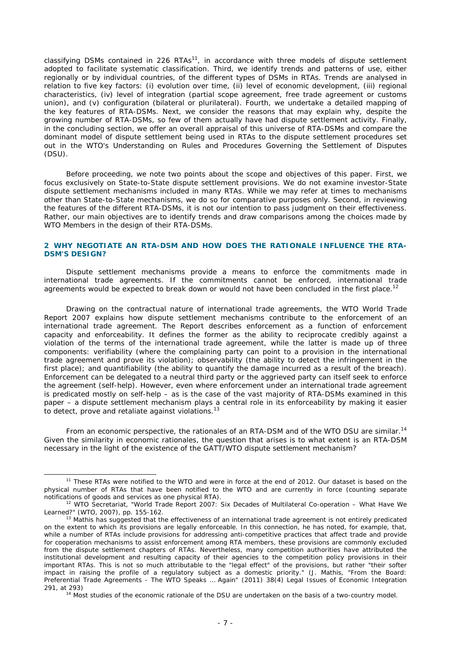classifying DSMs contained in 226 RTAs $<sup>11</sup>$ , in accordance with three models of dispute settlement</sup> adopted to facilitate systematic classification. Third, we identify trends and patterns of use, either regionally or by individual countries, of the different types of DSMs in RTAs. Trends are analysed in relation to five key factors: (i) evolution over time, (ii) level of economic development, (iii) regional characteristics, (iv) level of integration (partial scope agreement, free trade agreement or customs union), and (v) configuration (bilateral or plurilateral). Fourth, we undertake a detailed mapping of the key features of RTA-DSMs. Next, we consider the reasons that may explain why, despite the growing number of RTA-DSMs, so few of them actually have had dispute settlement activity. Finally, in the concluding section, we offer an overall appraisal of this universe of RTA-DSMs and compare the dominant model of dispute settlement being used in RTAs to the dispute settlement procedures set out in the WTO's Understanding on Rules and Procedures Governing the Settlement of Disputes (DSU).

Before proceeding, we note two points about the scope and objectives of this paper. First, we focus exclusively on State-to-State dispute settlement provisions. We do not examine investor-State dispute settlement mechanisms included in many RTAs. While we may refer at times to mechanisms other than State-to-State mechanisms, we do so for comparative purposes only. Second, in reviewing the features of the different RTA-DSMs, it is not our intention to pass judgment on their effectiveness. Rather, our main objectives are to identify trends and draw comparisons among the choices made by WTO Members in the design of their RTA-DSMs.

## **2 WHY NEGOTIATE AN RTA-DSM AND HOW DOES THE RATIONALE INFLUENCE THE RTA-DSM'S DESIGN?**

Dispute settlement mechanisms provide a means to enforce the commitments made in international trade agreements. If the commitments cannot be enforced, international trade agreements would be expected to break down or would not have been concluded in the first place.<sup>12</sup>

Drawing on the contractual nature of international trade agreements, the WTO World Trade Report 2007 explains how dispute settlement mechanisms contribute to the enforcement of an international trade agreement. The Report describes enforcement as a function of enforcement capacity and enforceability. It defines the former as the ability to reciprocate credibly against a violation of the terms of the international trade agreement, while the latter is made up of three components: verifiability (where the complaining party can point to a provision in the international trade agreement and prove its violation); observability (the ability to detect the infringement in the first place); and quantifiability (the ability to quantify the damage incurred as a result of the breach). Enforcement can be delegated to a neutral third party or the aggrieved party can itself seek to enforce the agreement (self-help). However, even where enforcement under an international trade agreement is predicated mostly on self-help – as is the case of the vast majority of RTA-DSMs examined in this paper – a dispute settlement mechanism plays a central role in its enforceability by making it easier to detect, prove and retaliate against violations.<sup>13</sup>

From an economic perspective, the rationales of an RTA-DSM and of the WTO DSU are similar.<sup>14</sup> Given the similarity in economic rationales, the question that arises is to what extent is an RTA-DSM necessary in the light of the existence of the GATT/WTO dispute settlement mechanism?

<sup>&</sup>lt;sup>11</sup> These RTAs were notified to the WTO and were in force at the end of 2012. Our dataset is based on the physical number of RTAs that have been notified to the WTO and are currently in force (counting separate notifications of goods and services as one physical RTA).<br><sup>12</sup> WTO Secretariat, "World Trade Report 2007: Six Decades of Multilateral Co-operation – What Have We

Learned?" (WTO, 2007), pp. 155-162.<br><sup>13</sup> Mathis has suggested that the effectiveness of an international trade agreement is not entirely predicated

on the extent to which its provisions are legally enforceable. In this connection, he has noted, for example, that, while a number of RTAs include provisions for addressing anti-competitive practices that affect trade and provide for cooperation mechanisms to assist enforcement among RTA members, these provisions are commonly excluded from the dispute settlement chapters of RTAs. Nevertheless, many competition authorities have attributed the institutional development and resulting capacity of their agencies to the competition policy provisions in their important RTAs. This is not so much attributable to the "legal effect" of the provisions, but rather "their softer impact in raising the profile of a regulatory subject as a domestic priority." (J. Mathis, "From the Board: Preferential Trade Agreements - The WTO Speaks … Again" (2011) 38(4) *Legal Issues of Economic Integration*  291, at 293)<br><sup>14</sup> Most studies of the economic rationale of the DSU are undertaken on the basis of a two-country model.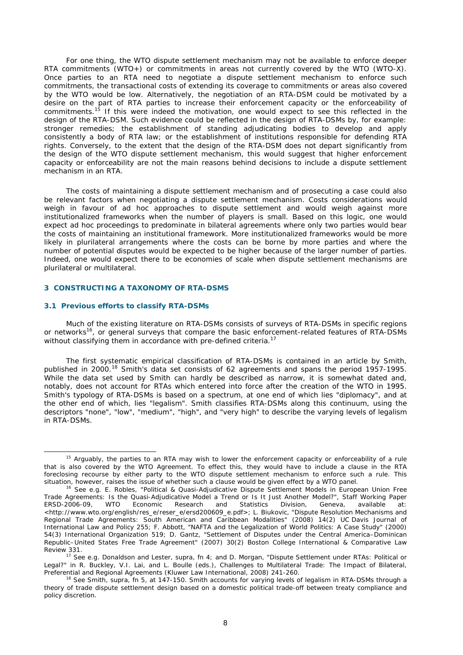For one thing, the WTO dispute settlement mechanism may not be available to enforce deeper RTA commitments (WTO+) or commitments in areas not currently covered by the WTO (WTO-X). Once parties to an RTA need to negotiate a dispute settlement mechanism to enforce such commitments, the transactional costs of extending its coverage to commitments or areas also covered by the WTO would be low. Alternatively, the negotiation of an RTA-DSM could be motivated by a desire on the part of RTA parties to increase their enforcement capacity or the enforceability of commitments.15 If this were indeed the motivation, one would expect to see this reflected in the design of the RTA-DSM. Such evidence could be reflected in the design of RTA-DSMs by, for example: stronger remedies; the establishment of standing adjudicating bodies to develop and apply consistently a body of RTA law; or the establishment of institutions responsible for defending RTA rights. Conversely, to the extent that the design of the RTA-DSM does not depart significantly from the design of the WTO dispute settlement mechanism, this would suggest that higher enforcement capacity or enforceability are not the main reasons behind decisions to include a dispute settlement mechanism in an RTA.

The costs of maintaining a dispute settlement mechanism and of prosecuting a case could also be relevant factors when negotiating a dispute settlement mechanism. Costs considerations would weigh in favour of ad hoc approaches to dispute settlement and would weigh against more institutionalized frameworks when the number of players is small. Based on this logic, one would expect ad hoc proceedings to predominate in bilateral agreements where only two parties would bear the costs of maintaining an institutional framework. More institutionalized frameworks would be more likely in plurilateral arrangements where the costs can be borne by more parties and where the number of potential disputes would be expected to be higher because of the larger number of parties. Indeed, one would expect there to be economies of scale when dispute settlement mechanisms are plurilateral or multilateral.

## **3 CONSTRUCTING A TAXONOMY OF RTA-DSMS**

#### **3.1 Previous efforts to classify RTA-DSMs**

Much of the existing literature on RTA-DSMs consists of surveys of RTA-DSMs in specific regions or networks<sup>16</sup>, or general surveys that compare the basic enforcement-related features of RTA-DSMs without classifying them in accordance with pre-defined criteria.<sup>1</sup>

The first systematic empirical classification of RTA-DSMs is contained in an article by Smith, published in 2000.<sup>18</sup> Smith's data set consists of 62 agreements and spans the period 1957-1995. While the data set used by Smith can hardly be described as narrow, it is somewhat dated and, notably, does not account for RTAs which entered into force after the creation of the WTO in 1995. Smith's typology of RTA-DSMs is based on a spectrum, at one end of which lies "diplomacy", and at the other end of which, lies "legalism". Smith classifies RTA-DSMs along this continuum, using the descriptors "none", "low", "medium", "high", and "very high" to describe the varying levels of legalism in RTA-DSMs.

<sup>15</sup> Arguably, the parties to an RTA may wish to lower the enforcement capacity or enforceability of a rule that is also covered by the WTO Agreement. To effect this, they would have to include a clause in the RTA foreclosing recourse by either party to the WTO dispute settlement mechanism to enforce such a rule. This situation, however, raises the issue of whether such a clause would be given effect by a WTO panel.<br><sup>16</sup> See e.g. E. Robles, "Political & Quasi-Adjudicative Dispute Settlement Models in European Union Free

Trade Agreements: Is the Quasi-Adjudicative Model a Trend or Is It Just Another Model?", Staff Working Paper<br>ERSD-2006-09. WTO Economic Research and Statistics Division, Geneva, available at: ERSD-2006-09, WTO Economic Research and Statistics Division, Geneva, available at: <http://www.wto.org/english/res\_e/reser\_e/ersd200609\_e.pdf>; L. Biukovic, "Dispute Resolution Mechanisms and Regional Trade Agreements: South American and Caribbean Modalities" (2008) 14(2) *UC Davis Journal of International Law and Policy* 255; F. Abbott, "NAFTA and the Legalization of World Politics: A Case Study" (2000) 54(3) *International Organization* 519; D. Gantz, "Settlement of Disputes under the Central America–Dominican Republic–United States Free Trade Agreement" (2007) 30(2) *Boston College International & Comparative Law Review* 331.

<sup>17</sup> See e.g. Donaldson and Lester, *supra*, fn 4; and D. Morgan, "Dispute Settlement under RTAs: Political or Legal?" in R. Buckley, V.I. Lai, and L. Boulle (eds.), *Challenges to Multilateral Trade: The Impact of Bilateral, Preferential and Regional Agreements* (Kluwer Law International, 2008) 241-260. <sup>18</sup> See Smith, *supra*, fn 5, at 147-150. Smith accounts for varying levels of legalism in RTA-DSMs through a

theory of trade dispute settlement design based on a domestic political trade-off between treaty compliance and policy discretion.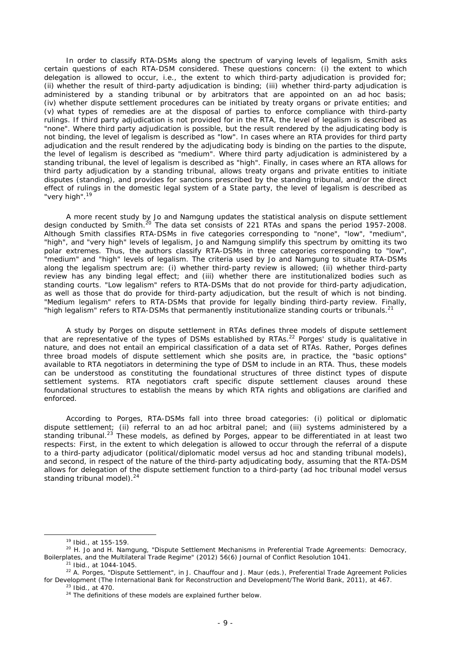In order to classify RTA-DSMs along the spectrum of varying levels of legalism, Smith asks certain questions of each RTA-DSM considered. These questions concern: (i) the extent to which delegation is allowed to occur, i.e., the extent to which third-party adjudication is provided for; (ii) whether the result of third-party adjudication is binding; (iii) whether third-party adjudication is administered by a standing tribunal or by arbitrators that are appointed on an ad hoc basis; (iv) whether dispute settlement procedures can be initiated by treaty organs or private entities; and (v) what types of remedies are at the disposal of parties to enforce compliance with third-party rulings. If third party adjudication is not provided for in the RTA, the level of legalism is described as "none". Where third party adjudication is possible, but the result rendered by the adjudicating body is not binding, the level of legalism is described as "low". In cases where an RTA provides for third party adjudication *and* the result rendered by the adjudicating body is binding on the parties to the dispute, the level of legalism is described as "medium". Where third party adjudication is administered by a standing tribunal, the level of legalism is described as "high". Finally, in cases where an RTA allows for third party adjudication by a standing tribunal, allows treaty organs and private entities to initiate disputes (standing), and provides for sanctions prescribed by the standing tribunal, and/or the direct effect of rulings in the domestic legal system of a State party, the level of legalism is described as "very high".<sup>1</sup>

A more recent study by Jo and Namgung updates the statistical analysis on dispute settlement design conducted by Smith.<sup>20</sup> The data set consists of 221 RTAs and spans the period 1957-2008. Although Smith classifies RTA-DSMs in five categories corresponding to "none", "low", "medium", "high", and "very high" levels of legalism, Jo and Namgung simplify this spectrum by omitting its two polar extremes. Thus, the authors classify RTA-DSMs in three categories corresponding to "low", "medium" and "high" levels of legalism. The criteria used by Jo and Namgung to situate RTA-DSMs along the legalism spectrum are: (i) whether third-party review is allowed; (ii) whether third-party review has any binding legal effect; and (iii) whether there are institutionalized bodies such as standing courts. "Low legalism" refers to RTA-DSMs that do not provide for third-party adjudication, as well as those that do provide for third-party adjudication, but the result of which is not binding. "Medium legalism" refers to RTA-DSMs that provide for legally binding third-party review. Finally, "high legalism" refers to RTA-DSMs that permanently institutionalize standing courts or tribunals.<sup>2</sup>

A study by Porges on dispute settlement in RTAs defines three models of dispute settlement that are representative of the types of DSMs established by RTAs.<sup>22</sup> Porges' study is qualitative in nature, and does not entail an empirical classification of a data set of RTAs. Rather, Porges defines three broad models of dispute settlement which she posits are, in practice, the "basic options" available to RTA negotiators in determining the type of DSM to include in an RTA. Thus, these models can be understood as constituting the foundational structures of three distinct types of dispute settlement systems. RTA negotiators craft specific dispute settlement clauses around these foundational structures to establish the means by which RTA rights and obligations are clarified and enforced.

According to Porges, RTA-DSMs fall into three broad categories: (i) political or diplomatic dispute settlement; (ii) referral to an ad hoc arbitral panel; and (iii) systems administered by a standing tribunal.<sup>23</sup> These models, as defined by Porges, appear to be differentiated in at least two respects: First, in the extent to which delegation is allowed to occur through the referral of a dispute to a third-party adjudicator (political/diplomatic model *versus* ad hoc and standing tribunal models), and second, in respect of the nature of the third-party adjudicating body, assuming that the RTA-DSM allows for delegation of the dispute settlement function to a third-party (ad hoc tribunal model *versus* standing tribunal model).<sup>24</sup>

<sup>&</sup>lt;sup>19</sup> Ibid., at 155-159.<br><sup>20</sup> H. Jo and H. Namgung, "Dispute Settlement Mechanisms in Preferential Trade Agreements: Democracy,<br>Boilerplates, and the Multilateral Trade Regime" (2012) 56(6) Journal of Conflict Resolution 10

<sup>&</sup>lt;sup>21</sup> Ibid., at 1044-1045.<br><sup>22</sup> A. Porges, "Dispute Settlement", in J. Chauffour and J. Maur (eds.), Preferential Trade Agreement Policies *for Development* (The International Bank for Reconstruction and Development/The World Bank, 2011), at 467.<br><sup>23</sup> Ibid., at 470.<br><sup>24</sup> The definitions of these models are explained further below.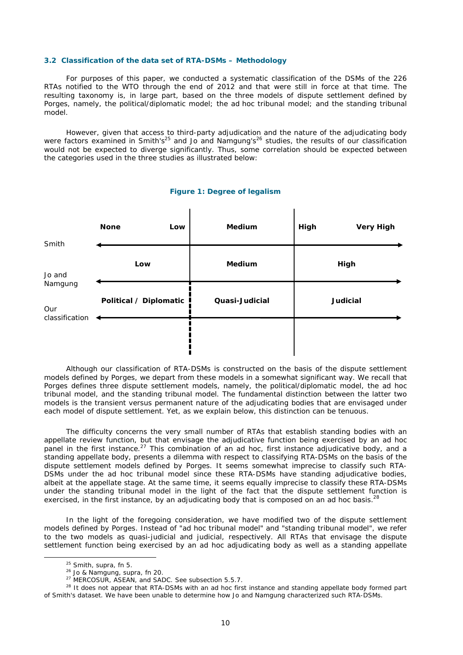#### **3.2 Classification of the data set of RTA-DSMs – Methodology**

For purposes of this paper, we conducted a systematic classification of the DSMs of the 226 RTAs notified to the WTO through the end of 2012 and that were still in force at that time. The resulting taxonomy is, in large part, based on the three models of dispute settlement defined by Porges, namely, the political/diplomatic model; the ad hoc tribunal model; and the standing tribunal model.

However, given that access to third-party adjudication and the nature of the adjudicating body were factors examined in Smith's<sup>25</sup> and Jo and Namgung's<sup>26</sup> studies, the results of our classification would not be expected to diverge significantly. Thus, some correlation should be expected between the categories used in the three studies as illustrated below:



## **Figure 1: Degree of legalism**

Although our classification of RTA-DSMs is constructed on the basis of the dispute settlement models defined by Porges, we depart from these models in a somewhat significant way. We recall that Porges defines three dispute settlement models, namely, the political/diplomatic model, the ad hoc tribunal model, and the standing tribunal model. The fundamental distinction between the latter two models is the transient *versus* permanent nature of the adjudicating bodies that are envisaged under each model of dispute settlement. Yet, as we explain below, this distinction can be tenuous.

The difficulty concerns the very small number of RTAs that establish standing bodies with an appellate review function, but that envisage the adjudicative function being exercised by an ad hoc panel in the first instance.<sup>27</sup> This combination of an ad hoc, first instance adjudicative body, and a standing appellate body, presents a dilemma with respect to classifying RTA-DSMs on the basis of the dispute settlement models defined by Porges. It seems somewhat imprecise to classify such RTA-DSMs under the ad hoc tribunal model since these RTA-DSMs have standing adjudicative bodies, albeit at the appellate stage. At the same time, it seems equally imprecise to classify these RTA-DSMs under the standing tribunal model in the light of the fact that the dispute settlement function is exercised, in the first instance, by an adjudicating body that is composed on an ad hoc basis. $^{28}$ 

In the light of the foregoing consideration, we have modified two of the dispute settlement models defined by Porges. Instead of "ad hoc tribunal model" and "standing tribunal model", we refer to the two models as quasi-judicial and judicial, respectively. All RTAs that envisage the dispute settlement function being exercised by an ad hoc adjudicating body as well as a standing appellate

<sup>&</sup>lt;sup>25</sup> Smith, *supra*, fn 5.<br><sup>26</sup> Jo & Namgung, *supra*, fn 20.<br><sup>27</sup> MERCOSUR, ASEAN, and SADC. See subsection 5.5.7.<br><sup>28</sup> It does not appear that RTA-DSMs with an ad hoc first instance and standing appellate body formed par of Smith's dataset. We have been unable to determine how Jo and Namgung characterized such RTA-DSMs.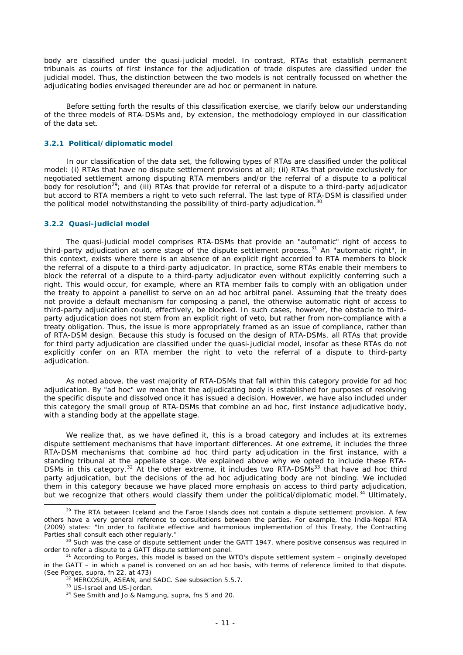body are classified under the quasi-judicial model. In contrast, RTAs that establish permanent tribunals as *courts of first instance* for the adjudication of trade disputes are classified under the judicial model. Thus, the distinction between the two models is not centrally focussed on whether the adjudicating bodies envisaged thereunder are ad hoc or permanent in nature.

Before setting forth the results of this classification exercise, we clarify below our understanding of the three models of RTA-DSMs and, by extension, the methodology employed in our classification of the data set.

#### **3.2.1 Political/diplomatic model**

In our classification of the data set, the following types of RTAs are classified under the political model: (i) RTAs that have no dispute settlement provisions at all; (ii) RTAs that provide exclusively for negotiated settlement among disputing RTA members *and/or* the referral of a dispute to a *political*  body for resolution<sup>29</sup>; and (iii) RTAs that provide for referral of a dispute to a third-party adjudicator but accord to RTA members a right to veto such referral. The last type of RTA-DSM is classified under the political model notwithstanding the possibility of third-party adjudication.<sup>30</sup>

#### **3.2.2 Quasi-judicial model**

The quasi-judicial model comprises RTA-DSMs that provide an "automatic" right of access to third-party adjudication at some stage of the dispute settlement process.<sup>31</sup> An "automatic right", in this context, exists where there is an absence of an explicit right accorded to RTA members to block the referral of a dispute to a third-party adjudicator. In practice, some RTAs enable their members to block the referral of a dispute to a third-party adjudicator even without explicitly conferring such a right. This would occur, for example, where an RTA member fails to comply with an obligation under the treaty to appoint a panellist to serve on an ad hoc arbitral panel. Assuming that the treaty does not provide a default mechanism for composing a panel, the otherwise automatic right of access to third-party adjudication could, effectively, be blocked. In such cases, however, the obstacle to thirdparty adjudication does not stem from an explicit right of veto, but rather from non-compliance with a treaty obligation. Thus, the issue is more appropriately framed as an issue of compliance, rather than of RTA-DSM design. Because this study is focused on the design of RTA-DSMs, all RTAs that provide for third party adjudication are classified under the quasi-judicial model, insofar as these RTAs do not explicitly confer on an RTA member the right to veto the referral of a dispute to third-party adjudication.

As noted above, the vast majority of RTA-DSMs that fall within this category provide for ad hoc adjudication. By "ad hoc" we mean that the adjudicating body is established for purposes of resolving the specific dispute and dissolved once it has issued a decision. However, we have also included under this category the small group of RTA-DSMs that combine an ad hoc, first instance adjudicative body, with a standing body at the appellate stage.

We realize that, as we have defined it, this is a broad category and includes at its extremes dispute settlement mechanisms that have important differences. At one extreme, it includes the three RTA-DSM mechanisms that combine ad hoc third party adjudication in the first instance, with a standing tribunal at the appellate stage. We explained above why we opted to include these RTA-DSMs in this category.<sup>32</sup> At the other extreme, it includes two RTA-DSMs<sup>33</sup> that have ad hoc third party adjudication, but the decisions of the ad hoc adjudicating body are not binding. We included them in this category because we have placed more emphasis on access to third party adjudication, but we recognize that others would classify them under the political/diplomatic model.<sup>34</sup> Ultimately,

<sup>&</sup>lt;sup>29</sup> The RTA between Iceland and the Faroe Islands does not contain a dispute settlement provision. A few others have a very general reference to consultations between the parties. For example, the India-Nepal RTA (2009) states: "In order to facilitate effective and harmonious implementation of this Treaty, the Contracting Parties shall consult each other regularly."<br><sup>30</sup> Such was the case of dispute settlement under the GATT 1947, where positive consensus was required in

order to refer a dispute to a GATT dispute settlement panel.<br><sup>31</sup> According to Porges, this model is based on the WTO's dispute settlement system – originally developed

in the GATT – in which a panel is convened on an ad hoc basis, with terms of reference limited to that dispute. (See Porges, *supra*, fn 22, at 473) 32 MERCOSUR, ASEAN, and SADC. See subsection 5.5.7. 33 US-Israel and US-Jordan. 34 See Smith and Jo & Namgung, *supra*, fns 5 and 20.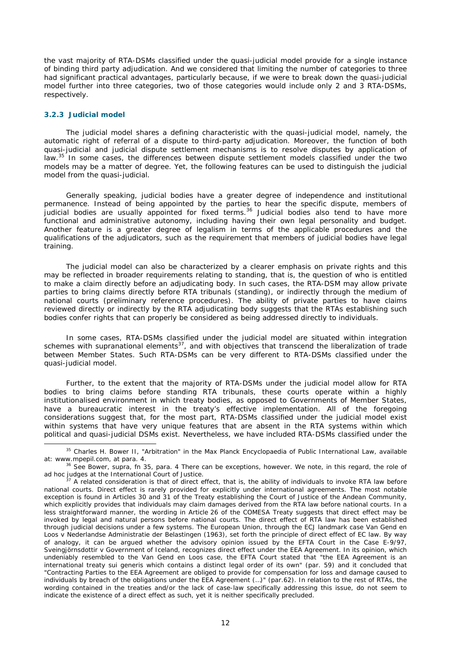the vast majority of RTA-DSMs classified under the quasi-judicial model provide for a single instance of binding third party adjudication. And we considered that limiting the number of categories to three had significant practical advantages, particularly because, if we were to break down the quasi-judicial model further into three categories, two of those categories would include only 2 and 3 RTA-DSMs, respectively.

## **3.2.3 Judicial model**

The judicial model shares a defining characteristic with the quasi-judicial model, namely, the automatic right of referral of a dispute to third-party adjudication. Moreover, the function of both quasi-judicial and judicial dispute settlement mechanisms is to resolve disputes by application of law.<sup>35</sup> In some cases, the differences between dispute settlement models classified under the two models may be a matter of degree. Yet, the following features can be used to distinguish the judicial model from the quasi-judicial.

Generally speaking, judicial bodies have a greater degree of independence and institutional permanence. Instead of being appointed by the parties to hear the specific dispute, members of judicial bodies are usually appointed for fixed terms.36 Judicial bodies also tend to have more functional and administrative autonomy, including having their own legal personality and budget. Another feature is a greater degree of legalism in terms of the applicable procedures and the qualifications of the adjudicators, such as the requirement that members of judicial bodies have legal training.

The judicial model can also be characterized by a clearer emphasis on private rights and this may be reflected in broader requirements relating to standing, that is, the question of who is entitled to make a claim directly before an adjudicating body. In such cases, the RTA-DSM may allow private parties to bring claims directly before RTA tribunals (standing), or indirectly through the medium of national courts (preliminary reference procedures). The ability of private parties to have claims reviewed directly or indirectly by the RTA adjudicating body suggests that the RTAs establishing such bodies confer rights that can properly be considered as being addressed directly to individuals.

In some cases, RTA-DSMs classified under the judicial model are situated within integration schemes with supranational elements<sup>37</sup>, and with objectives that transcend the liberalization of trade between Member States. Such RTA-DSMs can be very different to RTA-DSMs classified under the quasi-judicial model.

 Further, to the extent that the majority of RTA-DSMs under the judicial model allow for RTA bodies to bring claims before standing RTA tribunals, these courts operate within a highly institutionalised environment in which treaty bodies, as opposed to Governments of Member States, have a bureaucratic interest in the treaty's effective implementation. All of the foregoing considerations suggest that, for the most part, RTA-DSMs classified under the judicial model exist within systems that have very unique features that are absent in the RTA systems within which political and quasi-judicial DSMs exist. Nevertheless, we have included RTA-DSMs classified under the

<sup>&</sup>lt;sup>35</sup> Charles H. Bower II, "Arbitration" in the Max Planck Encyclopaedia of Public International Law, available

at: www.mpepil.com, at para. 4.<br><sup>36</sup> See Bower, *supra*, fn 35, para. 4 There can be exceptions, however. We note, in this regard, the role of ad hoc judges at the International Court of Justice.

A related consideration is that of direct effect, that is, the ability of individuals to invoke RTA law before national courts. Direct effect is rarely provided for explicitly under international agreements. The most notable exception is found in Articles 30 and 31 of the Treaty establishing the Court of Justice of the Andean Community, which explicitly provides that individuals may claim damages derived from the RTA law before national courts. In a less straightforward manner, the wording in Article 26 of the COMESA Treaty suggests that direct effect may be invoked by legal and natural persons before national courts. The direct effect of RTA law has been established through judicial decisions under a few systems. The European Union, through the ECJ landmark case *Van Gend en Loos v Nederlandse Administratie der Belastingen (1963),* set forth the principle of direct effect of EC law. By way of analogy, it can be argued whether the advisory opinion issued by the EFTA Court in the Case E-9/97, *Sveingjörnsdottir v Government of Iceland*, recognizes direct effect under the EEA Agreement. In its opinion, which undeniably resembled to the *Van Gend en Loos* case, the EFTA Court stated that "the EEA Agreement is an international treaty *sui generis* which contains a distinct legal order of its own" (par. 59) and it concluded that "Contracting Parties to the EEA Agreement are obliged to provide for compensation for loss and damage caused to individuals by breach of the obligations under the EEA Agreement (…)" (par.62). In relation to the rest of RTAs, the wording contained in the treaties and/or the lack of case-law specifically addressing this issue, do not seem to indicate the existence of a direct effect as such, yet it is neither specifically precluded.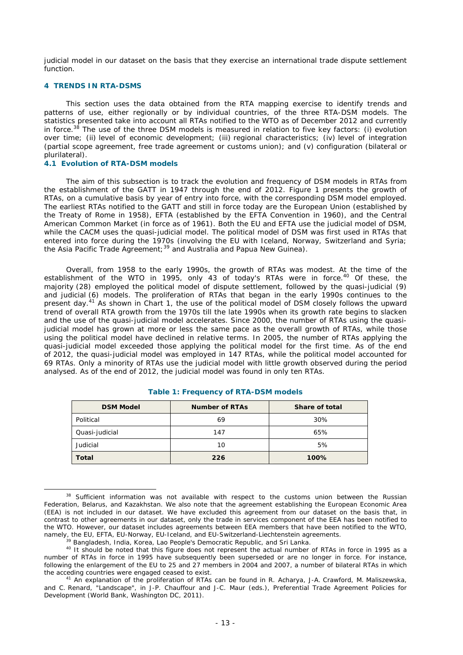judicial model in our dataset on the basis that they exercise an international trade dispute settlement function.

### **4 TRENDS IN RTA-DSMS**

This section uses the data obtained from the RTA mapping exercise to identify trends and patterns of use, either regionally or by individual countries, of the three RTA-DSM models. The statistics presented take into account all RTAs notified to the WTO as of December 2012 and currently in force.<sup>38</sup> The use of the three DSM models is measured in relation to five key factors: (i) evolution over time; (ii) level of economic development; (iii) regional characteristics; (iv) level of integration (partial scope agreement, free trade agreement or customs union); and (v) configuration (bilateral or plurilateral).

### **4.1 Evolution of RTA-DSM models**

The aim of this subsection is to track the evolution and frequency of DSM models in RTAs from the establishment of the GATT in 1947 through the end of 2012. Figure 1 presents the growth of RTAs, on a cumulative basis by year of entry into force, with the corresponding DSM model employed. The earliest RTAs notified to the GATT and still in force today are the European Union (established by the Treaty of Rome in 1958), EFTA (established by the EFTA Convention in 1960), and the Central American Common Market (in force as of 1961). Both the EU and EFTA use the judicial model of DSM, while the CACM uses the quasi-judicial model. The political model of DSM was first used in RTAs that entered into force during the 1970s (involving the EU with Iceland, Norway, Switzerland and Syria; the Asia Pacific Trade Agreement;  $39$  and Australia and Papua New Guinea).

Overall, from 1958 to the early 1990s, the growth of RTAs was modest. At the time of the establishment of the WTO in 1995, only 43 of today's RTAs were in force.<sup>40</sup> Of these, the majority (28) employed the political model of dispute settlement, followed by the quasi-judicial (9) and judicial (6) models. The proliferation of RTAs that began in the early 1990s continues to the present day.<sup>41</sup> As shown in Chart 1, the use of the political model of DSM closely follows the upward trend of overall RTA growth from the 1970s till the late 1990s when its growth rate begins to slacken and the use of the quasi-judicial model accelerates. Since 2000, the number of RTAs using the quasijudicial model has grown at more or less the same pace as the overall growth of RTAs, while those using the political model have declined in relative terms. In 2005, the number of RTAs applying the quasi-judicial model exceeded those applying the political model for the first time. As of the end of 2012, the quasi-judicial model was employed in 147 RTAs, while the political model accounted for 69 RTAs. Only a minority of RTAs use the judicial model with little growth observed during the period analysed. As of the end of 2012, the judicial model was found in only ten RTAs.

| <b>DSM Model</b> | <b>Number of RTAs</b> | Share of total |
|------------------|-----------------------|----------------|
| Political        | 69                    | 30%            |
| Quasi-judicial   | 147                   | 65%            |
| Judicial         | 10                    | 5%             |
| <b>Total</b>     | 226                   | 100%           |

#### **Table 1: Frequency of RTA-DSM models**

<sup>&</sup>lt;sup>38</sup> Sufficient information was not available with respect to the customs union between the Russian Federation, Belarus, and Kazakhstan. We also note that the agreement establishing the European Economic Area (EEA) is not included in our dataset. We have excluded this agreement from our dataset on the basis that, in contrast to other agreements in our dataset, only the trade in services component of the EEA has been notified to the WTO. However, our dataset includes agreements between EEA members that have been notified to the WTO, namely, the EU, EFTA, EU-Norway, EU-Iceland, and EU-Switzerland-Liechtenstein agreements.

<sup>&</sup>lt;sup>39</sup> Bangladesh, India, Korea, Lao People's Democratic Republic, and Sri Lanka.<br><sup>40</sup> It should be noted that this figure does not represent the *actual* number of RTAs in force in 1995 as a number of RTAs in force in 1995 have subsequently been superseded or are no longer in force. For instance, following the enlargement of the EU to 25 and 27 members in 2004 and 2007, a number of bilateral RTAs in which the acceding countries were engaged ceased to exist.<br><sup>41</sup> An explanation of the proliferation of RTAs can be found in R. Acharya, J-A. Crawford, M. Maliszewska,

and C. Renard, "Landscape", in J-P. Chauffour and J-C. Maur (eds.), *Preferential Trade Agreement Policies for Development* (World Bank, Washington DC, 2011).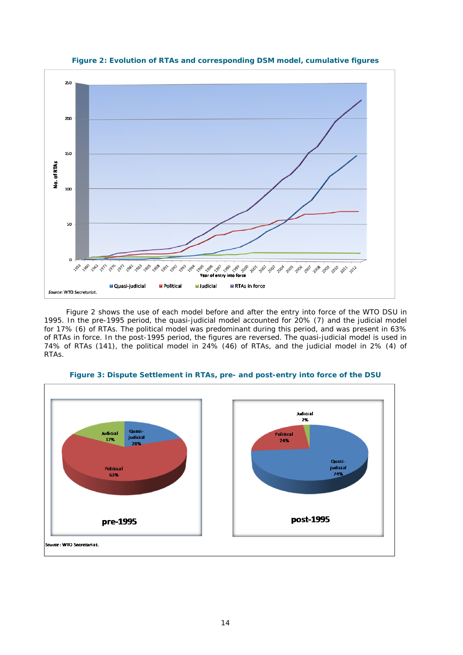

**Figure 2: Evolution of RTAs and corresponding DSM model, cumulative figures** 

Figure 2 shows the use of each model before and after the entry into force of the WTO DSU in 1995. In the pre-1995 period, the quasi-judicial model accounted for 20% (7) and the judicial model for 17% (6) of RTAs. The political model was predominant during this period, and was present in 63% of RTAs in force. In the post-1995 period, the figures are reversed. The quasi-judicial model is used in 74% of RTAs (141), the political model in 24% (46) of RTAs, and the judicial model in 2% (4) of RTAs.



**Figure 3: Dispute Settlement in RTAs, pre- and post-entry into force of the DSU**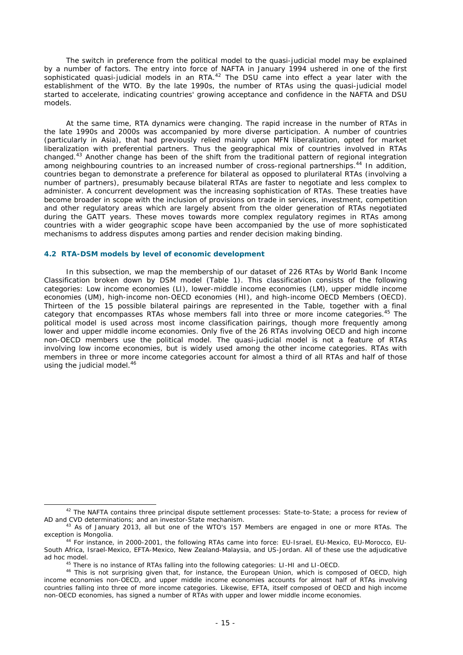The switch in preference from the political model to the quasi-judicial model may be explained by a number of factors. The entry into force of NAFTA in January 1994 ushered in one of the first sophisticated quasi-judicial models in an RTA.<sup>42</sup> The DSU came into effect a year later with the establishment of the WTO. By the late 1990s, the number of RTAs using the quasi-judicial model started to accelerate, indicating countries' growing acceptance and confidence in the NAFTA and DSU models.

At the same time, RTA dynamics were changing. The rapid increase in the number of RTAs in the late 1990s and 2000s was accompanied by more diverse participation. A number of countries (particularly in Asia), that had previously relied mainly upon MFN liberalization, opted for market liberalization with preferential partners. Thus the geographical mix of countries involved in RTAs changed.43 Another change has been of the shift from the traditional pattern of regional integration among neighbouring countries to an increased number of cross-regional partnerships.<sup>44</sup> In addition, countries began to demonstrate a preference for bilateral as opposed to plurilateral RTAs (involving a number of partners), presumably because bilateral RTAs are faster to negotiate and less complex to administer. A concurrent development was the increasing sophistication of RTAs. These treaties have become broader in scope with the inclusion of provisions on trade in services, investment, competition and other regulatory areas which are largely absent from the older generation of RTAs negotiated during the GATT years. These moves towards more complex regulatory regimes in RTAs among countries with a wider geographic scope have been accompanied by the use of more sophisticated mechanisms to address disputes among parties and render decision making binding.

### **4.2 RTA-DSM models by level of economic development**

In this subsection, we map the membership of our dataset of 226 RTAs by World Bank Income Classification broken down by DSM model (Table 1). This classification consists of the following categories: Low income economies (LI), lower-middle income economies (LM), upper middle income economies (UM), high-income non-OECD economies (HI), and high-income OECD Members (OECD). Thirteen of the 15 possible bilateral pairings are represented in the Table, together with a final category that encompasses RTAs whose members fall into three or more income categories.<sup>45</sup> The political model is used across most income classification pairings, though more frequently among lower and upper middle income economies. Only five of the 26 RTAs involving OECD and high income non-OECD members use the political model. The quasi-judicial model is not a feature of RTAs involving low income economies, but is widely used among the other income categories. RTAs with members in three or more income categories account for almost a third of all RTAs and half of those using the judicial model.<sup>46</sup>

<sup>42</sup> The NAFTA contains three principal dispute settlement processes: State-to-State; a process for review of AD and CVD determinations; and an investor-State mechanism.<br><sup>43</sup> As of January 2013, all but one of the WTO's 157 Members are engaged in one or more RTAs. The

exception is Mongolia.<br><sup>44</sup> For instance, in 2000-2001, the following RTAs came into force: EU-Israel, EU-Mexico, EU-Morocco, EU-

South Africa, Israel-Mexico, EFTA-Mexico, New Zealand-Malaysia, and US-Jordan. All of these use the adjudicative ad hoc model.<br><sup>45</sup> There is no instance of RTAs falling into the following categories: LI-HI and LI-OECD.<br><sup>46</sup> This is not surprising given that, for instance, the European Union, which is composed of OECD, high

income economies non-OECD, and upper middle income economies accounts for almost half of RTAs involving countries falling into three of more income categories. Likewise, EFTA, itself composed of OECD and high income non-OECD economies, has signed a number of RTAs with upper and lower middle income economies.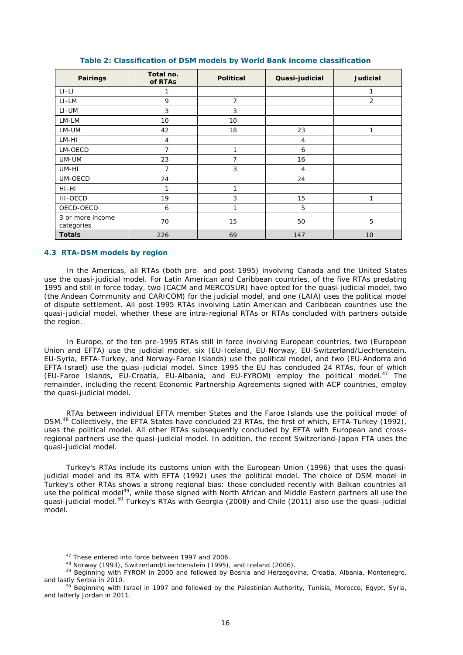| <b>Pairings</b>                | Total no.<br>of RTAs | <b>Political</b> | Quasi-judicial | <b>Judicial</b> |
|--------------------------------|----------------------|------------------|----------------|-----------------|
| $LI-LI$                        | 1                    |                  |                | 1               |
| LI-LM                          | 9                    | $\overline{7}$   |                | 2               |
| LI-UM                          | 3                    | 3                |                |                 |
| LM-LM                          | 10                   | 10               |                |                 |
| LM-UM                          | 42                   | 18               | 23             | 1               |
| LM-HI                          | 4                    |                  | 4              |                 |
| LM-OECD                        | 7                    | 1                | 6              |                 |
| UM-UM                          | 23                   | 7                | 16             |                 |
| UM-HI                          | $\overline{7}$       | 3                | 4              |                 |
| UM-OECD                        | 24                   |                  | 24             |                 |
| HI-HI                          | 1                    | 1                |                |                 |
| HI-OECD                        | 19                   | 3                | 15             | 1               |
| OECD-OECD                      | 6                    | 1                | 5              |                 |
| 3 or more income<br>categories | 70                   | 15               | 50             | 5               |
| <b>Totals</b>                  | 226                  | 69               | 147            | 10              |

## **Table 2: Classification of DSM models by World Bank income classification**

#### **4.3 RTA-DSM models by region**

In the Americas, all RTAs (both pre- and post-1995) involving Canada and the United States use the quasi-judicial model. For Latin American and Caribbean countries, of the five RTAs predating 1995 and still in force today, two (CACM and MERCOSUR) have opted for the quasi-judicial model, two (the Andean Community and CARICOM) for the judicial model, and one (LAIA) uses the political model of dispute settlement. All post-1995 RTAs involving Latin American and Caribbean countries use the quasi-judicial model, whether these are intra-regional RTAs or RTAs concluded with partners outside the region.

In Europe, of the ten pre-1995 RTAs still in force involving European countries, two (European Union and EFTA) use the judicial model, six (EU-Iceland, EU-Norway, EU-Switzerland/Liechtenstein, EU-Syria, EFTA-Turkey, and Norway-Faroe Islands) use the political model, and two (EU-Andorra and EFTA-Israel) use the quasi-judicial model. Since 1995 the EU has concluded 24 RTAs, four of which (EU-Faroe Islands, EU-Croatia, EU-Albania, and EU-FYROM) employ the political model.<sup>47</sup> The remainder, including the recent Economic Partnership Agreements signed with ACP countries, employ the quasi-judicial model.

RTAs between individual EFTA member States and the Faroe Islands use the political model of DSM.<sup>48</sup> Collectively, the EFTA States have concluded 23 RTAs, the first of which, EFTA-Turkey (1992), uses the political model. All other RTAs subsequently concluded by EFTA with European and crossregional partners use the quasi-judicial model. In addition, the recent Switzerland-Japan FTA uses the quasi-judicial model.

Turkey's RTAs include its customs union with the European Union (1996) that uses the quasijudicial model and its RTA with EFTA (1992) uses the political model. The choice of DSM model in Turkey's other RTAs shows a strong regional bias: those concluded recently with Balkan countries all use the political model<sup>49</sup>, while those signed with North African and Middle Eastern partners all use the quasi-judicial model.50 Turkey's RTAs with Georgia (2008) and Chile (2011) also use the quasi-judicial model.

<sup>&</sup>lt;sup>47</sup> These entered into force between 1997 and 2006.<br><sup>48</sup> Norway (1993), Switzerland/Liechtenstein (1995), and Iceland (2006).<br><sup>49</sup> Beginning with FYROM in 2000 and followed by Bosnia and Herzegovina, Croatia, Albania, Mon and lastly Serbia in 2010.<br><sup>50</sup> Beginning with Israel in 1997 and followed by the Palestinian Authority, Tunisia, Morocco, Egypt, Syria,

and latterly Jordan in 2011.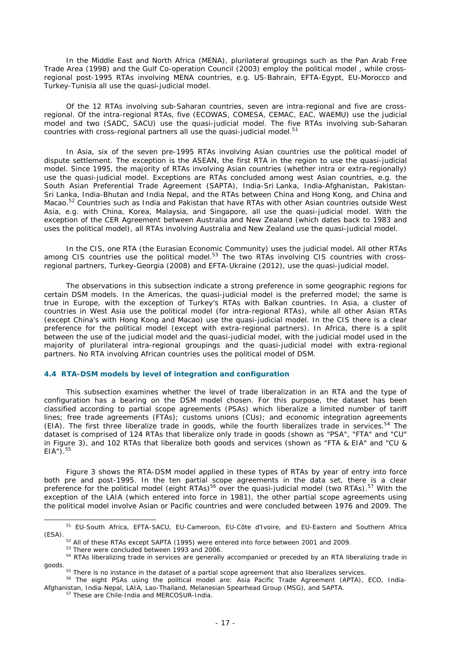In the Middle East and North Africa (MENA), plurilateral groupings such as the Pan Arab Free Trade Area (1998) and the Gulf Co-operation Council (2003) employ the political model , while crossregional post-1995 RTAs involving MENA countries, e.g. US-Bahrain, EFTA-Egypt, EU-Morocco and Turkey-Tunisia all use the quasi-judicial model.

Of the 12 RTAs involving sub-Saharan countries, seven are intra-regional and five are crossregional. Of the intra-regional RTAs, five (ECOWAS, COMESA, CEMAC, EAC, WAEMU) use the judicial model and two (SADC, SACU) use the quasi-judicial model. The five RTAs involving sub-Saharan countries with cross-regional partners all use the quasi-judicial model.<sup>51</sup>

In Asia, six of the seven pre-1995 RTAs involving Asian countries use the political model of dispute settlement. The exception is the ASEAN, the first RTA in the region to use the quasi-judicial model. Since 1995, the majority of RTAs involving Asian countries (whether intra or extra-regionally) use the quasi-judicial model. Exceptions are RTAs concluded among west Asian countries, e.g. the South Asian Preferential Trade Agreement (SAPTA), India-Sri Lanka, India-Afghanistan, Pakistan-Sri Lanka, India-Bhutan and India Nepal, and the RTAs between China and Hong Kong, and China and Macao.52 Countries such as India and Pakistan that have RTAs with other Asian countries outside West Asia, e.g. with China, Korea, Malaysia, and Singapore, all use the quasi-judicial model. With the exception of the CER Agreement between Australia and New Zealand (which dates back to 1983 and uses the political model), all RTAs involving Australia and New Zealand use the quasi-judicial model.

In the CIS, one RTA (the Eurasian Economic Community) uses the judicial model. All other RTAs among CIS countries use the political model. $53$  The two RTAs involving CIS countries with crossregional partners, Turkey-Georgia (2008) and EFTA-Ukraine (2012), use the quasi-judicial model.

The observations in this subsection indicate a strong preference in some geographic regions for certain DSM models. In the Americas, the quasi-judicial model is the preferred model; the same is true in Europe, with the exception of Turkey's RTAs with Balkan countries. In Asia, a cluster of countries in West Asia use the political model (for intra-regional RTAs), while all other Asian RTAs (except China's with Hong Kong and Macao) use the quasi-judicial model. In the CIS there is a clear preference for the political model (except with extra-regional partners). In Africa, there is a split between the use of the judicial model and the quasi-judicial model, with the judicial model used in the majority of plurilateral intra-regional groupings and the quasi-judicial model with extra-regional partners. No RTA involving African countries uses the political model of DSM.

## **4.4 RTA-DSM models by level of integration and configuration**

This subsection examines whether the level of trade liberalization in an RTA and the type of configuration has a bearing on the DSM model chosen. For this purpose, the dataset has been classified according to partial scope agreements (PSAs) which liberalize a limited number of tariff lines; free trade agreements (FTAs); customs unions (CUs); and economic integration agreements  $(EIA)$ . The first three liberalize trade in goods, while the fourth liberalizes trade in services.<sup>54</sup> The dataset is comprised of 124 RTAs that liberalize only trade in goods (shown as "PSA", "FTA" and "CU" in Figure 3), and 102 RTAs that liberalize both goods and services (shown as "FTA & EIA" and "CU &  $EIA<sup>n</sup>$ .<sup>55</sup>

Figure 3 shows the RTA-DSM model applied in these types of RTAs by year of entry into force both pre and post-1995. In the ten partial scope agreements in the data set, there is a clear preference for the political model (eight RTAs)<sup>56</sup> over the quasi-judicial model (two RTAs).<sup>57</sup> With the exception of the LAIA (which entered into force in 1981), the other partial scope agreements using the political model involve Asian or Pacific countries and were concluded between 1976 and 2009. The

 <sup>51</sup> EU-South Africa, EFTA-SACU, EU-Cameroon, EU-Côte d'Ivoire, and EU-Eastern and Southern Africa (ESA).<br><sup>52</sup> All of these RTAs except SAPTA (1995) were entered into force between 2001 and 2009.<br><sup>53</sup> There were concluded between 1993 and 2006.<br><sup>54</sup> RTAs liberalizing trade in services are generally accompanied or preced

goods.<br><sup>55</sup> There is no instance in the dataset of a partial scope agreement that also liberalizes services.<br><sup>56</sup> The eight PSAs using the political model are: Asia Pacific Trade Agreement (APTA), ECO, India-

Afghanistan, India-Nepal, LAIA, Lao-Thailand, Melanesian Spearhead Group (MSG), and SAPTA. 57 These are Chile-India and MERCOSUR-India.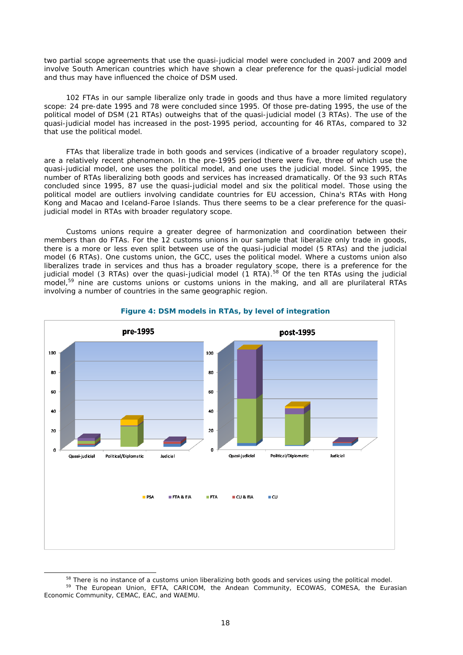two partial scope agreements that use the quasi-judicial model were concluded in 2007 and 2009 and involve South American countries which have shown a clear preference for the quasi-judicial model and thus may have influenced the choice of DSM used.

102 FTAs in our sample liberalize only trade in goods and thus have a more limited regulatory scope: 24 pre-date 1995 and 78 were concluded since 1995. Of those pre-dating 1995, the use of the political model of DSM (21 RTAs) outweighs that of the quasi-judicial model (3 RTAs). The use of the quasi-judicial model has increased in the post-1995 period, accounting for 46 RTAs, compared to 32 that use the political model.

FTAs that liberalize trade in both goods and services (indicative of a broader regulatory scope), are a relatively recent phenomenon. In the pre-1995 period there were five, three of which use the quasi-judicial model, one uses the political model, and one uses the judicial model. Since 1995, the number of RTAs liberalizing both goods and services has increased dramatically. Of the 93 such RTAs concluded since 1995, 87 use the quasi-judicial model and six the political model. Those using the political model are outliers involving candidate countries for EU accession, China's RTAs with Hong Kong and Macao and Iceland-Faroe Islands. Thus there seems to be a clear preference for the quasijudicial model in RTAs with broader regulatory scope.

Customs unions require a greater degree of harmonization and coordination between their members than do FTAs. For the 12 customs unions in our sample that liberalize only trade in goods, there is a more or less even split between use of the quasi-judicial model (5 RTAs) and the judicial model (6 RTAs). One customs union, the GCC, uses the political model. Where a customs union also liberalizes trade in services and thus has a broader regulatory scope, there is a preference for the judicial model (3 RTAs) over the quasi-judicial model (1 RTA).<sup>58</sup> Of the ten RTAs using the judicial model,<sup>59</sup> nine are customs unions or customs unions in the making, and all are plurilateral RTAs involving a number of countries in the same geographic region.



## **Figure 4: DSM models in RTAs, by level of integration**

 $58$  There is no instance of a customs union liberalizing both goods and services using the political model.<br> $59$  The European Union, EFTA, CARICOM, the Andean Community, ECOWAS, COMESA, the Eurasian Economic Community, CEMAC, EAC, and WAEMU.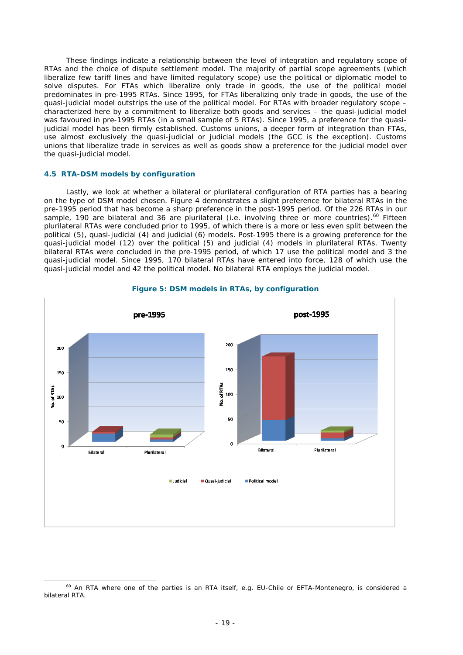These findings indicate a relationship between the level of integration and regulatory scope of RTAs and the choice of dispute settlement model. The majority of partial scope agreements (which liberalize few tariff lines and have limited regulatory scope) use the political or diplomatic model to solve disputes. For FTAs which liberalize only trade in goods, the use of the political model predominates in pre-1995 RTAs. Since 1995, for FTAs liberalizing only trade in goods, the use of the quasi-judicial model outstrips the use of the political model. For RTAs with broader regulatory scope – characterized here by a commitment to liberalize both goods and services – the quasi-judicial model was favoured in pre-1995 RTAs (in a small sample of 5 RTAs). Since 1995, a preference for the quasijudicial model has been firmly established. Customs unions, a deeper form of integration than FTAs, use almost exclusively the quasi-judicial or judicial models (the GCC is the exception). Customs unions that liberalize trade in services as well as goods show a preference for the judicial model over the quasi-judicial model.

#### **4.5 RTA-DSM models by configuration**

Lastly, we look at whether a bilateral or plurilateral configuration of RTA parties has a bearing on the type of DSM model chosen. Figure 4 demonstrates a slight preference for bilateral RTAs in the pre-1995 period that has become a sharp preference in the post-1995 period. Of the 226 RTAs in our sample, 190 are bilateral and 36 are plurilateral (i.e. involving three or more countries).<sup>60</sup> Fifteen plurilateral RTAs were concluded prior to 1995, of which there is a more or less even split between the political (5), quasi-judicial (4) and judicial (6) models. Post-1995 there is a growing preference for the quasi-judicial model (12) over the political (5) and judicial (4) models in plurilateral RTAs. Twenty bilateral RTAs were concluded in the pre-1995 period, of which 17 use the political model and 3 the quasi-judicial model. Since 1995, 170 bilateral RTAs have entered into force, 128 of which use the quasi-judicial model and 42 the political model. No bilateral RTA employs the judicial model.



#### **Figure 5: DSM models in RTAs, by configuration**

<sup>&</sup>lt;sup>60</sup> An RTA where one of the parties is an RTA itself, e.g. EU-Chile or EFTA-Montenegro, is considered a bilateral RTA.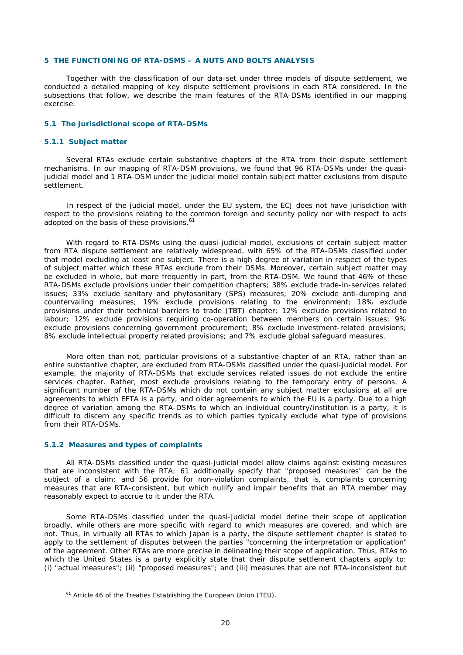## **5 THE FUNCTIONING OF RTA-DSMS – A NUTS AND BOLTS ANALYSIS**

Together with the classification of our data-set under three models of dispute settlement, we conducted a detailed mapping of key dispute settlement provisions in each RTA considered. In the subsections that follow, we describe the main features of the RTA-DSMs identified in our mapping exercise.

#### **5.1 The jurisdictional scope of RTA-DSMs**

#### **5.1.1 Subject matter**

Several RTAs exclude certain substantive chapters of the RTA from their dispute settlement mechanisms. In our mapping of RTA-DSM provisions, we found that 96 RTA-DSMs under the quasijudicial model and 1 RTA-DSM under the judicial model contain subject matter exclusions from dispute settlement.

In respect of the judicial model, under the EU system, the ECJ does not have jurisdiction with respect to the provisions relating to the common foreign and security policy nor with respect to acts adopted on the basis of these provisions.<sup>61</sup>

With regard to RTA-DSMs using the quasi-judicial model, exclusions of certain subject matter from RTA dispute settlement are relatively widespread, with 65% of the RTA-DSMs classified under that model excluding at least one subject. There is a high degree of variation in respect of the types of subject matter which these RTAs exclude from their DSMs. Moreover, certain subject matter may be excluded in whole, but more frequently in part, from the RTA-DSM. We found that 46% of these RTA-DSMs exclude provisions under their competition chapters; 38% exclude trade-in-services related issues; 33% exclude sanitary and phytosanitary (SPS) measures; 20% exclude anti-dumping and countervailing measures; 19% exclude provisions relating to the environment; 18% exclude provisions under their technical barriers to trade (TBT) chapter; 12% exclude provisions related to labour; 12% exclude provisions requiring co-operation between members on certain issues; 9% exclude provisions concerning government procurement; 8% exclude investment-related provisions; 8% exclude intellectual property related provisions; and 7% exclude global safeguard measures.

More often than not, particular provisions of a substantive chapter of an RTA, rather than an entire substantive chapter, are excluded from RTA-DSMs classified under the quasi-judicial model. For example, the majority of RTA-DSMs that exclude services related issues do not exclude the entire services chapter. Rather, most exclude provisions relating to the temporary entry of persons. A significant number of the RTA-DSMs which do not contain any subject matter exclusions at all are agreements to which EFTA is a party, and older agreements to which the EU is a party. Due to a high degree of variation among the RTA-DSMs to which an individual country/institution is a party, it is difficult to discern any specific trends as to which parties typically exclude what type of provisions from their RTA-DSMs.

#### **5.1.2 Measures and types of complaints**

All RTA-DSMs classified under the quasi-judicial model allow claims against existing measures that are inconsistent with the RTA; 61 additionally specify that "proposed measures" can be the subject of a claim; and 56 provide for non-violation complaints, that is, complaints concerning measures that are RTA-consistent, but which nullify and impair benefits that an RTA member may reasonably expect to accrue to it under the RTA.

Some RTA-DSMs classified under the quasi-judicial model define their scope of application broadly, while others are more specific with regard to which measures are covered, and which are not. Thus, in virtually all RTAs to which Japan is a party, the dispute settlement chapter is stated to apply to the settlement of disputes between the parties "concerning the interpretation or application" of the agreement. Other RTAs are more precise in delineating their scope of application. Thus, RTAs to which the United States is a party explicitly state that their dispute settlement chapters apply to: (i) "actual measures"; (ii) "proposed measures"; and (iii) measures that are not RTA-inconsistent but

<sup>&</sup>lt;sup>61</sup> Article 46 of the Treaties Establishing the European Union (TEU).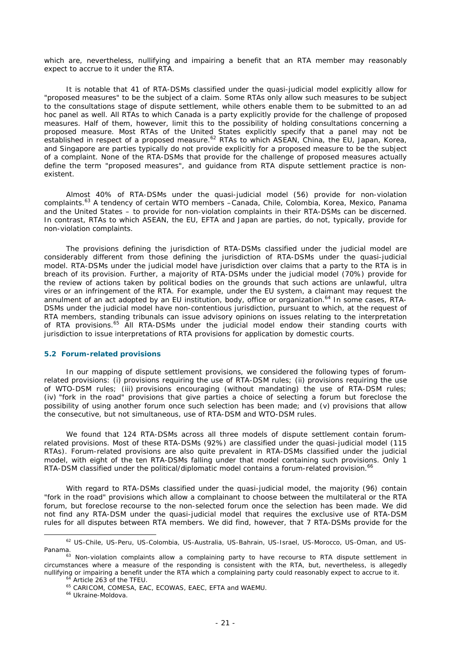which are, nevertheless, nullifying and impairing a benefit that an RTA member may reasonably expect to accrue to it under the RTA.

It is notable that 41 of RTA-DSMs classified under the quasi-judicial model *explicitly* allow for "proposed measures" to be the subject of a claim. Some RTAs only allow such measures to be subject to the consultations stage of dispute settlement, while others enable them to be submitted to an ad hoc panel as well. All RTAs to which Canada is a party explicitly provide for the challenge of proposed measures. Half of them, however, limit this to the possibility of holding consultations concerning a proposed measure. Most RTAs of the United States explicitly specify that a panel may not be established in respect of a proposed measure.<sup>62</sup> RTAs to which ASEAN, China, the EU, Japan, Korea, and Singapore are parties typically do not provide explicitly for a proposed measure to be the subject of a complaint. None of the RTA-DSMs that provide for the challenge of proposed measures actually define the term "proposed measures", and guidance from RTA dispute settlement practice is nonexistent.

Almost 40% of RTA-DSMs under the quasi-judicial model (56) provide for non-violation complaints.63 A tendency of certain WTO members –Canada, Chile, Colombia, Korea, Mexico, Panama and the United States – to provide for non-violation complaints in their RTA-DSMs can be discerned. In contrast, RTAs to which ASEAN, the EU, EFTA and Japan are parties, do not, typically, provide for non-violation complaints.

The provisions defining the jurisdiction of RTA-DSMs classified under the judicial model are considerably different from those defining the jurisdiction of RTA-DSMs under the quasi-judicial model. RTA-DSMs under the judicial model have jurisdiction over claims that a party to the RTA is in breach of its provision. Further, a majority of RTA-DSMs under the judicial model (70%) provide for the review of actions taken by political bodies on the grounds that such actions are unlawful, *ultra vires* or an infringement of the RTA. For example, under the EU system, a claimant may request the annulment of an act adopted by an EU institution, body, office or organization.<sup>64</sup> In some cases, RTA-DSMs under the judicial model have non-contentious jurisdiction, pursuant to which, at the request of RTA members, standing tribunals can issue advisory opinions on issues relating to the interpretation of RTA provisions.<sup>65</sup> All RTA-DSMs under the judicial model endow their standing courts with jurisdiction to issue interpretations of RTA provisions for application by domestic courts.

## **5.2 Forum-related provisions**

In our mapping of dispute settlement provisions, we considered the following types of forumrelated provisions: (i) provisions requiring the use of RTA-DSM rules; (ii) provisions requiring the use of WTO-DSM rules; (iii) provisions encouraging (without mandating) the use of RTA-DSM rules; (iv) "fork in the road" provisions that give parties a choice of selecting a forum but foreclose the possibility of using another forum once such selection has been made; and (v) provisions that allow the consecutive, but not simultaneous, use of RTA-DSM and WTO-DSM rules.

We found that 124 RTA-DSMs across all three models of dispute settlement contain forumrelated provisions. Most of these RTA-DSMs (92%) are classified under the quasi-judicial model (115 RTAs). Forum-related provisions are also quite prevalent in RTA-DSMs classified under the judicial model, with eight of the ten RTA-DSMs falling under that model containing such provisions. Only 1 RTA-DSM classified under the political/diplomatic model contains a forum-related provision.<sup>66</sup>

With regard to RTA-DSMs classified under the quasi-judicial model, the majority (96) contain "fork in the road" provisions which allow a complainant to choose between the multilateral or the RTA forum, but foreclose recourse to the non-selected forum once the selection has been made. We did not find any RTA-DSM under the quasi-judicial model that requires the exclusive use of RTA-DSM rules for *all* disputes between RTA members. We did find, however, that 7 RTA-DSMs provide for the

<sup>&</sup>lt;sup>62</sup> US-Chile, US-Peru, US-Colombia, US-Australia, US-Bahrain, US-Israel, US-Morocco, US-Oman, and US-Panama.<br><sup>63</sup> Non-violation complaints allow a complaining party to have recourse to RTA dispute settlement in

circumstances where a measure of the responding is consistent with the RTA, but, nevertheless, is allegedly nullifying or impairing a benefit under the RTA which a complaining party could reasonably expect to accrue to it.<br><sup>64</sup> Article 263 of the TFEU.<br><sup>65</sup> CARICOM, COMESA, EAC, ECOWAS, EAEC, EFTA and WAEMU.<br><sup>66</sup> Ukraine-Moldova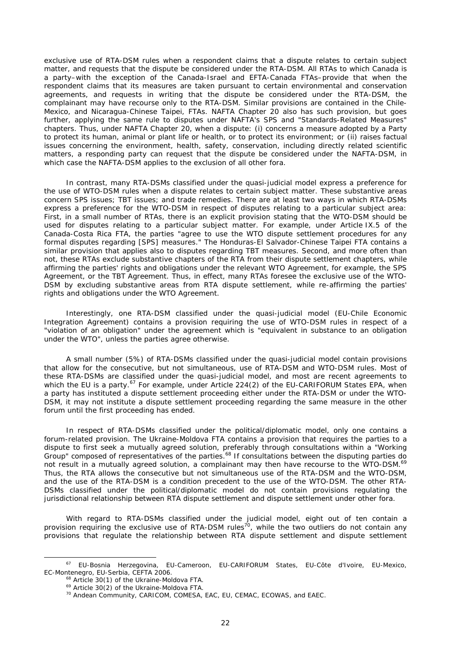exclusive use of RTA-DSM rules when a respondent claims that a dispute relates to certain subject matter, and requests that the dispute be considered under the RTA-DSM. All RTAs to which Canada is a party–with the exception of the Canada-Israel and EFTA-Canada FTAs–provide that when the respondent claims that its measures are taken pursuant to certain environmental and conservation agreements, and requests in writing that the dispute be considered under the RTA-DSM, the complainant may have recourse only to the RTA-DSM. Similar provisions are contained in the Chile-Mexico, and Nicaragua-Chinese Taipei, FTAs. NAFTA Chapter 20 also has such provision, but goes further, applying the same rule to disputes under NAFTA's SPS and "Standards-Related Measures" chapters. Thus, under NAFTA Chapter 20, when a dispute: (i) concerns a measure adopted by a Party to protect its human, animal or plant life or health, or to protect its environment; or (ii) raises factual issues concerning the environment, health, safety, conservation, including directly related scientific matters, a responding party can request that the dispute be considered under the NAFTA-DSM, in which case the NAFTA-DSM applies to the exclusion of all other fora.

In contrast, many RTA-DSMs classified under the quasi-judicial model express a preference for the use of WTO-DSM rules when a dispute relates to certain subject matter. These substantive areas concern SPS issues; TBT issues; and trade remedies. There are at least two ways in which RTA-DSMs express a preference for the WTO-DSM in respect of disputes relating to a particular subject area: First, in a small number of RTAs, there is an explicit provision stating that the WTO-DSM should be used for disputes relating to a particular subject matter. For example, under Article IX.5 of the Canada-Costa Rica FTA, the parties "agree to use the WTO dispute settlement procedures for any formal disputes regarding [SPS] measures." The Honduras-El Salvador-Chinese Taipei FTA contains a similar provision that applies also to disputes regarding TBT measures. Second, and more often than not, these RTAs exclude substantive chapters of the RTA from their dispute settlement chapters, while affirming the parties' rights and obligations under the relevant WTO Agreement, for example, the SPS Agreement, or the TBT Agreement. Thus, in effect, many RTAs foresee the exclusive use of the WTO-DSM by excluding substantive areas from RTA dispute settlement, while re-affirming the parties' rights and obligations under the WTO Agreement.

Interestingly, one RTA-DSM classified under the quasi-judicial model (EU-Chile Economic Integration Agreement) contains a provision requiring the use of WTO-DSM rules in respect of a "violation of an obligation" under the agreement which is "equivalent in substance to an obligation under the WTO", unless the parties agree otherwise.

A small number (5%) of RTA-DSMs classified under the quasi-judicial model contain provisions that allow for the consecutive, but not simultaneous, use of RTA-DSM and WTO-DSM rules. Most of these RTA-DSMs are classified under the quasi-judicial model, and most are recent agreements to which the EU is a party.<sup>67</sup> For example, under Article 224(2) of the EU-CARIFORUM States EPA, when a party has instituted a dispute settlement proceeding either under the RTA-DSM or under the WTO-DSM, it may not institute a dispute settlement proceeding regarding the same measure in the other forum until the first proceeding has ended.

In respect of RTA-DSMs classified under the political/diplomatic model, only one contains a forum-related provision. The Ukraine-Moldova FTA contains a provision that requires the parties to a dispute to first seek a mutually agreed solution, preferably through consultations within a "Working Group" composed of representatives of the parties.<sup>68</sup> If consultations between the disputing parties do not result in a mutually agreed solution, a complainant may then have recourse to the WTO-DSM.<sup>69</sup> Thus, the RTA allows the consecutive but not simultaneous use of the RTA-DSM and the WTO-DSM, and the use of the RTA-DSM is a condition precedent to the use of the WTO-DSM. The other RTA-DSMs classified under the political/diplomatic model do not contain provisions regulating the jurisdictional relationship between RTA dispute settlement and dispute settlement under other fora.

With regard to RTA-DSMs classified under the judicial model, eight out of ten contain a provision requiring the exclusive use of RTA-DSM rules<sup>70</sup>, while the two outliers do not contain any provisions that regulate the relationship between RTA dispute settlement and dispute settlement

 <sup>67</sup> EU-Bosnia Herzegovina, EU-Cameroon, EU-CARIFORUM States, EU-Côte d'Ivoire, EU-Mexico, EC-Montenegro, EU-Serbia, CEFTA 2006.<br><sup>68</sup> Article 30(1) of the Ukraine-Moldova FTA.<br><sup>69</sup> Article 30(2) of the Ukraine-Moldova FTA.<br><sup>70</sup> Andean Community, CARICOM, COMESA, EAC, EU, CEMAC, ECOWAS, and EAEC.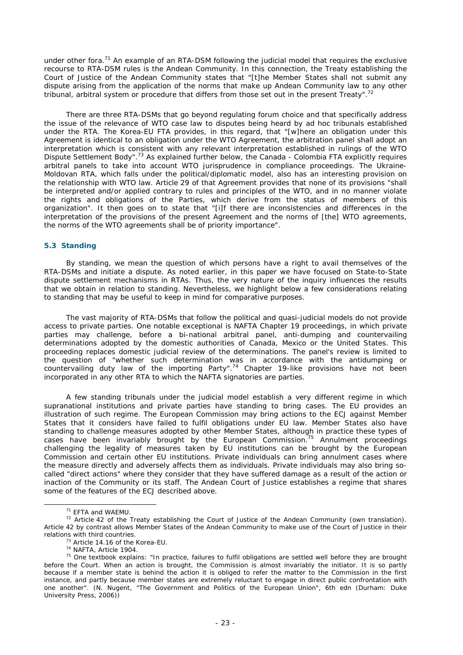under other fora.<sup>71</sup> An example of an RTA-DSM following the judicial model that requires the exclusive recourse to RTA-DSM rules is the Andean Community. In this connection, the Treaty establishing the Court of Justice of the Andean Community states that "[t]he Member States shall not submit any dispute arising from the application of the norms that make up Andean Community law to any other tribunal, arbitral system or procedure that differs from those set out in the present Treaty".72

There are three RTA-DSMs that go beyond regulating forum choice and that specifically address the issue of the relevance of WTO case law to disputes being heard by ad hoc tribunals established under the RTA. The Korea-EU FTA provides, in this regard, that "[w]here an obligation under this Agreement is identical to an obligation under the WTO Agreement, the arbitration panel shall adopt an interpretation which is consistent with any relevant interpretation established in rulings of the WTO Dispute Settlement Body".<sup>73</sup> As explained further below, the Canada - Colombia FTA explicitly requires arbitral panels to take into account WTO jurisprudence in compliance proceedings. The Ukraine-Moldovan RTA, which falls under the political/diplomatic model, also has an interesting provision on the relationship with WTO law. Article 29 of that Agreement provides that none of its provisions "shall be interpreted and/or applied contrary to rules and principles of the WTO, and in no manner violate the rights and obligations of the Parties, which derive from the status of members of this organization". It then goes on to state that "[i]f there are inconsistencies and differences in the interpretation of the provisions of the present Agreement and the norms of [the] WTO agreements, the norms of the WTO agreements shall be of priority importance".

## **5.3 Standing**

By standing, we mean the question of which persons have a right to avail themselves of the RTA-DSMs and initiate a dispute. As noted earlier, in this paper we have focused on State-to-State dispute settlement mechanisms in RTAs. Thus, the very nature of the inquiry influences the results that we obtain in relation to standing. Nevertheless, we highlight below a few considerations relating to standing that may be useful to keep in mind for comparative purposes.

The vast majority of RTA-DSMs that follow the political and quasi-judicial models do not provide access to private parties. One notable exceptional is NAFTA Chapter 19 proceedings, in which private parties may challenge, before a bi-national arbitral panel, anti-dumping and countervailing determinations adopted by the domestic authorities of Canada, Mexico or the United States. This proceeding replaces domestic judicial review of the determinations. The panel's review is limited to the question of "whether such determination was in accordance with the antidumping or countervailing duty law of the importing Party".<sup>74</sup> Chapter 19-like provisions have not been incorporated in any other RTA to which the NAFTA signatories are parties.

A few standing tribunals under the judicial model establish a very different regime in which supranational institutions and private parties have standing to bring cases. The EU provides an illustration of such regime. The European Commission may bring actions to the ECJ against Member States that it considers have failed to fulfil obligations under EU law. Member States also have standing to challenge measures adopted by other Member States, although in practice these types of cases have been invariably brought by the European Commission.<sup>75</sup> Annulment proceedings challenging the legality of measures taken by EU institutions can be brought by the European Commission and certain other EU institutions. Private individuals can bring annulment cases where the measure directly and adversely affects them as individuals. Private individuals may also bring socalled "direct actions" where they consider that they have suffered damage as a result of the action or inaction of the Community or its staff. The Andean Court of Justice establishes a regime that shares some of the features of the ECJ described above.

<sup>&</sup>lt;sup>71</sup> EFTA and WAEMU.<br><sup>72</sup> Article 42 of the Treaty establishing the Court of Justice of the Andean Community (own translation). Article 42 by contrast allows Member States of the Andean Community to make use of the Court of Justice in their relations with third countries.<br><sup>73</sup> Article 14.16 of the Korea-EU.<br><sup>74</sup> NAFTA, Article 1904.<br><sup>75</sup> One textbook explains: "In practice, failures to fulfil obligations are settled well before they are brought

before the Court. When an action is brought, the Commission is almost invariably the initiator. It is so partly because if a member state is behind the action it is obliged to refer the matter to the Commission in the first instance, and partly because member states are extremely reluctant to engage in direct public confrontation with one another". (N. Nugent, "The Government and Politics of the European Union", 6th edn (Durham: Duke University Press, 2006))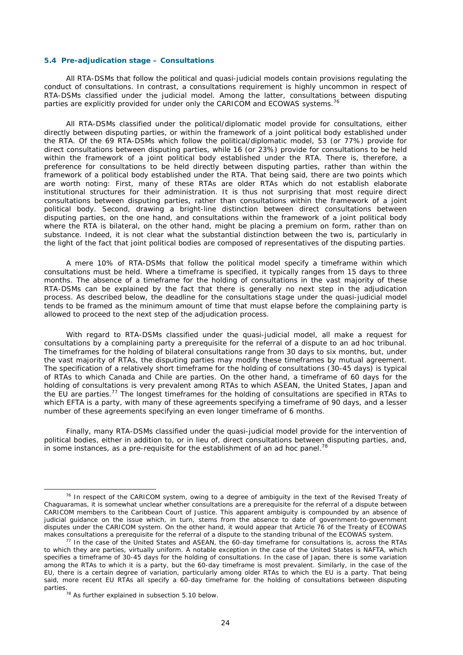#### **5.4 Pre-adjudication stage – Consultations**

All RTA-DSMs that follow the political and quasi-judicial models contain provisions regulating the conduct of consultations. In contrast, a consultations requirement is highly uncommon in respect of RTA-DSMs classified under the judicial model. Among the latter, consultations between disputing parties are explicitly provided for under only the CARICOM and ECOWAS systems.<sup>76</sup>

All RTA-DSMs classified under the political/diplomatic model provide for consultations, either directly between disputing parties, or within the framework of a joint political body established under the RTA. Of the 69 RTA-DSMs which follow the political/diplomatic model, 53 (or 77%) provide for direct consultations between disputing parties, while 16 (or 23%) provide for consultations to be held within the framework of a joint political body established under the RTA. There is, therefore, a preference for consultations to be held directly between disputing parties, rather than within the framework of a political body established under the RTA. That being said, there are two points which are worth noting: First, many of these RTAs are older RTAs which do not establish elaborate institutional structures for their administration. It is thus not surprising that most require direct consultations between disputing parties, rather than consultations within the framework of a joint political body. Second, drawing a bright-line distinction between direct consultations between disputing parties, on the one hand, and consultations within the framework of a joint political body where the RTA is bilateral, on the other hand, might be placing a premium on form, rather than on substance. Indeed, it is not clear what the substantial distinction between the two is, particularly in the light of the fact that joint political bodies are composed of representatives of the disputing parties.

A mere 10% of RTA-DSMs that follow the political model specify a timeframe within which consultations must be held. Where a timeframe is specified, it typically ranges from 15 days to three months. The absence of a timeframe for the holding of consultations in the vast majority of these RTA-DSMs can be explained by the fact that there is generally no next step in the adjudication process. As described below, the deadline for the consultations stage under the quasi-judicial model tends to be framed as the minimum amount of time that must elapse before the complaining party is allowed to proceed to the next step of the adjudication process.

With regard to RTA-DSMs classified under the quasi-judicial model, all make a request for consultations by a complaining party a prerequisite for the referral of a dispute to an ad hoc tribunal. The timeframes for the holding of bilateral consultations range from 30 days to six months, but, under the vast majority of RTAs, the disputing parties may modify these timeframes by mutual agreement. The specification of a relatively short timeframe for the holding of consultations (30-45 days) is typical of RTAs to which Canada and Chile are parties. On the other hand, a timeframe of 60 days for the holding of consultations is very prevalent among RTAs to which ASEAN, the United States, Japan and the EU are parties.77 The longest timeframes for the holding of consultations are specified in RTAs to which EFTA is a party, with many of these agreements specifying a timeframe of 90 days, and a lesser number of these agreements specifying an even longer timeframe of 6 months.

Finally, many RTA-DSMs classified under the quasi-judicial model provide for the intervention of political bodies, either in addition to, or in lieu of, direct consultations between disputing parties, and, in some instances, as a pre-requisite for the establishment of an ad hoc panel.<sup>78</sup>

<sup>&</sup>lt;sup>76</sup> In respect of the CARICOM system, owing to a degree of ambiguity in the text of the Revised Treaty of Chaguaramas, it is somewhat unclear whether consultations are a prerequisite for the referral of a dispute between CARICOM members to the Caribbean Court of Justice. This apparent ambiguity is compounded by an absence of judicial guidance on the issue which, in turn, stems from the absence to date of government-to-government disputes under the CARICOM system. On the other hand, it would appear that Article 76 of the Treaty of ECOWAS makes consultations a prerequisite for the referral of a dispute to the standing tribunal of the ECOWAS system.<br><sup>77</sup> In the case of the United States and ASEAN, the 60-day timeframe for consultations is, across the RTAs

to which they are parties, virtually uniform. A notable exception in the case of the United States is NAFTA, which specifies a timeframe of 30-45 days for the holding of consultations. In the case of Japan, there is some variation among the RTAs to which it is a party, but the 60-day timeframe is most prevalent. Similarly, in the case of the EU, there is a certain degree of variation, particularly among older RTAs to which the EU is a party. That being said, more recent EU RTAs all specify a 60-day timeframe for the holding of consultations between disputing parties.<br> $78$  As further explained in subsection 5.10 below.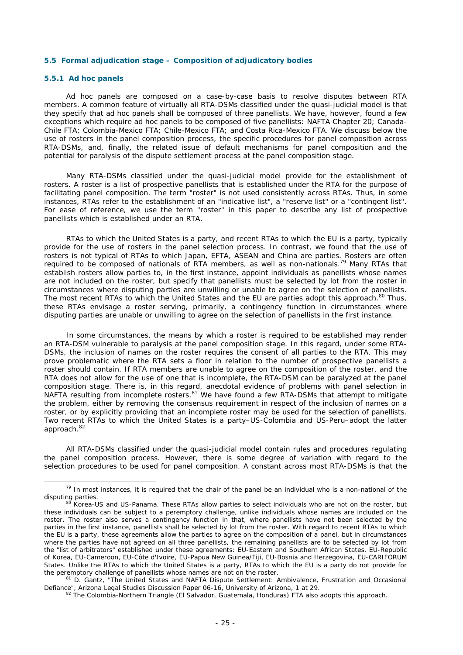#### **5.5 Formal adjudication stage – Composition of adjudicatory bodies**

#### **5.5.1 Ad hoc panels**

Ad hoc panels are composed on a case-by-case basis to resolve disputes between RTA members. A common feature of virtually all RTA-DSMs classified under the quasi-judicial model is that they specify that ad hoc panels shall be composed of three panellists. We have, however, found a few exceptions which require ad hoc panels to be composed of five panellists: NAFTA Chapter 20; Canada-Chile FTA; Colombia-Mexico FTA; Chile-Mexico FTA; and Costa Rica-Mexico FTA. We discuss below the use of rosters in the panel composition process, the specific procedures for panel composition across RTA-DSMs, and, finally, the related issue of default mechanisms for panel composition and the potential for paralysis of the dispute settlement process at the panel composition stage.

Many RTA-DSMs classified under the quasi-judicial model provide for the establishment of rosters. A roster is a list of prospective panellists that is established under the RTA for the purpose of facilitating panel composition. The term "roster" is not used consistently across RTAs. Thus, in some instances, RTAs refer to the establishment of an "indicative list", a "reserve list" or a "contingent list". For ease of reference, we use the term "roster" in this paper to describe any list of prospective panellists which is established under an RTA.

RTAs to which the United States is a party, and recent RTAs to which the EU is a party, typically provide for the use of rosters in the panel selection process. In contrast, we found that the use of rosters is not typical of RTAs to which Japan, EFTA, ASEAN and China are parties. Rosters are often required to be composed of nationals of RTA members, as well as non-nationals.79 Many RTAs that establish rosters allow parties to, in the first instance, appoint individuals as panellists whose names are not included on the roster, but specify that panellists must be selected by lot from the roster in circumstances where disputing parties are unwilling or unable to agree on the selection of panellists. The most recent RTAs to which the United States and the EU are parties adopt this approach.<sup>80</sup> Thus, these RTAs envisage a roster serving, primarily, a contingency function in circumstances where disputing parties are unable or unwilling to agree on the selection of panellists in the first instance.

In some circumstances, the means by which a roster is required to be established may render an RTA-DSM vulnerable to paralysis at the panel composition stage. In this regard, under some RTA-DSMs, the inclusion of names on the roster requires the consent of all parties to the RTA. This may prove problematic where the RTA sets a floor in relation to the number of prospective panellists a roster should contain. If RTA members are unable to agree on the composition of the roster, and the RTA does not allow for the use of one that is incomplete, the RTA-DSM can be paralyzed at the panel composition stage. There is, in this regard, anecdotal evidence of problems with panel selection in NAFTA resulting from incomplete rosters.<sup>81</sup> We have found a few RTA-DSMs that attempt to mitigate the problem, either by removing the consensus requirement in respect of the inclusion of names on a roster, or by explicitly providing that an incomplete roster may be used for the selection of panellists. Two recent RTAs to which the United States is a party–US-Colombia and US-Peru–adopt the latter approach.<sup>82</sup>

All RTA-DSMs classified under the quasi-judicial model contain rules and procedures regulating the panel composition process. However, there is some degree of variation with regard to the selection procedures to be used for panel composition. A constant across most RTA-DSMs is that the

<sup>&</sup>lt;sup>79</sup> In most instances, it is required that the chair of the panel be an individual who is a non-national of the disputing parties.<br><sup>80</sup> Korea-US and US-Panama. These RTAs allow parties to select individuals who are not on the roster, but

these individuals can be subject to a peremptory challenge, unlike individuals whose names are included on the roster. The roster also serves a contingency function in that, where panellists have not been selected by the parties in the first instance, panellists shall be selected by lot from the roster. With regard to recent RTAs to which the EU is a party, these agreements allow the parties to agree on the composition of a panel, but in circumstances where the parties have not agreed on all three panellists, the remaining panellists are to be selected by lot from the "list of arbitrators" established under these agreements: EU-Eastern and Southern African States, EU-Republic of Korea, EU-Cameroon, EU-Côte d'Ivoire, EU-Papua New Guinea/Fiji, EU-Bosnia and Herzegovina, EU-CARIFORUM States. Unlike the RTAs to which the United States is a party, RTAs to which the EU is a party do not provide for the peremptory challenge of panellists whose names are not on the roster.<br><sup>81</sup> D. Gantz, "The United States and NAFTA Dispute Settlement: Ambivalence, Frustration and Occasional

Defiance", Arizona Legal Studies Discussion Paper 06-16, University of Arizona, 1 at 29.<br><sup>82</sup> The Colombia-Northern Triangle (El Salvador, Guatemala, Honduras) FTA also adopts this approach.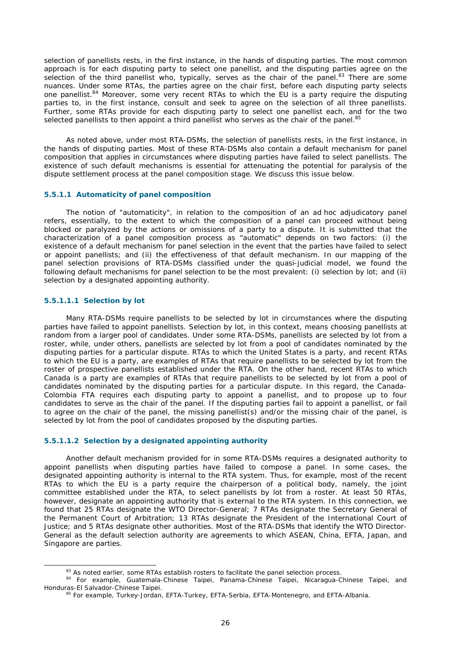selection of panellists rests, in the first instance, in the hands of disputing parties. The most common approach is for each disputing party to select one panellist, and the disputing parties agree on the selection of the third panellist who, typically, serves as the chair of the panel.<sup>83</sup> There are some nuances. Under some RTAs, the parties agree on the chair first, before each disputing party selects one panellist.<sup>84</sup> Moreover, some very recent RTAs to which the EU is a party require the disputing parties to, in the first instance, consult and seek to agree on the selection of all three panellists. Further, some RTAs provide for each disputing party to select one panellist each, and for the two selected panellists to then appoint a third panellist who serves as the chair of the panel.<sup>85</sup>

As noted above, under most RTA-DSMs, the selection of panellists rests, in the first instance, in the hands of disputing parties. Most of these RTA-DSMs also contain a default mechanism for panel composition that applies in circumstances where disputing parties have failed to select panellists. The existence of such default mechanisms is essential for attenuating the potential for paralysis of the dispute settlement process at the panel composition stage. We discuss this issue below.

## **5.5.1.1 Automaticity of panel composition**

The notion of "automaticity", in relation to the composition of an ad hoc adjudicatory panel refers, essentially, to the extent to which the composition of a panel can proceed without being blocked or paralyzed by the actions or omissions of a party to a dispute. It is submitted that the characterization of a panel composition process as "automatic" depends on two factors: (i) the existence of a default mechanism for panel selection in the event that the parties have failed to select or appoint panellists; and (ii) the effectiveness of that default mechanism. In our mapping of the panel selection provisions of RTA-DSMs classified under the quasi-judicial model, we found the following default mechanisms for panel selection to be the most prevalent: (i) selection by lot; and (ii) selection by a designated appointing authority.

#### **5.5.1.1.1 Selection by lot**

Many RTA-DSMs require panellists to be selected by lot in circumstances where the disputing parties have failed to appoint panellists. Selection by lot, in this context, means choosing panellists at random from a larger pool of candidates. Under some RTA-DSMs, panellists are selected by lot from a roster, while, under others, panellists are selected by lot from a pool of candidates nominated by the disputing parties for a particular dispute. RTAs to which the United States is a party, and recent RTAs to which the EU is a party, are examples of RTAs that require panellists to be selected by lot from the roster of prospective panellists established under the RTA. On the other hand, recent RTAs to which Canada is a party are examples of RTAs that require panellists to be selected by lot from a pool of candidates nominated by the disputing parties for a particular dispute. In this regard, the Canada-Colombia FTA requires each disputing party to appoint a panellist, and to propose up to four candidates to serve as the chair of the panel. If the disputing parties fail to appoint a panellist, or fail to agree on the chair of the panel, the missing panellist(s) and/or the missing chair of the panel, is selected by lot from the pool of candidates proposed by the disputing parties.

## **5.5.1.1.2 Selection by a designated appointing authority**

Another default mechanism provided for in some RTA-DSMs requires a designated authority to appoint panellists when disputing parties have failed to compose a panel. In some cases, the designated appointing authority is internal to the RTA system. Thus, for example, most of the recent RTAs to which the EU is a party require the chairperson of a political body, namely, the joint committee established under the RTA, to select panellists by lot from a roster. At least 50 RTAs, however, designate an appointing authority that is external to the RTA system. In this connection, we found that 25 RTAs designate the WTO Director-General; 7 RTAs designate the Secretary General of the Permanent Court of Arbitration; 13 RTAs designate the President of the International Court of Justice; and 5 RTAs designate other authorities. Most of the RTA-DSMs that identify the WTO Director-General as the default selection authority are agreements to which ASEAN, China, EFTA, Japan, and Singapore are parties.

<sup>&</sup>lt;sup>83</sup> As noted earlier, some RTAs establish rosters to facilitate the panel selection process.<br><sup>84</sup> For example, Guatemala-Chinese Taipei, Panama-Chinese Taipei, Nicaragua-Chinese Taipei, and<br>Honduras-El Salvador-Chinese Ta

<sup>85</sup> For example, Turkey-Jordan, EFTA-Turkey, EFTA-Serbia, EFTA-Montenegro, and EFTA-Albania.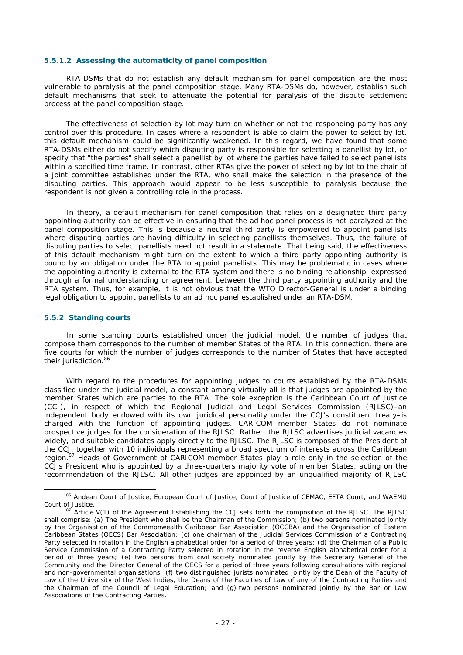#### **5.5.1.2 Assessing the automaticity of panel composition**

RTA-DSMs that do not establish any default mechanism for panel composition are the most vulnerable to paralysis at the panel composition stage. Many RTA-DSMs do, however, establish such default mechanisms that seek to attenuate the potential for paralysis of the dispute settlement process at the panel composition stage.

The effectiveness of selection by lot may turn on whether or not the responding party has any control over this procedure. In cases where a respondent is able to claim the power to select by lot, this default mechanism could be significantly weakened. In this regard, we have found that some RTA-DSMs either do not specify which disputing party is responsible for selecting a panellist by lot, or specify that "the parties" shall select a panellist by lot where the parties have failed to select panellists within a specified time frame. In contrast, other RTAs give the power of selecting by lot to the chair of a joint committee established under the RTA, who shall make the selection in the presence of the disputing parties. This approach would appear to be less susceptible to paralysis because the respondent is not given a controlling role in the process.

In theory, a default mechanism for panel composition that relies on a designated third party appointing authority can be effective in ensuring that the ad hoc panel process is not paralyzed at the panel composition stage. This is because a neutral third party is empowered to appoint panellists where disputing parties are having difficulty in selecting panellists themselves. Thus, the failure of disputing parties to select panellists need not result in a stalemate. That being said, the effectiveness of this default mechanism might turn on the extent to which a third party appointing authority is bound by an obligation under the RTA to appoint panellists. This may be problematic in cases where the appointing authority is external to the RTA system and there is no binding relationship, expressed through a formal understanding or agreement, between the third party appointing authority and the RTA system. Thus, for example, it is not obvious that the WTO Director-General is under a binding legal obligation to appoint panellists to an ad hoc panel established under an RTA-DSM.

#### **5.5.2 Standing courts**

In some standing courts established under the judicial model, the number of judges that compose them corresponds to the number of member States of the RTA. In this connection, there are five courts for which the number of judges corresponds to the number of States that have accepted their jurisdiction.<sup>86</sup>

With regard to the procedures for appointing judges to courts established by the RTA-DSMs classified under the judicial model, a constant among virtually all is that judges are appointed by the member States which are parties to the RTA. The sole exception is the Caribbean Court of Justice (CCJ), in respect of which the Regional Judicial and Legal Services Commission (RJLSC)–an independent body endowed with its own juridical personality under the CCJ's constituent treaty–is charged with the function of appointing judges. CARICOM member States do not nominate prospective judges for the consideration of the RJLSC. Rather, the RJLSC advertises judicial vacancies widely, and suitable candidates apply directly to the RJLSC. The RJLSC is composed of the President of the CCJ, together with 10 individuals representing a broad spectrum of interests across the Caribbean region.87 Heads of Government of CARICOM member States play a role only in the selection of the CCJ's President who is appointed by a three-quarters majority vote of member States, acting on the recommendation of the RJLSC. All other judges are appointed by an unqualified majority of RJLSC

<sup>86</sup> Andean Court of Justice, European Court of Justice, Court of Justice of CEMAC, EFTA Court, and WAEMU Court of Justice.<br><sup>87</sup> Article V(1) of the Agreement Establishing the CCJ sets forth the composition of the RJLSC. The RJLSC

shall comprise: (a) The President who shall be the Chairman of the Commission; (b) two persons nominated jointly by the Organisation of the Commonwealth Caribbean Bar Association (OCCBA) and the Organisation of Eastern Caribbean States (OECS) Bar Association; (c) one chairman of the Judicial Services Commission of a Contracting Party selected in rotation in the English alphabetical order for a period of three years; (d) the Chairman of a Public Service Commission of a Contracting Party selected in rotation in the reverse English alphabetical order for a period of three years; (e) two persons from civil society nominated jointly by the Secretary General of the Community and the Director General of the OECS for a period of three years following consultations with regional and non-governmental organisations; (f) two distinguished jurists nominated jointly by the Dean of the Faculty of Law of the University of the West Indies, the Deans of the Faculties of Law of any of the Contracting Parties and the Chairman of the Council of Legal Education; and (g) two persons nominated jointly by the Bar or Law Associations of the Contracting Parties.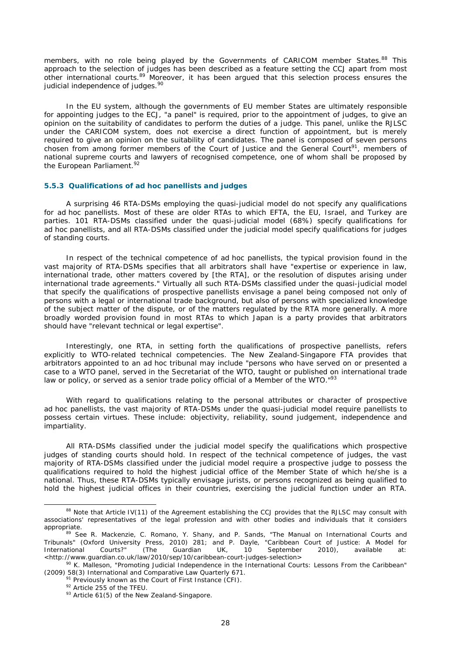members, with no role being played by the Governments of CARICOM member States.<sup>88</sup> This approach to the selection of judges has been described as a feature setting the CCJ apart from most other international courts.<sup>89</sup> Moreover, it has been argued that this selection process ensures the judicial independence of judges.<sup>90</sup>

In the EU system, although the governments of EU member States are ultimately responsible for appointing judges to the ECJ, "a panel" is required, prior to the appointment of judges, to give an opinion on the suitability of candidates to perform the duties of a judge. This panel, unlike the RJLSC under the CARICOM system, does not exercise a direct function of appointment, but is merely required to give an opinion on the suitability of candidates. The panel is composed of seven persons chosen from among former members of the Court of Justice and the General Court<sup>91</sup>, members of national supreme courts and lawyers of recognised competence, one of whom shall be proposed by the European Parliament.<sup>92</sup>

## **5.5.3 Qualifications of ad hoc panellists and judges**

A surprising 46 RTA-DSMs employing the quasi-judicial model do not specify any qualifications for ad hoc panellists. Most of these are older RTAs to which EFTA, the EU, Israel, and Turkey are parties. 101 RTA-DSMs classified under the quasi-judicial model (68%) specify qualifications for ad hoc panellists, and all RTA-DSMs classified under the judicial model specify qualifications for judges of standing courts.

In respect of the technical competence of ad hoc panellists, the typical provision found in the vast majority of RTA-DSMs specifies that all arbitrators shall have "expertise or experience in law, international trade, other matters covered by [the RTA], or the resolution of disputes arising under international trade agreements." Virtually all such RTA-DSMs classified under the quasi-judicial model that specify the qualifications of prospective panellists envisage a panel being composed not only of persons with a legal or international trade background, but also of persons with specialized knowledge of the subject matter of the dispute, or of the matters regulated by the RTA more generally. A more broadly worded provision found in most RTAs to which Japan is a party provides that arbitrators should have "relevant technical or legal expertise".

Interestingly, one RTA, in setting forth the qualifications of prospective panellists, refers explicitly to WTO-related technical competencies. The New Zealand-Singapore FTA provides that arbitrators appointed to an ad hoc tribunal may include "persons who have served on or presented a case to a WTO panel, served in the Secretariat of the WTO, taught or published on international trade law or policy, or served as a senior trade policy official of a Member of the WTO."<sup>93</sup>

With regard to qualifications relating to the personal attributes or character of prospective ad hoc panellists, the vast majority of RTA-DSMs under the quasi-judicial model require panellists to possess certain virtues. These include: objectivity, reliability, sound judgement, independence and impartiality.

All RTA-DSMs classified under the judicial model specify the qualifications which prospective judges of standing courts should hold. In respect of the technical competence of judges, the vast majority of RTA-DSMs classified under the judicial model require a prospective judge to possess the qualifications required to hold the highest judicial office of the Member State of which he/she is a national. Thus, these RTA-DSMs typically envisage jurists, or persons recognized as being qualified to hold the highest judicial offices in their countries, exercising the judicial function under an RTA.

<sup>88</sup> Note that Article IV(11) of the Agreement establishing the CCJ provides that the RJLSC may consult with associations' representatives of the legal profession and with other bodies and individuals that it considers appropriate.<br><sup>89</sup> See R. Mackenzie, C. Romano, Y. Shany, and P. Sands, "The Manual on International Courts and

Tribunals" (Oxford University Press, 2010) 281; and P. Dayle, "Caribbean Court of Justice: A Model for International Courts?" (The Guardian UK, 10 September 2010), available at: <http://www.guardian.co.uk/law/2010/sep/10/caribbean-court-judges-selection> 90 K. Malleson, "Promoting Judicial Independence in the International Courts: Lessons From the Caribbean"

<sup>(2009) 58(3)</sup> *International and Comparative Law Quarterly 671*.<br><sup>91</sup> Previously known as the Court of First Instance (CFI).<br><sup>92</sup> Article 255 of the TFEU.<br><sup>93</sup> Article 61(5) of the New Zealand-Singapore.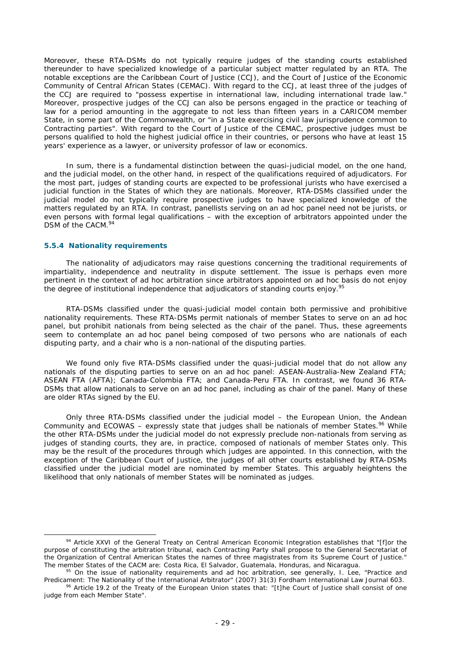Moreover, these RTA-DSMs do not typically require judges of the standing courts established thereunder to have specialized knowledge of a particular subject matter regulated by an RTA. The notable exceptions are the Caribbean Court of Justice (CCJ), and the Court of Justice of the Economic Community of Central African States (CEMAC). With regard to the CCJ, at least three of the judges of the CCJ are required to "possess expertise in international law, including international trade law." Moreover, prospective judges of the CCJ can also be persons engaged in the practice or teaching of law for a period amounting in the aggregate to not less than fifteen years in a CARICOM member State, in some part of the Commonwealth, or "in a State exercising civil law jurisprudence common to Contracting parties". With regard to the Court of Justice of the CEMAC, prospective judges must be persons qualified to hold the highest judicial office in their countries, or persons who have at least 15 years' experience as a lawyer, or university professor of law or economics.

In sum, there is a fundamental distinction between the quasi-judicial model, on the one hand, and the judicial model, on the other hand, in respect of the qualifications required of adjudicators. For the most part, judges of standing courts are expected to be professional jurists who have exercised a judicial function in the States of which they are nationals. Moreover, RTA-DSMs classified under the judicial model do not typically require prospective judges to have specialized knowledge of the matters regulated by an RTA. In contrast, panellists serving on an ad hoc panel need not be jurists, or even persons with formal legal qualifications – with the exception of arbitrators appointed under the DSM of the CACM.<sup>94</sup>

## **5.5.4 Nationality requirements**

The nationality of adjudicators may raise questions concerning the traditional requirements of impartiality, independence and neutrality in dispute settlement. The issue is perhaps even more pertinent in the context of ad hoc arbitration since arbitrators appointed on ad hoc basis do not enjoy the degree of institutional independence that adjudicators of standing courts enjoy.<sup>5</sup>

RTA-DSMs classified under the quasi-judicial model contain both permissive and prohibitive nationality requirements. These RTA-DSMs permit nationals of member States to serve on an ad hoc panel, but prohibit nationals from being selected as the chair of the panel. Thus, these agreements seem to contemplate an ad hoc panel being composed of two persons who are nationals of each disputing party, and a chair who is a non-national of the disputing parties.

We found only five RTA-DSMs classified under the quasi-judicial model that do not allow any nationals of the disputing parties to serve on an ad hoc panel: ASEAN-Australia-New Zealand FTA; ASEAN FTA (AFTA); Canada-Colombia FTA; and Canada-Peru FTA. In contrast, we found 36 RTA-DSMs that allow nationals to serve on an ad hoc panel, including as chair of the panel. Many of these are older RTAs signed by the EU.

Only three RTA-DSMs classified under the judicial model – the European Union, the Andean Community and ECOWAS – expressly state that judges shall be nationals of member States.<sup>96</sup> While the other RTA-DSMs under the judicial model do not *expressly* preclude non-nationals from serving as judges of standing courts, they are, in practice, composed of nationals of member States only. This may be the result of the procedures through which judges are appointed. In this connection, with the exception of the Caribbean Court of Justice, the judges of all other courts established by RTA-DSMs classified under the judicial model are nominated by member States. This arguably heightens the likelihood that only nationals of member States will be nominated as judges.

<sup>94</sup> Article XXVI of the General Treaty on Central American Economic Integration establishes that "[f]or the purpose of constituting the arbitration tribunal, each Contracting Party shall propose to the General Secretariat of the Organization of Central American States the names of three magistrates from its Supreme Court of Justice."

The member States of the CACM are: Costa Rica, El Salvador, Guatemala, Honduras, and Nicaragua.<br><sup>95</sup> On the issue of nationality requirements and ad hoc arbitration, see generally, I. Lee, "Practice and<br>Predicament: The Na

<sup>%</sup> Article 19.2 of the Treaty of the European Union states that: "[t]he Court of Justice shall consist of one judge from each Member State".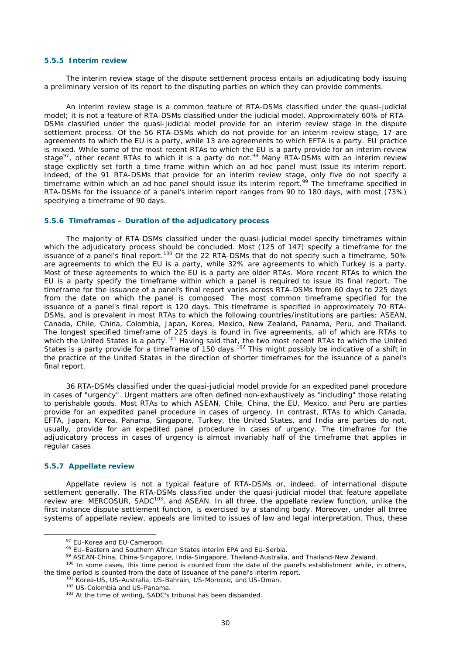## **5.5.5 Interim review**

The interim review stage of the dispute settlement process entails an adjudicating body issuing a preliminary version of its report to the disputing parties on which they can provide comments.

An interim review stage is a common feature of RTA-DSMs classified under the quasi-judicial model; it is not a feature of RTA-DSMs classified under the judicial model. Approximately 60% of RTA-DSMs classified under the quasi-judicial model provide for an interim review stage in the dispute settlement process. Of the 56 RTA-DSMs which do not provide for an interim review stage, 17 are agreements to which the EU is a party, while 13 are agreements to which EFTA is a party. EU practice is mixed. While some of the most recent RTAs to which the EU is a party provide for an interim review stage<sup>97</sup>, other recent RTAs to which it is a party do not.<sup>98</sup> Many RTA-DSMs with an interim review stage explicitly set forth a time frame within which an ad hoc panel must issue its interim report. Indeed, of the 91 RTA-DSMs that provide for an interim review stage, only five do not specify a timeframe within which an ad hoc panel should issue its interim report.<sup>99</sup> The timeframe specified in RTA-DSMs for the issuance of a panel's interim report ranges from 90 to 180 days, with most (73%) specifying a timeframe of 90 days.

## **5.5.6 Timeframes – Duration of the adjudicatory process**

The majority of RTA-DSMs classified under the quasi-judicial model specify timeframes within which the adjudicatory process should be concluded. Most (125 of 147) specify a timeframe for the issuance of a panel's final report.100 Of the 22 RTA-DSMs that do not specify such a timeframe, 50% are agreements to which the EU is a party, while 32% are agreements to which Turkey is a party. Most of these agreements to which the EU is a party are older RTAs. More recent RTAs to which the EU is a party specify the timeframe within which a panel is required to issue its final report. The timeframe for the issuance of a panel's final report varies across RTA-DSMs from 60 days to 225 days from the date on which the panel is composed. The most common timeframe specified for the issuance of a panel's final report is 120 days. This timeframe is specified in approximately 70 RTA-DSMs, and is prevalent in most RTAs to which the following countries/institutions are parties: ASEAN, Canada, Chile, China, Colombia, Japan, Korea, Mexico, New Zealand, Panama, Peru, and Thailand. The longest specified timeframe of 225 days is found in five agreements, all of which are RTAs to which the United States is a party.<sup>101</sup> Having said that, the two most recent RTAs to which the United States is a party provide for a timeframe of 150 days.<sup>102</sup> This might possibly be indicative of a shift in the practice of the United States in the direction of shorter timeframes for the issuance of a panel's final report.

36 RTA-DSMs classified under the quasi-judicial model provide for an expedited panel procedure in cases of "urgency". Urgent matters are often defined non-exhaustively as "including" those relating to perishable goods. Most RTAs to which ASEAN, Chile, China, the EU, Mexico, and Peru are parties provide for an expedited panel procedure in cases of urgency. In contrast, RTAs to which Canada, EFTA, Japan, Korea, Panama, Singapore, Turkey, the United States, and India are parties do not, usually, provide for an expedited panel procedure in cases of urgency. The timeframe for the adjudicatory process in cases of urgency is almost invariably half of the timeframe that applies in regular cases.

## **5.5.7 Appellate review**

Appellate review is not a typical feature of RTA-DSMs or, indeed, of international dispute settlement generally. The RTA-DSMs classified under the quasi-judicial model that feature appellate review are: MERCOSUR, SADC<sup>103</sup>, and ASEAN. In all three, the appellate review function, unlike the first instance dispute settlement function, is exercised by a standing body. Moreover, under all three systems of appellate review, appeals are limited to issues of law and legal interpretation. Thus, these

<sup>&</sup>lt;sup>97</sup> EU-Korea and EU-Cameroon.<br><sup>98</sup> EU–Eastern and Southern African States interim EPA and EU-Serbia.<br><sup>99</sup> ASEAN-China, China-Singapore, India-Singapore, Thailand-Australia, and Thailand-New Zealand.<br><sup>99</sup> ASEAN-China, Chin the time period is counted from the date of sourced from the date of the panel's interim report.<br><sup>101</sup> Korea-US, US-Australia, US-Bahrain, US-Morocco, and US-Oman.<br><sup>102</sup> US-Colombia and US-Panama.<br><sup>103</sup> At the time of writ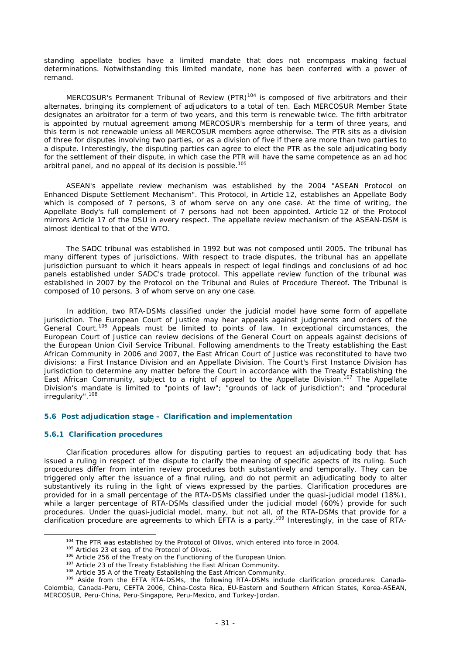standing appellate bodies have a limited mandate that does not encompass making factual determinations. Notwithstanding this limited mandate, none has been conferred with a power of remand.

MERCOSUR's Permanent Tribunal of Review (PTR)<sup>104</sup> is composed of five arbitrators and their alternates, bringing its complement of adjudicators to a total of ten. Each MERCOSUR Member State designates an arbitrator for a term of two years, and this term is renewable twice. The fifth arbitrator is appointed by mutual agreement among MERCOSUR's membership for a term of three years, and this term is not renewable unless all MERCOSUR members agree otherwise. The PTR sits as a division of three for disputes involving two parties, or as a division of five if there are more than two parties to a dispute. Interestingly, the disputing parties can agree to elect the PTR as the sole adjudicating body for the settlement of their dispute, in which case the PTR will have the same competence as an ad hoc arbitral panel, and no appeal of its decision is possible.<sup>105</sup>

ASEAN's appellate review mechanism was established by the 2004 "ASEAN Protocol on Enhanced Dispute Settlement Mechanism". This Protocol, in Article 12, establishes an Appellate Body which is composed of 7 persons, 3 of whom serve on any one case. At the time of writing, the Appellate Body's full complement of 7 persons had not been appointed. Article 12 of the Protocol mirrors Article 17 of the DSU in every respect. The appellate review mechanism of the ASEAN-DSM is almost identical to that of the WTO.

The SADC tribunal was established in 1992 but was not composed until 2005. The tribunal has many different types of jurisdictions. With respect to trade disputes, the tribunal has an appellate jurisdiction pursuant to which it hears appeals in respect of legal findings and conclusions of ad hoc panels established under SADC's trade protocol. This appellate review function of the tribunal was established in 2007 by the Protocol on the Tribunal and Rules of Procedure Thereof. The Tribunal is composed of 10 persons, 3 of whom serve on any one case.

In addition, two RTA-DSMs classified under the judicial model have some form of appellate jurisdiction. The European Court of Justice may hear appeals against judgments and orders of the General Court.<sup>106</sup> Appeals must be limited to points of law. In exceptional circumstances, the European Court of Justice can review decisions of the General Court on appeals against decisions of the European Union Civil Service Tribunal. Following amendments to the Treaty establishing the East African Community in 2006 and 2007, the East African Court of Justice was reconstituted to have two divisions: a First Instance Division and an Appellate Division. The Court's First Instance Division has jurisdiction to determine any matter before the Court in accordance with the Treaty Establishing the East African Community, subject to a right of appeal to the Appellate Division.<sup>107</sup> The Appellate Division's mandate is limited to "points of law"; "grounds of lack of jurisdiction"; and "procedural irregularity".108

#### **5.6 Post adjudication stage – Clarification and implementation**

#### **5.6.1 Clarification procedures**

Clarification procedures allow for disputing parties to request an adjudicating body that has issued a ruling in respect of the dispute to clarify the meaning of specific aspects of its ruling. Such procedures differ from interim review procedures both substantively and temporally. They can be triggered only after the issuance of a final ruling, and do not permit an adjudicating body to alter substantively its ruling in the light of views expressed by the parties. Clarification procedures are provided for in a small percentage of the RTA-DSMs classified under the quasi-judicial model (18%), while a larger percentage of RTA-DSMs classified under the judicial model (60%) provide for such procedures. Under the quasi-judicial model, many, but not all, of the RTA-DSMs that provide for a clarification procedure are agreements to which EFTA is a party.<sup>109</sup> Interestingly, in the case of RTA-

<sup>&</sup>lt;sup>104</sup> The PTR was established by the Protocol of Olivos, which entered into force in 2004.<br><sup>105</sup> Articles 23 *et seq*. of the Protocol of Olivos.<br><sup>106</sup> Article 256 of the Treaty on the Functioning of the European Union.<br><sup>1</sup> Colombia, Canada-Peru, CEFTA 2006, China-Costa Rica, EU-Eastern and Southern African States, Korea-ASEAN, MERCOSUR, Peru-China, Peru-Singapore, Peru-Mexico, and Turkey-Jordan.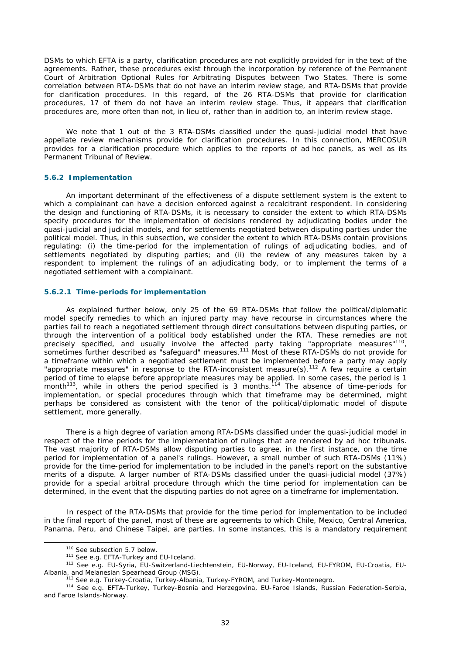DSMs to which EFTA is a party, clarification procedures are not explicitly provided for in the text of the agreements. Rather, these procedures exist through the incorporation by reference of the Permanent Court of Arbitration Optional Rules for Arbitrating Disputes between Two States. There is some correlation between RTA-DSMs that do not have an interim review stage, and RTA-DSMs that provide for clarification procedures. In this regard, of the 26 RTA-DSMs that provide for clarification procedures, 17 of them do not have an interim review stage. Thus, it appears that clarification procedures are, more often than not, in lieu of, rather than in addition to, an interim review stage.

We note that 1 out of the 3 RTA-DSMs classified under the quasi-judicial model that have appellate review mechanisms provide for clarification procedures. In this connection, MERCOSUR provides for a clarification procedure which applies to the reports of ad hoc panels, as well as its Permanent Tribunal of Review.

## **5.6.2 Implementation**

An important determinant of the effectiveness of a dispute settlement system is the extent to which a complainant can have a decision enforced against a recalcitrant respondent. In considering the design and functioning of RTA-DSMs, it is necessary to consider the extent to which RTA-DSMs specify procedures for the implementation of decisions rendered by adjudicating bodies under the quasi-judicial and judicial models, and for settlements negotiated between disputing parties under the political model. Thus, in this subsection, we consider the extent to which RTA-DSMs contain provisions regulating: (i) the time-period for the implementation of rulings of adjudicating bodies, and of settlements negotiated by disputing parties; and (ii) the review of any measures taken by a respondent to implement the rulings of an adjudicating body, or to implement the terms of a negotiated settlement with a complainant.

#### **5.6.2.1 Time-periods for implementation**

As explained further below, only 25 of the 69 RTA-DSMs that follow the political/diplomatic model specify remedies to which an injured party may have recourse in circumstances where the parties fail to reach a negotiated settlement through direct consultations between disputing parties, or through the intervention of a political body established under the RTA. These remedies are not precisely specified, and usually involve the affected party taking "appropriate measures"<sup>110</sup>, sometimes further described as "safeguard" measures.<sup>111</sup> Most of these RTA-DSMs do not provide for a timeframe within which a negotiated settlement must be implemented before a party may apply "appropriate measures" in response to the RTA-inconsistent measure(s).<sup>112</sup> A few require a certain period of time to elapse before appropriate measures may be applied. In some cases, the period is 1 month<sup>113</sup>, while in others the period specified is 3 months.<sup>114</sup> The absence of time-periods for implementation, or special procedures through which that timeframe may be determined, might perhaps be considered as consistent with the tenor of the political/diplomatic model of dispute settlement, more generally.

There is a high degree of variation among RTA-DSMs classified under the quasi-judicial model in respect of the time periods for the implementation of rulings that are rendered by ad hoc tribunals. The vast majority of RTA-DSMs allow disputing parties to agree, in the first instance, on the time period for implementation of a panel's rulings. However, a small number of such RTA-DSMs (11%) provide for the time-period for implementation to be included in the panel's report on the substantive merits of a dispute. A larger number of RTA-DSMs classified under the quasi-judicial model (37%) provide for a special arbitral procedure through which the time period for implementation can be determined, in the event that the disputing parties do not agree on a timeframe for implementation.

In respect of the RTA-DSMs that provide for the time period for implementation to be included in the final report of the panel, most of these are agreements to which Chile, Mexico, Central America, Panama, Peru, and Chinese Taipei, are parties. In some instances, this is a mandatory requirement

<sup>&</sup>lt;sup>110</sup> See subsection 5.7 below.<br><sup>111</sup> See e.g. EFTA-Turkey and EU-Iceland.<br><sup>112</sup> See e.g. EU-Syria, EU-Switzerland-Liechtenstein, EU-Norway, EU-Iceland, EU-FYROM, EU-Croatia, EU-Albania, and Melanesian Spearhead Group (MSG).<br><sup>113</sup> See e.g. Turkey-Croatia, Turkey-Albania, Turkey-FYROM, and Turkey-Montenegro.<br><sup>114</sup> See e.g. EFTA-Turkey, Turkey-Bosnia and Herzegovina, EU-Faroe Islands, Russian Federa

and Faroe Islands-Norway.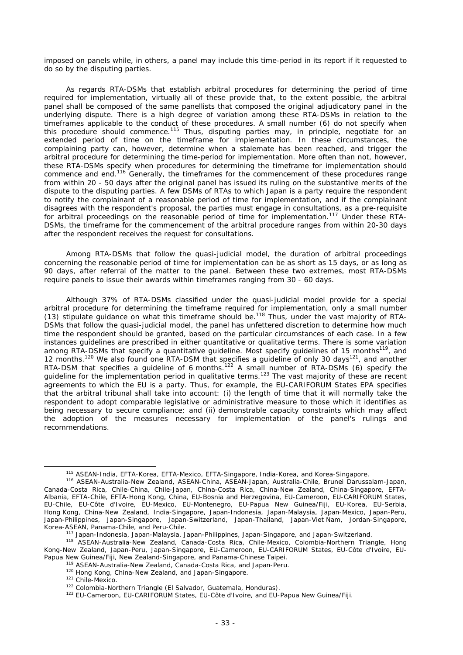imposed on panels while, in others, a panel may include this time-period in its report if it requested to do so by the disputing parties.

As regards RTA-DSMs that establish arbitral procedures for determining the period of time required for implementation, virtually all of these provide that, to the extent possible, the arbitral panel shall be composed of the same panellists that composed the original adjudicatory panel in the underlying dispute. There is a high degree of variation among these RTA-DSMs in relation to the timeframes applicable to the conduct of these procedures. A small number (6) do not specify when this procedure should commence.<sup>115</sup> Thus, disputing parties may, in principle, negotiate for an extended period of time on the timeframe for implementation. In these circumstances, the complaining party can, however, determine when a stalemate has been reached, and trigger the arbitral procedure for determining the time-period for implementation. More often than not, however, these RTA-DSMs specify when procedures for determining the timeframe for implementation should commence and end.<sup>116</sup> Generally, the timeframes for the commencement of these procedures range from within 20 - 50 days after the original panel has issued its ruling on the substantive merits of the dispute to the disputing parties. A few DSMs of RTAs to which Japan is a party require the respondent to notify the complainant of a reasonable period of time for implementation, and if the complainant disagrees with the respondent's proposal, the parties must engage in consultations, as a pre-requisite for arbitral proceedings on the reasonable period of time for implementation.<sup>117</sup> Under these RTA-DSMs, the timeframe for the commencement of the arbitral procedure ranges from within 20-30 days after the respondent receives the request for consultations.

Among RTA-DSMs that follow the quasi-judicial model, the duration of arbitral proceedings concerning the reasonable period of time for implementation can be as short as 15 days, or as long as 90 days, after referral of the matter to the panel. Between these two extremes, most RTA-DSMs require panels to issue their awards within timeframes ranging from 30 - 60 days.

Although 37% of RTA-DSMs classified under the quasi-judicial model provide for a special arbitral procedure for determining the timeframe required for implementation, only a small number (13) stipulate guidance on what this timeframe should be.118 Thus, under the vast majority of RTA-DSMs that follow the quasi-judicial model, the panel has unfettered discretion to determine how much time the respondent should be granted, based on the particular circumstances of each case. In a few instances guidelines are prescribed in either quantitative or qualitative terms. There is some variation among RTA-DSMs that specify a quantitative guideline. Most specify guidelines of 15 months<sup>119</sup>, and 12 months.<sup>120</sup> We also found one RTA-DSM that specifies a guideline of only 30 days<sup>121</sup>, and another RTA-DSM that specifies a guideline of 6 months.<sup>122</sup> A small number of RTA-DSMs (6) specify the guideline for the implementation period in qualitative terms.<sup>123</sup> The vast majority of these are recent agreements to which the EU is a party. Thus, for example, the EU-CARIFORUM States EPA specifies that the arbitral tribunal shall take into account: (i) the length of time that it will normally take the respondent to adopt comparable legislative or administrative measure to those which it identifies as being necessary to secure compliance; and (ii) demonstrable capacity constraints which may affect the adoption of the measures necessary for implementation of the panel's rulings and recommendations.

<sup>&</sup>lt;sup>115</sup> ASEAN-India, EFTA-Korea, EFTA-Mexico, EFTA-Singapore, India-Korea, and Korea-Singapore.<br><sup>116</sup> ASEAN-Australia-New Zealand, ASEAN-China, ASEAN-Japan, Australia-Chile, Brunei Darussalam-Japan, Canada-Costa Rica, Chile-China, Chile-Japan, China-Costa Rica, China-New Zealand, China-Singapore, EFTA-Albania, EFTA-Chile, EFTA-Hong Kong, China, EU-Bosnia and Herzegovina, EU-Cameroon, EU-CARIFORUM States, EU-Chile, EU-Côte d'Ivoire, EU-Mexico, EU-Montenegro, EU-Papua New Guinea/Fiji, EU-Korea, EU-Serbia, Hong Kong, China-New Zealand, India-Singapore, Japan-Indonesia, Japan-Malaysia, Japan-Mexico, Japan-Peru, Japan-Philippines, Japan-Singapore, Japan-Switzerland, Japan-Thailand, Japan-Viet Nam, Jordan-Singapore, Korea-ASEAN, Panama-Chile, and Peru-Chile.<br><sup>117</sup> Japan-Indonesia, Japan-Malaysia, Japan-Philippines, Japan-Singapore, and Japan-Switzerland.<br><sup>118</sup> ASEAN-Australia-New Zealand, Canada-Costa Rica, Chile-Mexico, Colombia-Nort

Kong-New Zealand, Japan-Peru, Japan-Singapore, EU-Cameroon, EU-CARIFORUM States, EU-Côte d'Ivoire, EU-<br>Papua New Guinea/Fiji, New Zealand-Singapore, and Panama-Chinese Taipei.

<sup>&</sup>lt;sup>119</sup> ASEAN-Australia-New Zealand, Canada-Costa Rica, and Japan-Peru.<br><sup>120</sup> Hong Kong, China-New Zealand, and Japan-Singapore.<br><sup>121</sup> Chile-Mexico.<br><sup>122</sup> Colombia-Northern Triangle (El Salvador, Guatemala, Honduras).<br><sup>123</sup>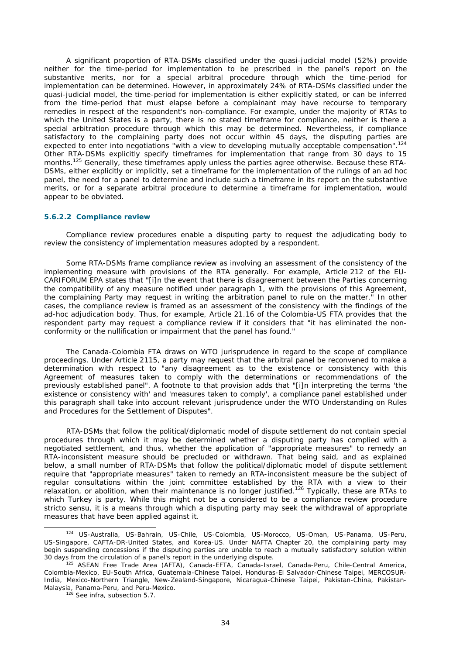A significant proportion of RTA-DSMs classified under the quasi-judicial model (52%) provide neither for the time-period for implementation to be prescribed in the panel's report on the substantive merits, nor for a special arbitral procedure through which the time-period for implementation can be determined. However, in approximately 24% of RTA-DSMs classified under the quasi-judicial model, the time-period for implementation is either explicitly stated, or can be inferred from the time-period that must elapse before a complainant may have recourse to temporary remedies in respect of the respondent's non-compliance. For example, under the majority of RTAs to which the United States is a party, there is no stated timeframe for compliance, neither is there a special arbitration procedure through which this may be determined. Nevertheless, if compliance satisfactory to the complaining party does not occur within 45 days, the disputing parties are expected to enter into negotiations "with a view to developing mutually acceptable compensation".<sup>124</sup> Other RTA-DSMs explicitly specify timeframes for implementation that range from 30 days to 15 months.125 Generally, these timeframes apply unless the parties agree otherwise. Because these RTA-DSMs, either explicitly or implicitly, set a timeframe for the implementation of the rulings of an ad hoc panel, the need for a panel to determine and include such a timeframe in its report on the substantive merits, or for a separate arbitral procedure to determine a timeframe for implementation, would appear to be obviated.

## **5.6.2.2 Compliance review**

Compliance review procedures enable a disputing party to request the adjudicating body to review the consistency of implementation measures adopted by a respondent.

Some RTA-DSMs frame compliance review as involving an assessment of the consistency of the implementing measure with provisions of the RTA generally. For example, Article 212 of the EU-CARIFORUM EPA states that "[i]n the event that there is disagreement between the Parties concerning the compatibility of any measure notified under paragraph 1, with the provisions of this Agreement, the complaining Party may request in writing the arbitration panel to rule on the matter." In other cases, the compliance review is framed as an assessment of the consistency with the findings of the ad-hoc adjudication body. Thus, for example, Article 21.16 of the Colombia-US FTA provides that the respondent party may request a compliance review if it considers that "it has eliminated the nonconformity or the nullification or impairment that the panel has found."

The Canada-Colombia FTA draws on WTO jurisprudence in regard to the scope of compliance proceedings. Under Article 2115, a party may request that the arbitral panel be reconvened to make a determination with respect to "any disagreement as to the existence or consistency with this Agreement of measures taken to comply with the determinations or recommendations of the previously established panel". A footnote to that provision adds that "[i]n interpreting the terms 'the existence or consistency with' and 'measures taken to comply', a compliance panel established under this paragraph shall take into account relevant jurisprudence under the WTO Understanding on Rules and Procedures for the Settlement of Disputes".

RTA-DSMs that follow the political/diplomatic model of dispute settlement do not contain special procedures through which it may be determined whether a disputing party has complied with a negotiated settlement, and thus, whether the application of "appropriate measures" to remedy an RTA-inconsistent measure should be precluded or withdrawn. That being said, and as explained below, a small number of RTA-DSMs that follow the political/diplomatic model of dispute settlement require that "appropriate measures" taken to remedy an RTA-inconsistent measure be the subject of regular consultations within the joint committee established by the RTA with a view to their relaxation, or abolition, when their maintenance is no longer justified.<sup>126</sup> Typically, these are RTAs to which Turkey is party. While this might not be a considered to be a compliance review procedure *stricto sensu*, it is a means through which a disputing party may seek the withdrawal of appropriate measures that have been applied against it.

 <sup>124</sup> US-Australia, US-Bahrain, US-Chile, US-Colombia, US-Morocco, US-Oman, US-Panama, US-Peru, US-Singapore, CAFTA-DR-United States, and Korea-US. Under NAFTA Chapter 20, the complaining party may begin suspending concessions if the disputing parties are unable to reach a mutually satisfactory solution within 30 days from the circulation of a panel's report in the underlying dispute.<br>125 ASEAN Free Trade Area (AFTA), Canada-EFTA, Canada-Israel, Canada-Peru, Chile-Central America,

Colombia-Mexico, EU-South Africa, Guatemala-Chinese Taipei, Honduras-El Salvador-Chinese Taipei, MERCOSUR-India, Mexico-Northern Triangle, New-Zealand-Singapore, Nicaragua-Chinese Taipei, Pakistan-China, Pakistan-Malaysia, Panama-Peru, and Peru-Mexico. 126 See *infra*, subsection 5.7.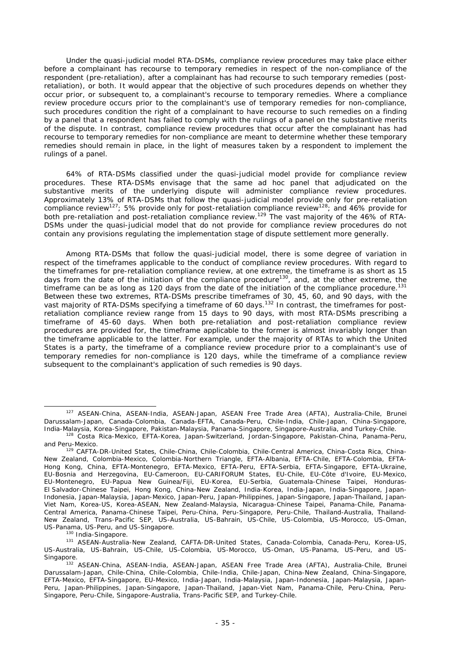Under the quasi-judicial model RTA-DSMs, compliance review procedures may take place either before a complainant has recourse to temporary remedies in respect of the non-compliance of the respondent (pre-retaliation), after a complainant has had recourse to such temporary remedies (postretaliation), or both. It would appear that the objective of such procedures depends on whether they occur prior, or subsequent to, a complainant's recourse to temporary remedies. Where a compliance review procedure occurs prior to the complainant's use of temporary remedies for non-compliance, such procedures condition the right of a complainant to have recourse to such remedies on a finding by a panel that a respondent has failed to comply with the rulings of a panel on the substantive merits of the dispute. In contrast, compliance review procedures that occur after the complainant has had recourse to temporary remedies for non-compliance are meant to determine whether these temporary remedies should remain in place, in the light of measures taken by a respondent to implement the rulings of a panel.

64% of RTA-DSMs classified under the quasi-judicial model provide for compliance review procedures. These RTA-DSMs envisage that the same ad hoc panel that adjudicated on the substantive merits of the underlying dispute will administer compliance review procedures. Approximately 13% of RTA-DSMs that follow the quasi-judicial model provide only for pre-retaliation compliance review<sup>127</sup>; 5% provide only for post-retaliation compliance review<sup>128</sup>; and 46% provide for both pre-retaliation and post-retaliation compliance review.<sup>129</sup> The vast majority of the 46% of RTA-DSMs under the quasi-judicial model that do not provide for compliance review procedures do not contain any provisions regulating the implementation stage of dispute settlement more generally.

Among RTA-DSMs that follow the quasi-judicial model, there is some degree of variation in respect of the timeframes applicable to the conduct of compliance review procedures. With regard to the timeframes for pre-retaliation compliance review, at one extreme, the timeframe is as short as 15 days from the date of the initiation of the compliance procedure<sup>130</sup>, and, at the other extreme, the timeframe can be as long as 120 days from the date of the initiation of the compliance procedure.<sup>131</sup> Between these two extremes, RTA-DSMs prescribe timeframes of 30, 45, 60, and 90 days, with the vast majority of RTA-DSMs specifying a timeframe of 60 days.132 In contrast, the timeframes for postretaliation compliance review range from 15 days to 90 days, with most RTA-DSMs prescribing a timeframe of 45-60 days. When both pre-retaliation and post-retaliation compliance review procedures are provided for, the timeframe applicable to the former is almost invariably longer than the timeframe applicable to the latter. For example, under the majority of RTAs to which the United States is a party, the timeframe of a compliance review procedure prior to a complainant's use of temporary remedies for non-compliance is 120 days, while the timeframe of a compliance review subsequent to the complainant's application of such remedies is 90 days.

 <sup>127</sup> ASEAN-China, ASEAN-India, ASEAN-Japan, ASEAN Free Trade Area (AFTA), Australia-Chile, Brunei Darussalam-Japan, Canada-Colombia, Canada-EFTA, Canada-Peru, Chile-India, Chile-Japan, China-Singapore,<br>India-Malaysia, Korea-Singapore, Pakistan-Malaysia, Panama-Singapore, Singapore-Australia, and Turkey-Chile.

<sup>&</sup>lt;sup>128</sup> Costa Rica-Mexico, EFTA-Korea, Japan-Switzerland, Jordan-Singapore, Pakistan-China, Panama-Peru, and Peru-Mexico.

<sup>129</sup> CAFTA-DR-United States, Chile-China, Chile-Colombia, Chile-Central America, China-Costa Rica, China-New Zealand, Colombia-Mexico, Colombia-Northern Triangle, EFTA-Albania, EFTA-Chile, EFTA-Colombia, EFTA-Hong Kong, China, EFTA-Montenegro, EFTA-Mexico, EFTA-Peru, EFTA-Serbia, EFTA-Singapore, EFTA-Ukraine, EU-Bosnia and Herzegovina, EU-Cameroon, EU-CARIFORUM States, EU-Chile, EU-Côte d'Ivoire, EU-Mexico, EU-Montenegro, EU-Papua New Guinea/Fiji, EU-Korea, EU-Serbia, Guatemala-Chinese Taipei, Honduras-El Salvador-Chinese Taipei, Hong Kong, China-New Zealand, India-Korea, India-Japan, India-Singapore, Japan-Indonesia, Japan-Malaysia, Japan-Mexico, Japan-Peru, Japan-Philippines, Japan-Singapore, Japan-Thailand, Japan-Viet Nam, Korea-US, Korea-ASEAN, New Zealand-Malaysia, Nicaragua-Chinese Taipei, Panama-Chile, Panama-Central America, Panama-Chinese Taipei, Peru-China, Peru-Singapore, Peru-Chile, Thailand-Australia, Thailand-New Zealand, Trans-Pacific SEP, US-Australia, US-Bahrain, US-Chile, US-Colombia, US-Morocco, US-Oman, US-Panama, US-Peru, and US-Singapore.

<sup>&</sup>lt;sup>130</sup> India-Singapore.<br><sup>131</sup> ASEAN-Australia-New Zealand, CAFTA-DR-United States, Canada-Colombia, Canada-Peru, Korea-US, US-Australia, US-Bahrain, US-Chile, US-Colombia, US-Morocco, US-Oman, US-Panama, US-Peru, and US-

Singapore.<br><sup>132</sup> ASEAN-China, ASEAN-India, ASEAN-Japan, ASEAN Free Trade Area (AFTA), Australia-Chile, Brunei<br>1141 Abile Lanan, China-New Zealand, China-Singapore, Darussalam-Japan, Chile-China, Chile-Colombia, Chile-India, Chile-Japan, China-New Zealand, China-Singapore, EFTA-Mexico, EFTA-Singapore, EU-Mexico, India-Japan, India-Malaysia, Japan-Indonesia, Japan-Malaysia, Japan-Peru, Japan-Philippines, Japan-Singapore, Japan-Thailand, Japan-Viet Nam, Panama-Chile, Peru-China, Peru-Singapore, Peru-Chile, Singapore-Australia, Trans-Pacific SEP, and Turkey-Chile.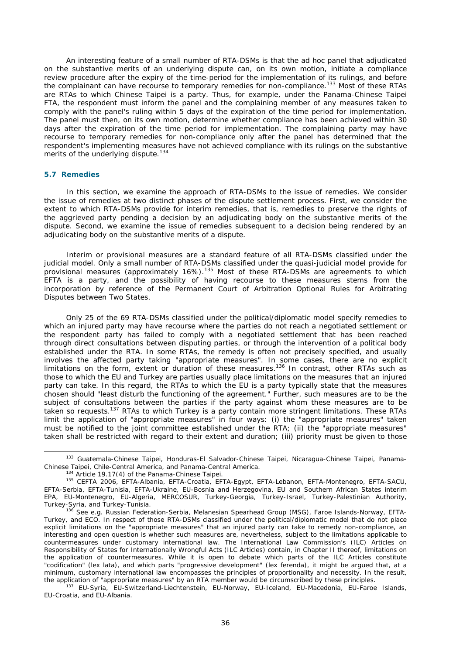An interesting feature of a small number of RTA-DSMs is that the ad hoc panel that adjudicated on the substantive merits of an underlying dispute can, on its own motion, initiate a compliance review procedure after the expiry of the time-period for the implementation of its rulings, and before the complainant can have recourse to temporary remedies for non-compliance.133 Most of these RTAs are RTAs to which Chinese Taipei is a party. Thus, for example, under the Panama-Chinese Taipei FTA, the respondent must inform the panel and the complaining member of any measures taken to comply with the panel's ruling within 5 days of the expiration of the time period for implementation. The panel must then, on its own motion, determine whether compliance has been achieved within 30 days after the expiration of the time period for implementation. The complaining party may have recourse to temporary remedies for non-compliance only after the panel has determined that the respondent's implementing measures have not achieved compliance with its rulings on the substantive merits of the underlying dispute.<sup>134</sup>

#### **5.7 Remedies**

In this section, we examine the approach of RTA-DSMs to the issue of remedies. We consider the issue of remedies at two distinct phases of the dispute settlement process. First, we consider the extent to which RTA-DSMs provide for interim remedies, that is, remedies to preserve the rights of the aggrieved party pending a decision by an adjudicating body on the substantive merits of the dispute. Second, we examine the issue of remedies subsequent to a decision being rendered by an adjudicating body on the substantive merits of a dispute.

Interim or provisional measures are a standard feature of all RTA-DSMs classified under the judicial model. Only a small number of RTA-DSMs classified under the quasi-judicial model provide for provisional measures (approximately 16%).<sup>135</sup> Most of these RTA-DSMs are agreements to which EFTA is a party, and the possibility of having recourse to these measures stems from the incorporation by reference of the Permanent Court of Arbitration Optional Rules for Arbitrating Disputes between Two States.

Only 25 of the 69 RTA-DSMs classified under the political/diplomatic model specify remedies to which an injured party may have recourse where the parties do not reach a negotiated settlement or the respondent party has failed to comply with a negotiated settlement that has been reached through direct consultations between disputing parties, or through the intervention of a political body established under the RTA. In some RTAs, the remedy is often not precisely specified, and usually involves the affected party taking "appropriate measures". In some cases, there are no explicit limitations on the form, extent or duration of these measures.<sup>136</sup> In contrast, other RTAs such as those to which the EU and Turkey are parties usually place limitations on the measures that an injured party can take. In this regard, the RTAs to which the EU is a party typically state that the measures chosen should "least disturb the functioning of the agreement." Further, such measures are to be the subject of consultations between the parties if the party against whom these measures are to be taken so requests.<sup>137</sup> RTAs to which Turkey is a party contain more stringent limitations. These RTAs limit the application of "appropriate measures" in four ways: (i) the "appropriate measures" taken must be notified to the joint committee established under the RTA; (ii) the "appropriate measures" taken shall be restricted with regard to their extent and duration; (iii) priority must be given to those

<sup>&</sup>lt;sup>133</sup> Guatemala-Chinese Taipei, Honduras-El Salvador-Chinese Taipei, Nicaragua-Chinese Taipei, Panama-Chinese Taipei, Chile-Central America, and Panama-Central America.

<sup>&</sup>lt;sup>134</sup> Article 19.17(4) of the Panama-Chinese Taipei.<br><sup>135</sup> CEFTA 2006, EFTA-Albania, EFTA-Croatia, EFTA-Egypt, EFTA-Lebanon, EFTA-Montenegro, EFTA-SACU, EFTA-Serbia, EFTA-Tunisia, EFTA-Ukraine, EU-Bosnia and Herzegovina, EU and Southern African States interim EPA, EU-Montenegro, EU-Algeria, MERCOSUR, Turkey-Georgia, Turkey-Israel, Turkey-Palestinian Authority,<br>Turkey-Syria, and Turkey-Tunisia.<br><sup>136</sup> Soo e.g. Pussian Eoderation Serbia Melanesian Seserbaed Creup (MCC), Fases Isla

See e.g. Russian Federation-Serbia, Melanesian Spearhead Group (MSG), Faroe Islands-Norway, EFTA-Turkey, and ECO. In respect of those RTA-DSMs classified under the political/diplomatic model that do not place explicit limitations on the "appropriate measures" that an injured party can take to remedy non-compliance, an interesting and open question is whether such measures are, nevertheless, subject to the limitations applicable to countermeasures under customary international law. The International Law Commission's (ILC) Articles on *Responsibility of States for Internationally Wrongful Acts* (ILC Articles) contain, in Chapter II thereof, limitations on the application of countermeasures. While it is open to debate which parts of the ILC Articles constitute "codification" (*lex lata*), and which parts "progressive development" (*lex ferenda*), it might be argued that, at a minimum, customary international law encompasses the principles of proportionality and necessity. In the result, the application of "appropriate measures" by an RTA member would be circumscribed by these principles.<br><sup>137</sup> EU-Syria, EU-Switzerland-Liechtenstein, EU-Norway, EU-Iceland, EU-Macedonia, EU-Faroe Islands,

EU-Croatia, and EU-Albania.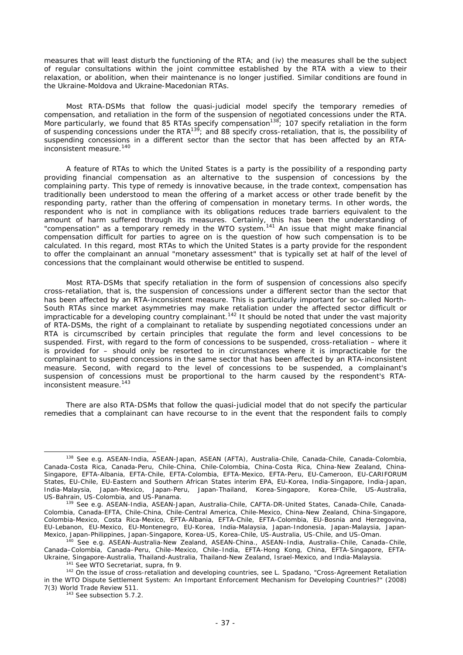measures that will least disturb the functioning of the RTA; and (iv) the measures shall be the subject of regular consultations within the joint committee established by the RTA with a view to their relaxation, or abolition, when their maintenance is no longer justified. Similar conditions are found in the Ukraine-Moldova and Ukraine-Macedonian RTAs.

Most RTA-DSMs that follow the quasi-judicial model specify the temporary remedies of compensation, and retaliation in the form of the suspension of negotiated concessions under the RTA. More particularly, we found that 85 RTAs specify compensation<sup>138</sup>; 107 specify retaliation in the form of suspending concessions under the RTA<sup>139</sup>; and 88 specify cross-retaliation, that is, the possibility of suspending concessions in a different sector than the sector that has been affected by an RTAinconsistent measure.<sup>140</sup>

A feature of RTAs to which the United States is a party is the possibility of a responding party providing financial compensation as an alternative to the suspension of concessions by the complaining party. This type of remedy is innovative because, in the trade context, compensation has traditionally been understood to mean the offering of a market access or other trade benefit by the responding party, rather than the offering of compensation in monetary terms. In other words, the respondent who is not in compliance with its obligations reduces trade barriers equivalent to the amount of harm suffered through its measures. Certainly, this has been the understanding of "compensation" as a temporary remedy in the WTO system.<sup>141</sup> An issue that might make financial compensation difficult for parties to agree on is the question of how such compensation is to be calculated. In this regard, most RTAs to which the United States is a party provide for the respondent to offer the complainant an annual "monetary assessment" that is typically set at half of the level of concessions that the complainant would otherwise be entitled to suspend.

Most RTA-DSMs that specify retaliation in the form of suspension of concessions also specify cross-retaliation, that is, the suspension of concessions under a different sector than the sector that has been affected by an RTA-inconsistent measure. This is particularly important for so-called North-South RTAs since market asymmetries may make retaliation under the affected sector difficult or impracticable for a developing country complainant.<sup>142</sup> It should be noted that under the vast majority of RTA-DSMs, the right of a complainant to retaliate by suspending negotiated concessions under an RTA is circumscribed by certain principles that regulate the form and level concessions to be suspended. First, with regard to the form of concessions to be suspended, cross-retaliation – where it is provided for – should only be resorted to in circumstances where it is impracticable for the complainant to suspend concessions in the same sector that has been affected by an RTA-inconsistent measure. Second, with regard to the level of concessions to be suspended, a complainant's suspension of concessions must be proportional to the harm caused by the respondent's RTAinconsistent measure.<sup>143</sup>

There are also RTA-DSMs that follow the quasi-judicial model that do not specify the particular remedies that a complainant can have recourse to in the event that the respondent fails to comply

<sup>143</sup> See subsection 5.7.2.

 <sup>138</sup> See e.g. ASEAN-India, ASEAN-Japan, ASEAN (AFTA), Australia-Chile, Canada-Chile, Canada-Colombia, Canada-Costa Rica, Canada-Peru, Chile-China, Chile-Colombia, China-Costa Rica, China-New Zealand, China-Singapore, EFTA-Albania, EFTA-Chile, EFTA-Colombia, EFTA-Mexico, EFTA-Peru, EU-Cameroon, EU-CARIFORUM States, EU-Chile, EU-Eastern and Southern African States interim EPA, EU-Korea, India-Singapore, India-Japan, India-Malaysia, Japan-Mexico, Japan-Peru, Japan-Thailand, Korea-Singapore, Korea-Chile, US-Australia, US-Bahrain, US-Colombia, and US-Panama.<br>139 See e.g. ASEAN-India, ASEAN-Japan, Australia-Chile, CAFTA-DR-United States, Canada-Chile, Canada-

Colombia, Canada-EFTA, Chile-China, Chile-Central America, Chile-Mexico, China-New Zealand, China-Singapore, Colombia-Mexico, Costa Rica-Mexico, EFTA-Albania, EFTA-Chile, EFTA-Colombia, EU-Bosnia and Herzegovina, EU-Lebanon, EU-Mexico, EU-Montenegro, EU-Korea, India-Malaysia, Japan-Indonesia, Japan-Malaysia, Japan-Mexico, Japan-Philippines, Japan-Singapore, Korea-US, Korea-Chile, US-Australia, US-Chile, and US-Oman.<br><sup>140</sup> See e.g. ASEAN-Australia-New Zealand, ASEAN-China., ASEAN–India, Australia–Chile, Canada–Chile,

Canada–Colombia, Canada–Peru, Chile–Mexico, Chile–India, EFTA-Hong Kong, China, EFTA-Singapore, EFTA-Ukraine, Singapore-Australia, Thailand-Australia, Thailand-New Zealand, Israel-Mexico, and India-Malaysia.<br><sup>141</sup> See WTO Secretariat, *supra*, fn 9.<br><sup>142</sup> On the issue of cross-retaliation and developing countries, see L.

in the WTO Dispute Settlement System: An Important Enforcement Mechanism for Developing Countries?" (2008)<br>7(3) World Trade Review 511.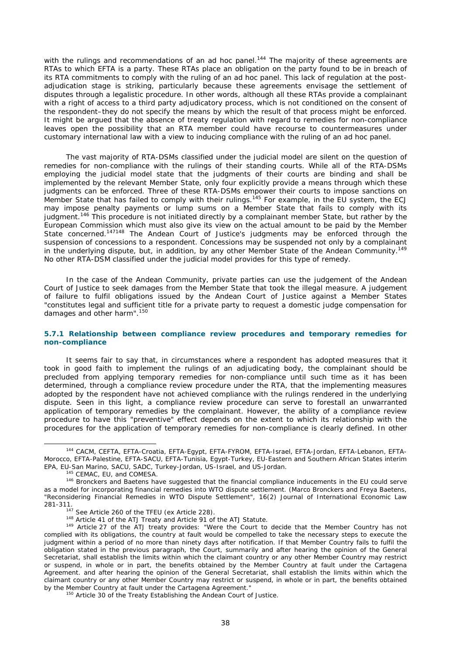with the rulings and recommendations of an ad hoc panel.<sup>144</sup> The majority of these agreements are RTAs to which EFTA is a party. These RTAs place an obligation on the party found to be in breach of its RTA commitments to comply with the ruling of an ad hoc panel. This lack of regulation at the postadjudication stage is striking, particularly because these agreements envisage the settlement of disputes through a legalistic procedure. In other words, although all these RTAs provide a complainant with a right of access to a third party adjudicatory process, which is not conditioned on the consent of the respondent–they do not specify the means by which the result of that process might be enforced. It might be argued that the absence of treaty regulation with regard to remedies for non-compliance leaves open the possibility that an RTA member could have recourse to countermeasures under customary international law with a view to inducing compliance with the ruling of an ad hoc panel.

The vast majority of RTA-DSMs classified under the judicial model are silent on the question of remedies for non-compliance with the rulings of their standing courts. While all of the RTA-DSMs employing the judicial model state that the judgments of their courts are binding and shall be implemented by the relevant Member State, only four explicitly provide a means through which these judgments can be enforced. Three of these RTA-DSMs empower their courts to impose sanctions on Member State that has failed to comply with their rulings.<sup>145</sup> For example, in the EU system, the ECJ may impose penalty payments or lump sums on a Member State that fails to comply with its judgment.<sup>146</sup> This procedure is not initiated directly by a complainant member State, but rather by the European Commission which must also give its view on the actual amount to be paid by the Member State concerned.<sup>147148</sup> The Andean Court of Justice's judgments may be enforced through the suspension of concessions to a respondent. Concessions may be suspended not only by a complainant in the underlying dispute, but, in addition, by any other Member State of the Andean Community.<sup>149</sup> No other RTA-DSM classified under the judicial model provides for this type of remedy.

In the case of the Andean Community, private parties can use the judgement of the Andean Court of Justice to seek damages from the Member State that took the illegal measure. A judgement of failure to fulfil obligations issued by the Andean Court of Justice against a Member States "constitutes legal and sufficient title for a private party to request a domestic judge compensation for damages and other harm".<sup>150</sup>

#### **5.7.1 Relationship between compliance review procedures and temporary remedies for non-compliance**

It seems fair to say that, in circumstances where a respondent has adopted measures that it took in good faith to implement the rulings of an adjudicating body, the complainant should be precluded from applying temporary remedies for non-compliance until such time as it has been determined, through a compliance review procedure under the RTA, that the implementing measures adopted by the respondent have not achieved compliance with the rulings rendered in the underlying dispute. Seen in this light, a compliance review procedure can serve to forestall an unwarranted application of temporary remedies by the complainant. However, the ability of a compliance review procedure to have this "preventive" effect depends on the extent to which its relationship with the procedures for the application of temporary remedies for non-compliance is clearly defined. In other

 <sup>144</sup> CACM, CEFTA, EFTA-Croatia, EFTA-Egypt, EFTA-FYROM, EFTA-Israel, EFTA-Jordan, EFTA-Lebanon, EFTA-Morocco, EFTA-Palestine, EFTA-SACU, EFTA-Tunisia, Egypt-Turkey, EU-Eastern and Southern African States interim<br>EPA, EU-San Marino, SACU, SADC, Turkey-Jordan, US-Israel, and US-Jordan.

<sup>&</sup>lt;sup>145</sup> CEMAC, EU, and COMESA.<br><sup>145</sup> CEMAC, EU, and COMESA. **146 Bronchers and US-Jordan COMES** and Baetens and Baetens have supposed that the financial compliance inducements in the EU could serve as a model for incorporating financial remedies into WTO dispute settlement. (Marco Bronckers and Freya Baetens, "Reconsidering Financial Remedies in WTO Dispute Settlement", 16(2) *Journal of International Economic Law* 281-311.<br>
<sup>147</sup> See Article 260 of the TFEU (ex Article 228).<br>
<sup>148</sup> Article 41 of the ATJ Treaty and Article 91 of the ATJ Statute.<br>
<sup>148</sup> Article 27 of the ATJ treaty provides: "Were the Court to decide that the Member C

complied with its obligations, the country at fault would be compelled to take the necessary steps to execute the judgment within a period of no more than ninety days after notification. If that Member Country fails to fulfil the obligation stated in the previous paragraph, the Court, summarily and after hearing the opinion of the General Secretariat, shall establish the limits within which the claimant country or any other Member Country may restrict or suspend, in whole or in part, the benefits obtained by the Member Country at fault under the Cartagena Agreement. and after hearing the opinion of the General Secretariat, shall establish the limits within which the claimant country or any other Member Country may restrict or suspend, in whole or in part, the benefits obtained by the Member Country at fault under the Cartagena Agreement." 150 Article 30 of the Treaty Establishing the Andean Court of Justice.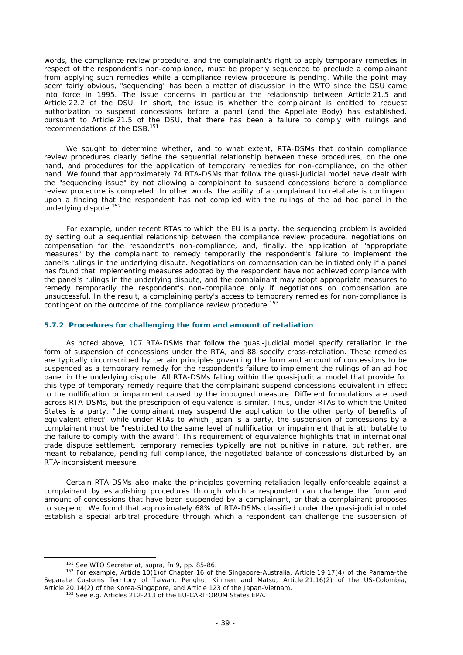words, the compliance review procedure, and the complainant's right to apply temporary remedies in respect of the respondent's non-compliance, must be properly sequenced to preclude a complainant from applying such remedies while a compliance review procedure is pending. While the point may seem fairly obvious, "sequencing" has been a matter of discussion in the WTO since the DSU came into force in 1995. The issue concerns in particular the relationship between Article 21.5 and Article 22.2 of the DSU. In short, the issue is whether the complainant is entitled to request authorization to suspend concessions before a panel (and the Appellate Body) has established, pursuant to Article 21.5 of the DSU, that there has been a failure to comply with rulings and recommendations of the DSB.<sup>151</sup>

We sought to determine whether, and to what extent, RTA-DSMs that contain compliance review procedures clearly define the sequential relationship between these procedures, on the one hand, and procedures for the application of temporary remedies for non-compliance, on the other hand. We found that approximately 74 RTA-DSMs that follow the quasi-judicial model have dealt with the "sequencing issue" by not allowing a complainant to suspend concessions before a compliance review procedure is completed. In other words, the ability of a complainant to retaliate is contingent upon a finding that the respondent has not complied with the rulings of the ad hoc panel in the underlying dispute.152

For example, under recent RTAs to which the EU is a party, the sequencing problem is avoided by setting out a sequential relationship between the compliance review procedure, negotiations on compensation for the respondent's non-compliance, and, finally, the application of "appropriate measures" by the complainant to remedy temporarily the respondent's failure to implement the panel's rulings in the underlying dispute. Negotiations on compensation can be initiated only if a panel has found that implementing measures adopted by the respondent have not achieved compliance with the panel's rulings in the underlying dispute, and the complainant may adopt appropriate measures to remedy temporarily the respondent's non-compliance only if negotiations on compensation are unsuccessful. In the result, a complaining party's access to temporary remedies for non-compliance is contingent on the outcome of the compliance review procedure.<sup>153</sup>

#### **5.7.2 Procedures for challenging the form and amount of retaliation**

As noted above, 107 RTA-DSMs that follow the quasi-judicial model specify retaliation in the form of suspension of concessions under the RTA, and 88 specify cross-retaliation. These remedies are typically circumscribed by certain principles governing the form and amount of concessions to be suspended as a temporary remedy for the respondent's failure to implement the rulings of an ad hoc panel in the underlying dispute. All RTA-DSMs falling within the quasi-judicial model that provide for this type of temporary remedy require that the complainant suspend concessions equivalent in effect to the nullification or impairment caused by the impugned measure. Different formulations are used across RTA-DSMs, but the prescription of equivalence is similar. Thus, under RTAs to which the United States is a party, "the complainant may suspend the application to the other party of benefits of equivalent effect" while under RTAs to which Japan is a party, the suspension of concessions by a complainant must be "restricted to the same level of nullification or impairment that is attributable to the failure to comply with the award". This requirement of equivalence highlights that in international trade dispute settlement, temporary remedies typically are not punitive in nature, but rather, are meant to rebalance, pending full compliance, the negotiated balance of concessions disturbed by an RTA-inconsistent measure.

Certain RTA-DSMs also make the principles governing retaliation legally enforceable against a complainant by establishing procedures through which a respondent can challenge the form and amount of concessions that have been suspended by a complainant, or that a complainant proposes to suspend. We found that approximately 68% of RTA-DSMs classified under the quasi-judicial model establish a special arbitral procedure through which a respondent can challenge the suspension of

<sup>&</sup>lt;sup>151</sup> See WTO Secretariat, *supra*, fn 9, pp. 85-86.<br><sup>152</sup> For example, Article 10(1)of Chapter 16 of the Singapore-Australia, Article 19.17(4) of the Panama-the Separate Customs Territory of Taiwan, Penghu, Kinmen and Matsu, Article 21.16(2) of the US-Colombia, Article 20.14(2) of the Korea-Singapore, and Article 123 of the Japan-Vietnam.

<sup>153</sup> See e.g. Articles 212-213 of the EU-CARIFORUM States EPA.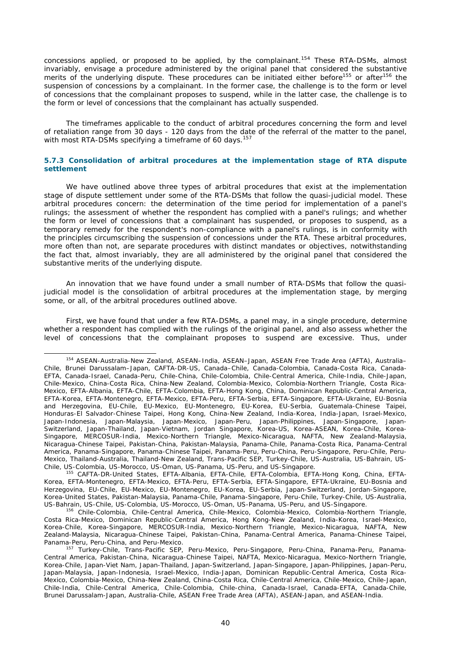concessions applied, or proposed to be applied, by the complainant.<sup>154</sup> These RTA-DSMs, almost invariably, envisage a procedure administered by the original panel that considered the substantive merits of the underlying dispute. These procedures can be initiated either before<sup>155</sup> or after<sup>156</sup> the suspension of concessions by a complainant. In the former case, the challenge is to the form or level of concessions that the complainant *proposes* to suspend, while in the latter case, the challenge is to the form or level of concessions that the complainant has *actually* suspended.

The timeframes applicable to the conduct of arbitral procedures concerning the form and level of retaliation range from 30 days - 120 days from the date of the referral of the matter to the panel, with most RTA-DSMs specifying a timeframe of 60 days.<sup>157</sup>

## **5.7.3 Consolidation of arbitral procedures at the implementation stage of RTA dispute settlement**

We have outlined above three types of arbitral procedures that exist at the implementation stage of dispute settlement under some of the RTA-DSMs that follow the quasi-judicial model. These arbitral procedures concern: the determination of the time period for implementation of a panel's rulings; the assessment of whether the respondent has complied with a panel's rulings; and whether the form or level of concessions that a complainant has suspended, or proposes to suspend, as a temporary remedy for the respondent's non-compliance with a panel's rulings, is in conformity with the principles circumscribing the suspension of concessions under the RTA. These arbitral procedures, more often than not, are separate procedures with distinct mandates or objectives, notwithstanding the fact that, almost invariably, they are all administered by the original panel that considered the substantive merits of the underlying dispute.

An innovation that we have found under a small number of RTA-DSMs that follow the quasijudicial model is the consolidation of arbitral procedures at the implementation stage, by merging some, or all, of the arbitral procedures outlined above.

First, we have found that under a few RTA-DSMs, a panel may, in a single procedure, determine whether a respondent has complied with the rulings of the original panel, and also assess whether the level of concessions that the complainant proposes to suspend are excessive. Thus, under

 <sup>154</sup> ASEAN-Australia-New Zealand, ASEAN–India, ASEAN–Japan, ASEAN Free Trade Area (AFTA), Australia– Chile, Brunei Darussalam–Japan, CAFTA-DR-US, Canada–Chile, Canada-Colombia, Canada-Costa Rica, Canada-EFTA, Canada-Israel, Canada-Peru, Chile-China, Chile-Colombia, Chile-Central America, Chile-India, Chile-Japan, Chile-Mexico, China-Costa Rica, China-New Zealand, Colombia-Mexico, Colombia-Northern Triangle, Costa Rica-Mexico, EFTA-Albania, EFTA-Chile, EFTA-Colombia, EFTA-Hong Kong, China, Dominican Republic-Central America, EFTA-Korea, EFTA-Montenegro, EFTA-Mexico, EFTA-Peru, EFTA-Serbia, EFTA-Singapore, EFTA-Ukraine, EU-Bosnia and Herzegovina, EU-Chile, EU-Mexico, EU-Montenegro, EU-Korea, EU-Serbia, Guatemala-Chinese Taipei, Honduras-El Salvador-Chinese Taipei, Hong Kong, China-New Zealand, India-Korea, India-Japan, Israel-Mexico, Japan-Indonesia, Japan-Malaysia, Japan-Mexico, Japan-Peru, Japan-Philippines, Japan-Singapore, Japan-Switzerland, Japan-Thailand, Japan-Vietnam, Jordan Singapore, Korea-US, Korea-ASEAN, Korea-Chile, Korea-Singapore, MERCOSUR-India, Mexico-Northern Triangle, Mexico-Nicaragua, NAFTA, New Zealand-Malaysia, Nicaragua-Chinese Taipei, Pakistan-China, Pakistan-Malaysia, Panama-Chile, Panama-Costa Rica, Panama-Central America, Panama-Singapore, Panama-Chinese Taipei, Panama-Peru, Peru-China, Peru-Singapore, Peru-Chile, Peru-Mexico, Thailand-Australia, Thailand-New Zealand, Trans-Pacific SEP, Turkey-Chile, US-Australia, US-Bahrain, US-<br>Chile, US-Colombia, US-Morocco, US-Oman, US-Panama, US-Peru, and US-Singapore.

<sup>&</sup>lt;sup>155</sup> CAFTA-DR-United States, EFTA-Albania, EFTA-Chile, EFTA-Colombia, EFTA-Hong Kong, China, EFTA-Korea, EFTA-Montenegro, EFTA-Mexico, EFTA-Peru, EFTA-Serbia, EFTA-Singapore, EFTA-Ukraine, EU-Bosnia and Herzegovina, EU-Chile, EU-Mexico, EU-Montenegro, EU-Korea, EU-Serbia, Japan-Switzerland, Jordan-Singapore, Korea-United States, Pakistan-Malaysia, Panama-Chile, Panama-Singapore, Peru-Chile, Turkey-Chile, US-Australia, US-Bahrain, US-Chile, US-Colombia, US-Morocco, US-Oman, US-Panama, US-Peru, and US-Singapore.<br><sup>156</sup> Chile-Colombia, Chile-Central America, Chile-Mexico, Colombia-Mexico, Colombia-Northern Triangle,

Costa Rica-Mexico, Dominican Republic-Central America, Hong Kong-New Zealand, India-Korea, Israel-Mexico, Korea-Chile, Korea-Singapore, MERCOSUR-India, Mexico-Northern Triangle, Mexico-Nicaragua, NAFTA, New Zealand-Malaysia, Nicaragua-Chinese Taipei, Pakistan-China, Panama-Central America, Panama-Chinese Taipei,

Pana, Peru, Perund, 2002. 157 Merusia.<br><sup>57</sup> Turkey-Chile, Trans-Pacific SEP, Peru-Mexico, Peru-Singapore, Peru-China, Panama-Peru, Panama-Central America, Pakistan-China, Nicaragua-Chinese Taipei, NAFTA, Mexico-Nicaragua, Mexico-Northern Triangle, Korea-Chile, Japan-Viet Nam, Japan-Thailand, Japan-Switzerland, Japan-Singapore, Japan-Philippines, Japan-Peru, Japan-Malaysia, Japan-Indonesia, Israel-Mexico, India-Japan, Dominican Republic-Central America, Costa Rica-Mexico, Colombia-Mexico, China-New Zealand, China-Costa Rica, Chile-Central America, Chile-Mexico, Chile-Japan, Chile-India, Chile-Central America, Chile-Colombia, Chile-china, Canada-Israel, Canada-EFTA, Canada-Chile, Brunei Darussalam-Japan, Australia-Chile, ASEAN Free Trade Area (AFTA), ASEAN-Japan, and ASEAN-India.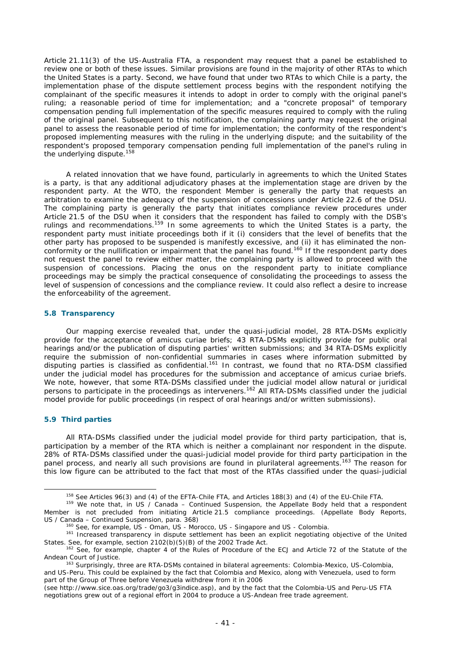Article 21.11(3) of the US-Australia FTA, a respondent may request that a panel be established to review one or both of these issues. Similar provisions are found in the majority of other RTAs to which the United States is a party. Second, we have found that under two RTAs to which Chile is a party, the implementation phase of the dispute settlement process begins with the respondent notifying the complainant of the specific measures it intends to adopt in order to comply with the original panel's ruling; a reasonable period of time for implementation; and a "concrete proposal" of temporary compensation pending full implementation of the specific measures required to comply with the ruling of the original panel. Subsequent to this notification, the complaining party may request the original panel to assess the reasonable period of time for implementation; the conformity of the respondent's proposed implementing measures with the ruling in the underlying dispute; and the suitability of the respondent's proposed temporary compensation pending full implementation of the panel's ruling in the underlying dispute.<sup>158</sup>

A related innovation that we have found, particularly in agreements to which the United States is a party, is that any additional adjudicatory phases at the implementation stage are driven by the respondent party. At the WTO, the respondent Member is generally the party that requests an arbitration to examine the adequacy of the suspension of concessions under Article 22.6 of the DSU. The complaining party is generally the party that initiates compliance review procedures under Article 21.5 of the DSU when it considers that the respondent has failed to comply with the DSB's rulings and recommendations.<sup>159</sup> In some agreements to which the United States is a party, the respondent party must initiate proceedings both if it (i) considers that the level of benefits that the other party has proposed to be suspended is manifestly excessive, and (ii) it has eliminated the nonconformity or the nullification or impairment that the panel has found.<sup>160</sup> If the respondent party does not request the panel to review either matter, the complaining party is allowed to proceed with the suspension of concessions. Placing the onus on the respondent party to initiate compliance proceedings may be simply the practical consequence of consolidating the proceedings to assess the level of suspension of concessions and the compliance review. It could also reflect a desire to increase the enforceability of the agreement.

#### **5.8 Transparency**

Our mapping exercise revealed that, under the quasi-judicial model, 28 RTA-DSMs explicitly provide for the acceptance of *amicus curiae* briefs; 43 RTA-DSMs explicitly provide for public oral hearings and/or the publication of disputing parties' written submissions; and 34 RTA-DSMs explicitly require the submission of non-confidential summaries in cases where information submitted by disputing parties is classified as confidential.<sup>161</sup> In contrast, we found that no RTA-DSM classified under the judicial model has procedures for the submission and acceptance of *amicus curiae* briefs. We note, however, that some RTA-DSMs classified under the judicial model allow natural or juridical persons to participate in the proceedings as interveners.162 All RTA-DSMs classified under the judicial model provide for public proceedings (in respect of oral hearings and/or written submissions).

#### **5.9 Third parties**

All RTA-DSMs classified under the judicial model provide for third party participation, that is, participation by a member of the RTA which is neither a complainant nor respondent in the dispute. 28% of RTA-DSMs classified under the quasi-judicial model provide for third party participation in the panel process, and nearly all such provisions are found in plurilateral agreements.<sup>163</sup> The reason for this low figure can be attributed to the fact that most of the RTAs classified under the quasi-judicial

<sup>&</sup>lt;sup>158</sup> See Articles 96(3) and (4) of the EFTA-Chile FTA, and Articles 188(3) and (4) of the EU-Chile FTA.<br><sup>159</sup> We note that, in *US / Canada – Continued Suspension*, the Appellate Body held that a respondent Member is not precluded from initiating Article 21.5 compliance proceedings. (Appellate Body Reports, US / Canada – Continued Suspension, para. 368)<br>
<sup>160</sup> See, for example, US - Oman, US - Morocco, US - Singapore and US - Colombia.<br>
<sup>161</sup> Increased transparency in dispute settlement has been an explicit negotiating object

States. See, for example, section 2102(b)(5)(B) of the 2002 Trade Act.<br>
<sup>162</sup> See, for example, chapter 4 of the Rules of Procedure of the ECJ and Article 72 of the Statute of the

Andean Court of Justice.<br><sup>163</sup> Surprisingly, three are RTA-DSMs contained in bilateral agreements: Colombia-Mexico, US-Colombia,

and US-Peru. This could be explained by the fact that Colombia and Mexico, along with Venezuela, used to form part of the Group of Three before Venezuela withdrew from it in 2006

<sup>(</sup>see http://www.sice.oas.org/trade/go3/g3indice.asp), and by the fact that the Colombia-US and Peru-US FTA negotiations grew out of a regional effort in 2004 to produce a US-Andean free trade agreement.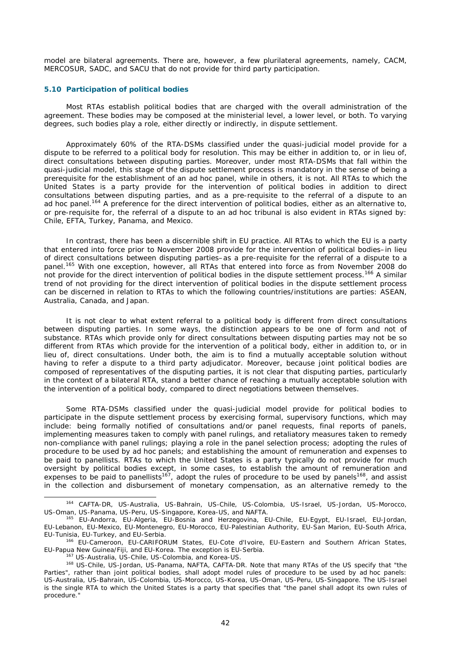model are bilateral agreements. There are, however, a few plurilateral agreements, namely, CACM, MERCOSUR, SADC, and SACU that do not provide for third party participation.

### **5.10 Participation of political bodies**

Most RTAs establish political bodies that are charged with the overall administration of the agreement. These bodies may be composed at the ministerial level, a lower level, or both. To varying degrees, such bodies play a role, either directly or indirectly, in dispute settlement.

Approximately 60% of the RTA-DSMs classified under the quasi-judicial model provide for a dispute to be referred to a political body for resolution. This may be either in addition to, or in lieu of, direct consultations between disputing parties. Moreover, under most RTA-DSMs that fall within the quasi-judicial model, this stage of the dispute settlement process is mandatory in the sense of being a prerequisite for the establishment of an ad hoc panel, while in others, it is not. All RTAs to which the United States is a party provide for the intervention of political bodies in addition to direct consultations between disputing parties, and as a pre-requisite to the referral of a dispute to an ad hoc panel.<sup>164</sup> A preference for the direct intervention of political bodies, either as an alternative to, or pre-requisite for, the referral of a dispute to an ad hoc tribunal is also evident in RTAs signed by: Chile, EFTA, Turkey, Panama, and Mexico.

In contrast, there has been a discernible shift in EU practice. All RTAs to which the EU is a party that entered into force prior to November 2008 provide for the intervention of political bodies–in lieu of direct consultations between disputing parties–as a pre-requisite for the referral of a dispute to a panel.<sup>165</sup> With one exception, however, all RTAs that entered into force as from November 2008 do not provide for the direct intervention of political bodies in the dispute settlement process.<sup>166</sup> A similar trend of not providing for the direct intervention of political bodies in the dispute settlement process can be discerned in relation to RTAs to which the following countries/institutions are parties: ASEAN, Australia, Canada, and Japan.

It is not clear to what extent referral to a political body is different from direct consultations between disputing parties. In some ways, the distinction appears to be one of form and not of substance. RTAs which provide only for direct consultations between disputing parties may not be so different from RTAs which provide for the intervention of a political body, either in addition to, or in lieu of, direct consultations. Under both, the aim is to find a mutually acceptable solution without having to refer a dispute to a third party adjudicator. Moreover, because joint political bodies are composed of representatives of the disputing parties, it is not clear that disputing parties, particularly in the context of a bilateral RTA, stand a better chance of reaching a mutually acceptable solution with the intervention of a political body, compared to direct negotiations between themselves.

Some RTA-DSMs classified under the quasi-judicial model provide for political bodies to participate in the dispute settlement process by exercising formal, supervisory functions, which may include: being formally notified of consultations and/or panel requests, final reports of panels, implementing measures taken to comply with panel rulings, and retaliatory measures taken to remedy non-compliance with panel rulings; playing a role in the panel selection process; adopting the rules of procedure to be used by ad hoc panels; and establishing the amount of remuneration and expenses to be paid to panellists. RTAs to which the United States is a party typically do not provide for much oversight by political bodies except, in some cases, to establish the amount of remuneration and expenses to be paid to panellists<sup>167</sup>, adopt the rules of procedure to be used by panels<sup>168</sup>, and assist in the collection and disbursement of monetary compensation, as an alternative remedy to the

<sup>&</sup>lt;sup>164</sup> CAFTA-DR, US-Australia, US-Bahrain, US-Chile, US-Colombia, US-Israel, US-Jordan, US-Morocco, US-Oman, US-Panama, US-Peru, US-Singapore, Korea-US, and NAFTA.

<sup>&</sup>lt;sup>165</sup> EU-Andorra, EU-Algeria, EU-Bosnia and Herzegovina, EU-Chile, EU-Egypt, EU-Israel, EU-Jordan, EU-Lebanon, EU-Mexico, EU-Montenegro, EU-Morocco, EU-Palestinian Authority, EU-San Marion, EU-South Africa,

EU-Tunisia, EU-Turkey, and EU-Serbia.<br>166 EU-Cameroon, EU-CARIFORUM States, EU-Cote d'Ivoire, EU-Eastern and Southern African States,<br>EU-Papua New Guinea/Fiji, and EU-Korea. The exception is EU-Serbia.

<sup>&</sup>lt;sup>167</sup> US-Australia, US-Chile, US-Colombia, and Korea-US.<br><sup>168</sup> US-Chile, US-Jordan, US-Panama, NAFTA, CAFTA-DR. Note that many RTAs of the US specify that "the Parties", rather than joint political bodies, shall adopt model rules of procedure to be used by ad hoc panels: US-Australia, US-Bahrain, US-Colombia, US-Morocco, US-Korea, US-Oman, US-Peru, US-Singapore. The US-Israel is the single RTA to which the United States is a party that specifies that "the panel shall adopt its own rules of procedure."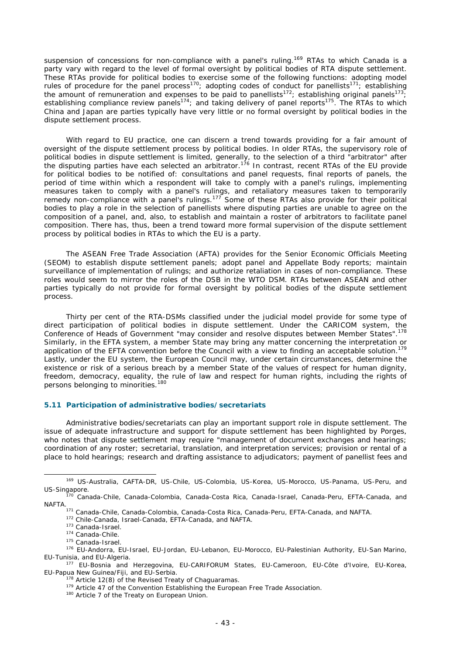suspension of concessions for non-compliance with a panel's ruling.<sup>169</sup> RTAs to which Canada is a party vary with regard to the level of formal oversight by political bodies of RTA dispute settlement. These RTAs provide for political bodies to exercise some of the following functions: adopting model rules of procedure for the panel process<sup>170</sup>; adopting codes of conduct for panellists<sup>171</sup>; establishing the amount of remuneration and expenses to be paid to panellists<sup>172</sup>; establishing original panels<sup>173</sup>; establishing compliance review panels<sup>174</sup>; and taking delivery of panel reports<sup>175</sup>. The RTAs to which China and Japan are parties typically have very little or no formal oversight by political bodies in the dispute settlement process.

With regard to EU practice, one can discern a trend towards providing for a fair amount of oversight of the dispute settlement process by political bodies. In older RTAs, the supervisory role of political bodies in dispute settlement is limited, generally, to the selection of a third "arbitrator" after the disputing parties have each selected an arbitrator.<sup>176</sup> In contrast, recent RTAs of the EU provide for political bodies to be notified of: consultations and panel requests, final reports of panels, the period of time within which a respondent will take to comply with a panel's rulings, implementing measures taken to comply with a panel's rulings, and retaliatory measures taken to temporarily remedy non-compliance with a panel's rulings.<sup>177</sup> Some of these RTAs also provide for their political bodies to play a role in the selection of panellists where disputing parties are unable to agree on the composition of a panel, and, also, to establish and maintain a roster of arbitrators to facilitate panel composition. There has, thus, been a trend toward more formal supervision of the dispute settlement process by political bodies in RTAs to which the EU is a party.

The ASEAN Free Trade Association (AFTA) provides for the Senior Economic Officials Meeting (SEOM) to establish dispute settlement panels; adopt panel and Appellate Body reports; maintain surveillance of implementation of rulings; and authorize retaliation in cases of non-compliance. These roles would seem to mirror the roles of the DSB in the WTO DSM. RTAs between ASEAN and other parties typically do not provide for formal oversight by political bodies of the dispute settlement process.

Thirty per cent of the RTA-DSMs classified under the judicial model provide for some type of direct participation of political bodies in dispute settlement. Under the CARICOM system, the Conference of Heads of Government "may consider and resolve disputes between Member States".178 Similarly, in the EFTA system, a member State may bring any matter concerning the interpretation or application of the EFTA convention before the Council with a view to finding an acceptable solution.<sup>179</sup> Lastly, under the EU system, the European Council may, under certain circumstances, determine the existence or risk of a serious breach by a member State of the values of respect for human dignity, freedom, democracy, equality, the rule of law and respect for human rights, including the rights of persons belonging to minorities.<sup>180</sup>

#### **5.11 Participation of administrative bodies/secretariats**

Administrative bodies/secretariats can play an important support role in dispute settlement. The issue of adequate infrastructure and support for dispute settlement has been highlighted by Porges, who notes that dispute settlement may require "management of document exchanges and hearings; coordination of any roster; secretarial, translation, and interpretation services; provision or rental of a place to hold hearings; research and drafting assistance to adjudicators; payment of panellist fees and

 <sup>169</sup> US-Australia, CAFTA-DR, US-Chile, US-Colombia, US-Korea, US-Morocco, US-Panama, US-Peru, and US-Singapore.<br>170 Canada-Chile, Canada-Colombia, Canada-Costa Rica, Canada-Israel, Canada-Peru, EFTA-Canada, and

NAFTA.<br>
<sup>171</sup> Canada-Chile, Canada-Colombia, Canada-Costa Rica, Canada-Peru, EFTA-Canada, and NAFTA.<br>
<sup>172</sup> Chile-Canada, Israel-Canada, EFTA-Canada, and NAFTA.<br>
<sup>173</sup> Canada-Israel.<br>
<sup>174</sup> Canada-Israel.<br>
<sup>175</sup> Canada-Isr

EU-Tunisia, and EU-Algeria.<br>177 EU-Bosnia and Herzegovina, EU-CARIFORUM States, EU-Cameroon, EU-Côte d'Ivoire, EU-Korea,

EU-Papua New Guinea/Fiji, and EU-Serbia.<br>
<sup>178</sup> Article 12(8) of the Revised Treaty of Chaguaramas.<br>
<sup>179</sup> Article 47 of the Convention Establishing the European Free Trade Association.<br>
<sup>180</sup> Article 7 of the Treaty on Eu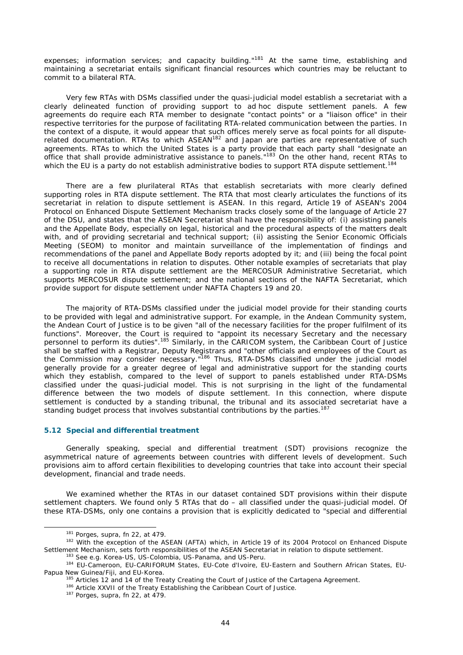expenses; information services; and capacity building."<sup>181</sup> At the same time, establishing and maintaining a secretariat entails significant financial resources which countries may be reluctant to commit to a bilateral RTA.

Very few RTAs with DSMs classified under the quasi-judicial model establish a secretariat with a clearly delineated function of providing support to ad hoc dispute settlement panels. A few agreements do require each RTA member to designate "contact points" or a "liaison office" in their respective territories for the purpose of facilitating RTA-related communication between the parties. In the context of a dispute, it would appear that such offices merely serve as focal points for all disputerelated documentation. RTAs to which ASEAN<sup>182</sup> and Japan are parties are representative of such agreements. RTAs to which the United States is a party provide that each party shall "designate an office that shall provide administrative assistance to panels."183 On the other hand, recent RTAs to which the EU is a party do not establish administrative bodies to support RTA dispute settlement.<sup>184</sup>

There are a few plurilateral RTAs that establish secretariats with more clearly defined supporting roles in RTA dispute settlement. The RTA that most clearly articulates the functions of its secretariat in relation to dispute settlement is ASEAN. In this regard, Article 19 of ASEAN's 2004 Protocol on Enhanced Dispute Settlement Mechanism tracks closely some of the language of Article 27 of the DSU, and states that the ASEAN Secretariat shall have the responsibility of: (i) assisting panels and the Appellate Body, especially on legal, historical and the procedural aspects of the matters dealt with, and of providing secretarial and technical support; (ii) assisting the Senior Economic Officials Meeting (SEOM) to monitor and maintain surveillance of the implementation of findings and recommendations of the panel and Appellate Body reports adopted by it; and (iii) being the focal point to receive all documentations in relation to disputes. Other notable examples of secretariats that play a supporting role in RTA dispute settlement are the MERCOSUR Administrative Secretariat, which supports MERCOSUR dispute settlement; and the national sections of the NAFTA Secretariat, which provide support for dispute settlement under NAFTA Chapters 19 and 20.

The majority of RTA-DSMs classified under the judicial model provide for their standing courts to be provided with legal and administrative support. For example, in the Andean Community system, the Andean Court of Justice is to be given "all of the necessary facilities for the proper fulfilment of its functions". Moreover, the Court is required to "appoint its necessary Secretary and the necessary personnel to perform its duties".<sup>185</sup> Similarly, in the CARICOM system, the Caribbean Court of Justice shall be staffed with a Registrar, Deputy Registrars and "other officials and employees of the Court as the Commission may consider necessary."186 Thus, RTA-DSMs classified under the judicial model generally provide for a greater degree of legal and administrative support for the standing courts which they establish, compared to the level of support to panels established under RTA-DSMs classified under the quasi-judicial model. This is not surprising in the light of the fundamental difference between the two models of dispute settlement. In this connection, where dispute settlement is conducted by a standing tribunal, the tribunal and its associated secretariat have a standing budget process that involves substantial contributions by the parties.<sup>187</sup>

## **5.12 Special and differential treatment**

Generally speaking, special and differential treatment (SDT) provisions recognize the asymmetrical nature of agreements between countries with different levels of development. Such provisions aim to afford certain flexibilities to developing countries that take into account their special development, financial and trade needs.

We examined whether the RTAs in our dataset contained SDT provisions within their dispute settlement chapters. We found only 5 RTAs that do – all classified under the quasi-judicial model. Of these RTA-DSMs, only one contains a provision that is explicitly dedicated to "special and differential

<sup>&</sup>lt;sup>181</sup> Porges, *supra*, fn 22, at 479.<br><sup>182</sup> With the exception of the ASEAN (AFTA) which, in Article 19 of its 2004 Protocol on Enhanced Dispute Settlement Mechanism, sets forth responsibilities of the ASEAN Secretariat in relation to dispute settlement.<br><sup>183</sup> See e.g. Korea-US, US-Colombia, US-Panama, and US-Peru.<br><sup>184</sup> EU-Cameroon, EU-CARIFORUM States, EU-Cote d'

Papua New Guinea/Fiji, and EU-Korea.<br><sup>185</sup> Articles 12 and 14 of the Treaty Creating the Court of Justice of the Cartagena Agreement.<br><sup>186</sup> Article XXVII of the Treaty Establishing the Caribbean Court of Justice.<br><sup>187</sup> Por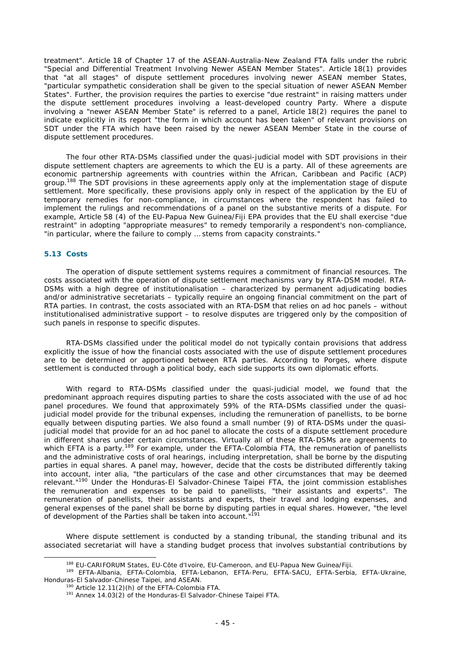treatment". Article 18 of Chapter 17 of the ASEAN-Australia-New Zealand FTA falls under the rubric "Special and Differential Treatment Involving Newer ASEAN Member States". Article 18(1) provides that "at all stages" of dispute settlement procedures involving newer ASEAN member States, "particular sympathetic consideration shall be given to the special situation of newer ASEAN Member States". Further, the provision requires the parties to exercise "due restraint" in raising matters under the dispute settlement procedures involving a least-developed country Party. Where a dispute involving a "newer ASEAN Member State" is referred to a panel, Article 18(2) requires the panel to indicate explicitly in its report "the form in which account has been taken" of relevant provisions on SDT under the FTA which have been raised by the newer ASEAN Member State in the course of dispute settlement procedures.

The four other RTA-DSMs classified under the quasi-judicial model with SDT provisions in their dispute settlement chapters are agreements to which the EU is a party. All of these agreements are economic partnership agreements with countries within the African, Caribbean and Pacific (ACP) group.<sup>188</sup> The SDT provisions in these agreements apply only at the implementation stage of dispute settlement. More specifically, these provisions apply only in respect of the application by the EU of temporary remedies for non-compliance, in circumstances where the respondent has failed to implement the rulings and recommendations of a panel on the substantive merits of a dispute. For example, Article 58 (4) of the EU-Papua New Guinea/Fiji EPA provides that the EU shall exercise "due restraint" in adopting "appropriate measures" to remedy temporarily a respondent's non-compliance, "in particular, where the failure to comply … stems from capacity constraints."

## **5.13 Costs**

The operation of dispute settlement systems requires a commitment of financial resources. The costs associated with the operation of dispute settlement mechanisms vary by RTA-DSM model. RTA-DSMs with a high degree of institutionalisation – characterized by permanent adjudicating bodies and/or administrative secretariats – typically require an ongoing financial commitment on the part of RTA parties. In contrast, the costs associated with an RTA-DSM that relies on ad hoc panels – without institutionalised administrative support – to resolve disputes are triggered only by the composition of such panels in response to specific disputes.

RTA-DSMs classified under the political model do not typically contain provisions that address explicitly the issue of how the financial costs associated with the use of dispute settlement procedures are to be determined or apportioned between RTA parties. According to Porges, where dispute settlement is conducted through a political body, each side supports its own diplomatic efforts.

With regard to RTA-DSMs classified under the quasi-judicial model, we found that the predominant approach requires disputing parties to share the costs associated with the use of ad hoc panel procedures. We found that approximately 59% of the RTA-DSMs classified under the quasijudicial model provide for the tribunal expenses, including the remuneration of panellists, to be borne equally between disputing parties. We also found a small number (9) of RTA-DSMs under the quasijudicial model that provide for an ad hoc panel to allocate the costs of a dispute settlement procedure in different shares under certain circumstances. Virtually all of these RTA-DSMs are agreements to which EFTA is a party.<sup>189</sup> For example, under the EFTA-Colombia FTA, the remuneration of panellists and the administrative costs of oral hearings, including interpretation, shall be borne by the disputing parties in equal shares. A panel may, however, decide that the costs be distributed differently taking into account, *inter alia*, "the particulars of the case and other circumstances that may be deemed relevant."<sup>190</sup> Under the Honduras-El Salvador-Chinese Taipei FTA, the joint commission establishes the remuneration and expenses to be paid to panellists, "their assistants and experts". The remuneration of panellists, their assistants and experts, their travel and lodging expenses, and general expenses of the panel shall be borne by disputing parties in equal shares. However, "the level of development of the Parties shall be taken into account.

Where dispute settlement is conducted by a standing tribunal, the standing tribunal and its associated secretariat will have a standing budget process that involves substantial contributions by

<sup>&</sup>lt;sup>188</sup> EU-CARIFORUM States, EU-Côte d'Ivoire, EU-Cameroon, and EU-Papua New Guinea/Fiji.<br><sup>189</sup> EFTA-Albania, EFTA-Colombia, EFTA-Lebanon, EFTA-Peru, EFTA-SACU, EFTA-Serbia, EFTA-Ukraine, Honduras-El Salvador-Chinese Taipei, and ASEAN.<br><sup>190</sup> Article 12.11(2)(h) of the EFTA-Colombia FTA.<br><sup>191</sup> Annex 14.03(2) of the Honduras-El Salvador-Chinese Taipei FTA.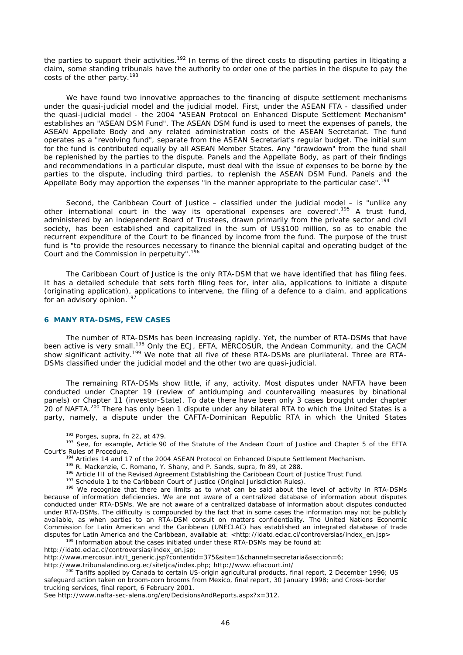the parties to support their activities.<sup>192</sup> In terms of the direct costs to disputing parties in litigating a claim, some standing tribunals have the authority to order one of the parties in the dispute to pay the costs of the other party.193

We have found two innovative approaches to the financing of dispute settlement mechanisms under the quasi-judicial model and the judicial model. First, under the ASEAN FTA - classified under the quasi-judicial model - the 2004 "ASEAN Protocol on Enhanced Dispute Settlement Mechanism" establishes an "ASEAN DSM Fund". The ASEAN DSM fund is used to meet the expenses of panels, the ASEAN Appellate Body and any related administration costs of the ASEAN Secretariat. The fund operates as a "revolving fund", separate from the ASEAN Secretariat's regular budget. The initial sum for the fund is contributed equally by all ASEAN Member States. Any "drawdown" from the fund shall be replenished by the parties to the dispute. Panels and the Appellate Body, as part of their findings and recommendations in a particular dispute, must deal with the issue of expenses to be borne by the parties to the dispute, including third parties, to replenish the ASEAN DSM Fund. Panels and the Appellate Body may apportion the expenses "in the manner appropriate to the particular case".<sup>194</sup>

Second, the Caribbean Court of Justice – classified under the judicial model – is "unlike any other international court in the way its operational expenses are covered".195 A trust fund, administered by an independent Board of Trustees, drawn primarily from the private sector and civil society, has been established and capitalized in the sum of US\$100 million, so as to enable the recurrent expenditure of the Court to be financed by income from the fund. The purpose of the trust fund is "to provide the resources necessary to finance the biennial capital and operating budget of the Court and the Commission in perpetuity".<sup>196</sup>

The Caribbean Court of Justice is the only RTA-DSM that we have identified that has filing fees. It has a detailed schedule that sets forth filing fees for, *inter alia*, applications to initiate a dispute (originating application), applications to intervene, the filing of a defence to a claim, and applications for an advisory opinion.<sup>197</sup>

### **6 MANY RTA-DSMS, FEW CASES**

The number of RTA-DSMs has been increasing rapidly. Yet, the number of RTA-DSMs that have been active is very small.<sup>198</sup> Only the ECJ, EFTA, MERCOSUR, the Andean Community, and the CACM show significant activity.<sup>199</sup> We note that all five of these RTA-DSMs are plurilateral. Three are RTA-DSMs classified under the judicial model and the other two are quasi-judicial.

The remaining RTA-DSMs show little, if any, activity. Most disputes under NAFTA have been conducted under Chapter 19 (review of antidumping and countervailing measures by binational panels) or Chapter 11 (investor-State). To date there have been only 3 cases brought under chapter 20 of NAFTA.<sup>200</sup> There has only been 1 dispute under any bilateral RTA to which the United States is a party, namely, a dispute under the CAFTA-Dominican Republic RTA in which the United States

http://idatd.eclac.cl/controversias/index\_en.jsp;

http://www.mercosur.int/t\_generic.jsp?contentid=375&site=1&channel=secretaria&seccion=6;

http://www.tribunalandino.org.ec/sitetjca/index.php; http://www.eftacourt.int/ 200 *Tariffs applied by Canada to certain US-origin agricultural products*, final report, 2 December 1996; *US safeguard action taken on broom-corn brooms from Mexico*, final report, 30 January 1998; and *Cross-border trucking services*, final report, 6 February 2001.

<sup>&</sup>lt;sup>192</sup> Porges, *supra*, fn 22, at 479.<br><sup>193</sup> See, for example, Article 90 of the Statute of the Andean Court of Justice and Chapter 5 of the EFTA

Court's Rules of Procedure.<br><sup>194</sup> Articles 14 and 17 of the 2004 ASEAN Protocol on Enhanced Dispute Settlement Mechanism.<br><sup>195</sup> R. Mackenzie, C. Romano, Y. Shany, and P. Sands, *supra*, fn 89, at 288.<br><sup>196</sup> Article III of because of information deficiencies. We are not aware of a centralized database of information about disputes conducted under RTA-DSMs. We are not aware of a centralized database of information about disputes conducted under RTA-DSMs. The difficulty is compounded by the fact that in some cases the information may not be publicly available, as when parties to an RTA-DSM consult on matters confidentiality. The United Nations Economic Commission for Latin American and the Caribbean (UNECLAC) has established an integrated database of trade disputes for Latin America and the Caribbean, available at: <http://idatd.eclac.cl/controversias/index\_en.jsp> 199 Information about the cases initiated under these RTA-DSMs may be found at:

See http://www.nafta-sec-alena.org/en/DecisionsAndReports.aspx?x=312.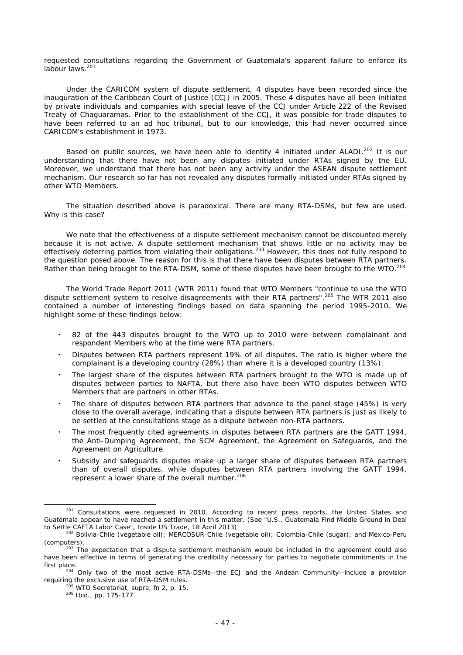requested consultations regarding the Government of Guatemala's apparent failure to enforce its labour laws.<sup>201</sup>

Under the CARICOM system of dispute settlement, 4 disputes have been recorded since the inauguration of the Caribbean Court of Justice (CCJ) in 2005. These 4 disputes have all been initiated by private individuals and companies with special leave of the CCJ under Article 222 of the Revised Treaty of Chaguaramas. Prior to the establishment of the CCJ, it was possible for trade disputes to have been referred to an ad hoc tribunal, but to our knowledge, this had never occurred since CARICOM's establishment in 1973.

Based on public sources, we have been able to identify 4 initiated under ALADI.<sup>202</sup> It is our understanding that there have not been any disputes initiated under RTAs signed by the EU. Moreover, we understand that there has not been any activity under the ASEAN dispute settlement mechanism. Our research so far has not revealed any disputes formally initiated under RTAs signed by other WTO Members.

The situation described above is paradoxical. There are many RTA-DSMs, but few are used. Why is this case?

We note that the effectiveness of a dispute settlement mechanism cannot be discounted merely because it is not active. A dispute settlement mechanism that shows little or no activity may be effectively deterring parties from violating their obligations.<sup>203</sup> However, this does not fully respond to the question posed above. The reason for this is that there have been disputes between RTA partners. Rather than being brought to the RTA-DSM, some of these disputes have been brought to the WTO.<sup>204</sup>

The World Trade Report 2011 (WTR 2011) found that WTO Members "continue to use the WTO dispute settlement system to resolve disagreements with their RTA partners".<sup>205</sup> The WTR 2011 also contained a number of interesting findings based on data spanning the period 1995-2010. We highlight some of these findings below:

- 82 of the 443 disputes brought to the WTO up to 2010 were between complainant and respondent Members who at the time were RTA partners.
- Disputes between RTA partners represent 19% of all disputes. The ratio is higher where the complainant is a developing country (28%) than where it is a developed country (13%).
- The largest share of the disputes between RTA partners brought to the WTO is made up of disputes between parties to NAFTA, but there also have been WTO disputes between WTO Members that are partners in other RTAs.
- The share of disputes between RTA partners that advance to the panel stage (45%) is very close to the overall average, indicating that a dispute between RTA partners is just as likely to be settled at the consultations stage as a dispute between non-RTA partners.
- The most frequently cited agreements in disputes between RTA partners are the GATT 1994, the Anti-Dumping Agreement, the SCM Agreement, the Agreement on Safeguards, and the Agreement on Agriculture.
- Subsidy and safeguards disputes make up a larger share of disputes between RTA partners than of overall disputes, while disputes between RTA partners involving the GATT 1994, represent a lower share of the overall number.<sup>206</sup>

<sup>&</sup>lt;sup>201</sup> Consultations were requested in 2010. According to recent press reports, the United States and Guatemala appear to have reached a settlement in this matter. (See "U.S., Guatemala Find Middle Ground in Deal<br>to Settle CAFTA Labor Case", *Inside US Trade*, 18 April 2013)

<sup>&</sup>lt;sup>202</sup> Bolivia-Chile (vegetable oil); MERCOSUR-Chile (vegetable oil); Colombia-Chile (sugar); and Mexico-Peru

<sup>(</sup>computers).<br><sup>203</sup> The expectation that a dispute settlement mechanism would be included in the agreement could also have been effective in terms of generating the credibility necessary for parties to negotiate commitments in the first place.<br><sup>204</sup> Only two of the most active RTA-DSMs--the ECJ and the Andean Community--include a provision

requiring the exclusive use of RTA-DSM rules. 205 WTO Secretariat, *supra*, fn 2, p. 15. 206 Ibid., pp. 175-177.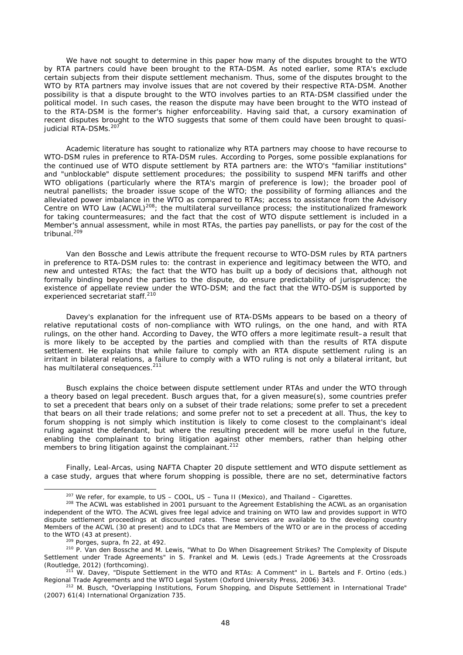We have not sought to determine in this paper how many of the disputes brought to the WTO by RTA partners could have been brought to the RTA-DSM. As noted earlier, some RTA's exclude certain subjects from their dispute settlement mechanism. Thus, some of the disputes brought to the WTO by RTA partners may involve issues that are not covered by their respective RTA-DSM. Another possibility is that a dispute brought to the WTO involves parties to an RTA-DSM classified under the political model. In such cases, the reason the dispute may have been brought to the WTO instead of to the RTA-DSM is the former's higher enforceability. Having said that, a cursory examination of recent disputes brought to the WTO suggests that some of them could have been brought to quasijudicial RTA-DSMs.<sup>207</sup>

Academic literature has sought to rationalize why RTA partners may choose to have recourse to WTO-DSM rules in preference to RTA-DSM rules. According to Porges, some possible explanations for the continued use of WTO dispute settlement by RTA partners are: the WTO's "familiar institutions" and "unblockable" dispute settlement procedures; the possibility to suspend MFN tariffs and other WTO obligations (particularly where the RTA's margin of preference is low); the broader pool of neutral panellists; the broader issue scope of the WTO; the possibility of forming alliances and the alleviated power imbalance in the WTO as compared to RTAs; access to assistance from the Advisory Centre on WTO Law (ACWL)<sup>208</sup>; the multilateral surveillance process; the institutionalized framework for taking countermeasures; and the fact that the cost of WTO dispute settlement is included in a Member's annual assessment, while in most RTAs, the parties pay panellists, or pay for the cost of the tribunal.<sup>209</sup>

Van den Bossche and Lewis attribute the frequent recourse to WTO-DSM rules by RTA partners in preference to RTA-DSM rules to: the contrast in experience and legitimacy between the WTO, and new and untested RTAs; the fact that the WTO has built up a body of decisions that, although not formally binding beyond the parties to the dispute, do ensure predictability of jurisprudence; the existence of appellate review under the WTO-DSM; and the fact that the WTO-DSM is supported by experienced secretariat staff.<sup>210</sup>

Davey's explanation for the infrequent use of RTA-DSMs appears to be based on a theory of relative reputational costs of non-compliance with WTO rulings, on the one hand, and with RTA rulings, on the other hand. According to Davey, the WTO offers a more legitimate result–a result that is more likely to be accepted by the parties and complied with than the results of RTA dispute settlement. He explains that while failure to comply with an RTA dispute settlement ruling is an irritant in bilateral relations, a failure to comply with a WTO ruling is not only a bilateral irritant, but has multilateral consequences.<sup>211</sup>

Busch explains the choice between dispute settlement under RTAs and under the WTO through a theory based on legal precedent. Busch argues that, for a given measure(s), some countries prefer to set a precedent that bears only on a subset of their trade relations; some prefer to set a precedent that bears on all their trade relations; and some prefer not to set a precedent at all. Thus, the key to forum shopping is not simply which institution is likely to come closest to the complainant's ideal ruling against the defendant, but where the resulting precedent will be more useful in the future, enabling the complainant to bring litigation against other members, rather than helping other members to bring litigation against the complainant.<sup>212</sup>

Finally, Leal-Arcas, using NAFTA Chapter 20 dispute settlement and WTO dispute settlement as a case study, argues that where forum shopping is possible, there are no set, determinative factors

<sup>&</sup>lt;sup>207</sup> We refer, for example, to *US – COOL*, *US – Tuna II (Mexico)*, and *Thailand – Cigarettes*.<br><sup>208</sup> The ACWL was established in 2001 pursuant to the Agreement Establishing the ACWL as an organisation independent of the WTO. The ACWL gives free legal advice and training on WTO law and provides support in WTO dispute settlement proceedings at discounted rates. These services are available to the developing country Members of the ACWL (30 at present) and to LDCs that are Members of the WTO or are in the process of acceding

to the WTO (43 at present).<br><sup>209</sup> Porges, *supra*, fn 22, at 492.<br><sup>210</sup> P. Van den Bossche and M. Lewis, "What to Do When Disagreement Strikes? The Complexity of Dispute Settlement under Trade Agreements" in S. Frankel and M. Lewis (eds.) *Trade Agreements at the Crossroads*  (Routledge, 2012) (forthcoming). 211 W. Davey, "Dispute Settlement in the WTO and RTAs: A Comment" in L. Bartels and F. Ortino (eds.)

*Regional Trade Agreements and the WTO Legal System* (Oxford University Press, 2006) 343.<br><sup>212</sup> M. Busch, "Overlapping Institutions, Forum Shopping, and Dispute Settlement in International Trade"

<sup>(2007) 61(4)</sup> *International Organization* 735.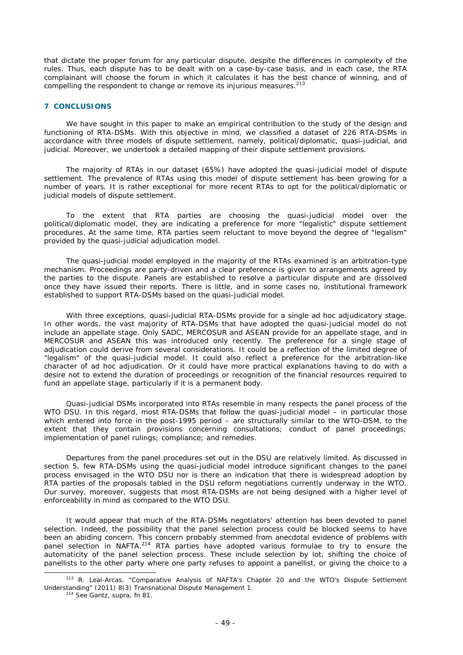that dictate the proper forum for any particular dispute, despite the differences in complexity of the rules. Thus, each dispute has to be dealt with on a case-by-case basis, and in each case, the RTA complainant will choose the forum in which it calculates it has the best chance of winning, and of compelling the respondent to change or remove its injurious measures.<sup>213</sup>

#### **7 CONCLUSIONS**

We have sought in this paper to make an empirical contribution to the study of the design and functioning of RTA-DSMs. With this objective in mind, we classified a dataset of 226 RTA-DSMs in accordance with three models of dispute settlement, namely, political/diplomatic, quasi-judicial, and judicial. Moreover, we undertook a detailed mapping of their dispute settlement provisions.

The majority of RTAs in our dataset (65%) have adopted the quasi-judicial model of dispute settlement. The prevalence of RTAs using this model of dispute settlement has been growing for a number of years. It is rather exceptional for more recent RTAs to opt for the political/diplomatic or judicial models of dispute settlement.

To the extent that RTA parties are choosing the quasi-judicial model over the political/diplomatic model, they are indicating a preference for more "legalistic" dispute settlement procedures. At the same time, RTA parties seem reluctant to move beyond the degree of "legalism" provided by the quasi-judicial adjudication model.

The quasi-judicial model employed in the majority of the RTAs examined is an arbitration-type mechanism. Proceedings are party-driven and a clear preference is given to arrangements agreed by the parties to the dispute. Panels are established to resolve a particular dispute and are dissolved once they have issued their reports. There is little, and in some cases no, institutional framework established to support RTA-DSMs based on the quasi-judicial model.

With three exceptions, quasi-judicial RTA-DSMs provide for a single ad hoc adjudicatory stage. In other words, the vast majority of RTA-DSMs that have adopted the quasi-judicial model do not include an appellate stage. Only SADC, MERCOSUR and ASEAN provide for an appellate stage, and in MERCOSUR and ASEAN this was introduced only recently. The preference for a single stage of adjudication could derive from several considerations. It could be a reflection of the limited degree of "legalism" of the quasi-judicial model. It could also reflect a preference for the arbitration-like character of ad hoc adjudication. Or it could have more practical explanations having to do with a desire not to extend the duration of proceedings or recognition of the financial resources required to fund an appellate stage, particularly if it is a permanent body.

Quasi-judicial DSMs incorporated into RTAs resemble in many respects the panel process of the WTO DSU. In this regard, most RTA-DSMs that follow the quasi-judicial model – in particular those which entered into force in the post-1995 period – are structurally similar to the WTO-DSM, to the extent that they contain provisions concerning consultations; conduct of panel proceedings; implementation of panel rulings; compliance; and remedies.

Departures from the panel procedures set out in the DSU are relatively limited. As discussed in section 5, few RTA-DSMs using the quasi-judicial model introduce significant changes to the panel process envisaged in the WTO DSU nor is there an indication that there is widespread adoption by RTA parties of the proposals tabled in the DSU reform negotiations currently underway in the WTO. Our survey, moreover, suggests that most RTA-DSMs are not being designed with a higher level of enforceability in mind as compared to the WTO DSU.

It would appear that much of the RTA-DSMs negotiators' attention has been devoted to panel selection. Indeed, the possibility that the panel selection process could be blocked seems to have been an abiding concern. This concern probably stemmed from anecdotal evidence of problems with panel selection in NAFTA.<sup>214</sup> RTA parties have adopted various formulae to try to ensure the automaticity of the panel selection process. These include selection by lot, shifting the choice of panellists to the other party where one party refuses to appoint a panellist, or giving the choice to a

 <sup>213</sup> R. Leal-Arcas, "Comparative Analysis of NAFTA's Chapter 20 and the WTO's Dispute Settlement Understanding" (2011) 8(3) *Transnational Dispute Management* 1. 214 See Gantz, *supra*, fn 81.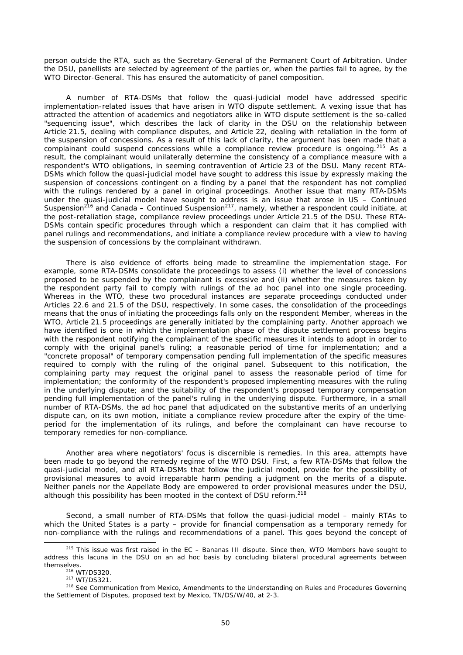person outside the RTA, such as the Secretary-General of the Permanent Court of Arbitration. Under the DSU, panellists are selected by agreement of the parties or, when the parties fail to agree, by the WTO Director-General. This has ensured the automaticity of panel composition.

A number of RTA-DSMs that follow the quasi-judicial model have addressed specific implementation-related issues that have arisen in WTO dispute settlement. A vexing issue that has attracted the attention of academics and negotiators alike in WTO dispute settlement is the so-called "sequencing issue", which describes the lack of clarity in the DSU on the relationship between Article 21.5, dealing with compliance disputes, and Article 22, dealing with retaliation in the form of the suspension of concessions. As a result of this lack of clarity, the argument has been made that a complainant could suspend concessions while a compliance review procedure is ongoing.<sup>215</sup> As a result, the complainant would unilaterally determine the consistency of a compliance measure with a respondent's WTO obligations, in seeming contravention of Article 23 of the DSU. Many recent RTA-DSMs which follow the quasi-judicial model have sought to address this issue by expressly making the suspension of concessions contingent on a finding by a panel that the respondent has not complied with the rulings rendered by a panel in original proceedings. Another issue that many RTA-DSMs under the quasi-judicial model have sought to address is an issue that arose in *US – Continued Suspension*216 and *Canada – Continued Suspension*217, namely, whether a respondent could initiate, at the post-retaliation stage, compliance review proceedings under Article 21.5 of the DSU. These RTA-DSMs contain specific procedures through which a respondent can claim that it has complied with panel rulings and recommendations, and initiate a compliance review procedure with a view to having the suspension of concessions by the complainant withdrawn.

There is also evidence of efforts being made to streamline the implementation stage. For example, some RTA-DSMs consolidate the proceedings to assess (i) whether the level of concessions proposed to be suspended by the complainant is excessive and (ii) whether the measures taken by the respondent party fail to comply with rulings of the ad hoc panel into one single proceeding. Whereas in the WTO, these two procedural instances are separate proceedings conducted under Articles 22.6 and 21.5 of the DSU, respectively. In some cases, the consolidation of the proceedings means that the onus of initiating the proceedings falls only on the respondent Member, whereas in the WTO, Article 21.5 proceedings are generally initiated by the complaining party. Another approach we have identified is one in which the implementation phase of the dispute settlement process begins with the respondent notifying the complainant of the specific measures it intends to adopt in order to comply with the original panel's ruling; a reasonable period of time for implementation; and a "concrete proposal" of temporary compensation pending full implementation of the specific measures required to comply with the ruling of the original panel. Subsequent to this notification, the complaining party may request the original panel to assess the reasonable period of time for implementation; the conformity of the respondent's proposed implementing measures with the ruling in the underlying dispute; and the suitability of the respondent's proposed temporary compensation pending full implementation of the panel's ruling in the underlying dispute. Furthermore, in a small number of RTA-DSMs, the ad hoc panel that adjudicated on the substantive merits of an underlying dispute can, on its own motion, initiate a compliance review procedure after the expiry of the timeperiod for the implementation of its rulings, and before the complainant can have recourse to temporary remedies for non-compliance.

Another area where negotiators' focus is discernible is remedies. In this area, attempts have been made to go beyond the remedy regime of the WTO DSU. First, a few RTA-DSMs that follow the quasi-judicial model, and all RTA-DSMs that follow the judicial model, provide for the possibility of provisional measures to avoid irreparable harm pending a judgment on the merits of a dispute. Neither panels nor the Appellate Body are empowered to order provisional measures under the DSU, although this possibility has been mooted in the context of DSU reform.<sup>218</sup>

Second, a small number of RTA-DSMs that follow the quasi-judicial model – mainly RTAs to which the United States is a party – provide for financial compensation as a temporary remedy for non-compliance with the rulings and recommendations of a panel. This goes beyond the concept of

 <sup>215</sup> This issue was first raised in the *EC – Bananas III* dispute. Since then, WTO Members have sought to address this lacuna in the DSU on an ad hoc basis by concluding bilateral procedural agreements between themselves.<br><sup>216</sup> WT/DS320.<br><sup>217</sup> WT/DS321.<br><sup>218</sup> See Communication from Mexico, Amendments to the Understanding on Rules and Procedures Governing

the Settlement of Disputes, proposed text by Mexico, TN/DS/W/40, at 2-3.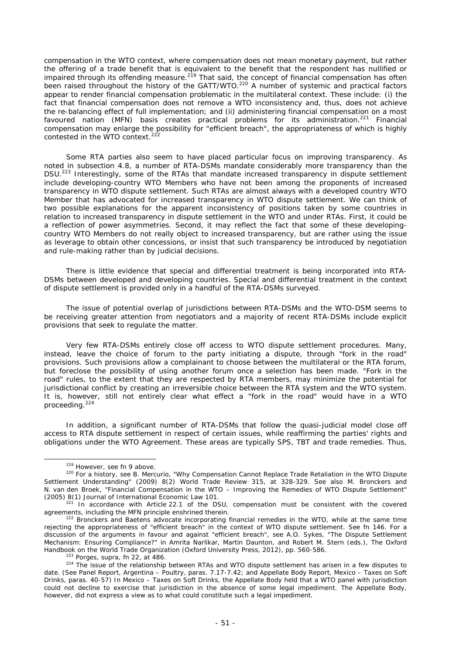compensation in the WTO context, where compensation does not mean monetary payment, but rather the offering of a trade benefit that is equivalent to the benefit that the respondent has nullified or impaired through its offending measure.<sup>219</sup> That said, the concept of financial compensation has often been raised throughout the history of the GATT/WTO.<sup>220</sup> A number of systemic and practical factors appear to render financial compensation problematic in the multilateral context. These include: (i) the fact that financial compensation does not remove a WTO inconsistency and, thus, does not achieve the re-balancing effect of full implementation; and (ii) administering financial compensation on a most favoured nation (MFN) basis creates practical problems for its administration.<sup>221</sup> Financial compensation may enlarge the possibility for "efficient breach", the appropriateness of which is highly contested in the WTO context.<sup>222</sup>

Some RTA parties also seem to have placed particular focus on improving transparency. As noted in subsection 4.8, a number of RTA-DSMs *mandate* considerably more transparency than the DSU.223 Interestingly, some of the RTAs that *mandate* increased transparency in dispute settlement include developing-country WTO Members who have not been among the proponents of increased transparency in WTO dispute settlement. Such RTAs are almost always with a developed country WTO Member that has advocated for increased transparency in WTO dispute settlement. We can think of two possible explanations for the apparent inconsistency of positions taken by some countries in relation to increased transparency in dispute settlement in the WTO and under RTAs. First, it could be a reflection of power asymmetries. Second, it may reflect the fact that some of these developingcountry WTO Members do not really object to increased transparency, but are rather using the issue as leverage to obtain other concessions, or insist that such transparency be introduced by negotiation and rule-making rather than by judicial decisions.

There is little evidence that special and differential treatment is being incorporated into RTA-DSMs between developed and developing countries. Special and differential treatment in the context of dispute settlement is provided only in a handful of the RTA-DSMs surveyed.

The issue of potential overlap of jurisdictions between RTA-DSMs and the WTO-DSM seems to be receiving greater attention from negotiators and a majority of recent RTA-DSMs include explicit provisions that seek to regulate the matter.

Very few RTA-DSMs entirely close off access to WTO dispute settlement procedures. Many, instead, leave the choice of forum to the party initiating a dispute, through "fork in the road" provisions. Such provisions allow a complainant to choose between the multilateral or the RTA forum, but foreclose the possibility of using another forum once a selection has been made. "Fork in the road" rules, to the extent that they are respected by RTA members, may minimize the potential for jurisdictional conflict by creating an irreversible choice between the RTA system and the WTO system. It is, however, still not entirely clear what effect a "fork in the road" would have in a WTO proceeding.224

In addition, a significant number of RTA-DSMs that follow the quasi-judicial model close off access to RTA dispute settlement in respect of certain issues, while reaffirming the parties' rights and obligations under the WTO Agreement. These areas are typically SPS, TBT and trade remedies. Thus,

<sup>&</sup>lt;sup>219</sup> However, see fn 9 above.<br><sup>220</sup> For a history, see B. Mercurio, "Why Compensation Cannot Replace Trade Retaliation in the WTO Dispute Settlement Understanding" (2009) 8(2) *World Trade Review* 315, at 328-329. See also M. Bronckers and N. van den Broek, "Financial Compensation in the WTO – Improving the Remedies of WTO Dispute Settlement" (2005) 8(1) *Journal of International Economic Law* 101. 221 In accordance with Article 22.1 of the DSU, compensation must be consistent with the covered

agreements, including the MFN principle enshrined therein.<br><sup>222</sup> Bronckers and Baetens advocate incorporating financial remedies in the WTO, while at the same time

rejecting the appropriateness of "efficient breach" in the context of WTO dispute settlement. See fn 146. For a discussion of the arguments in favour and against "efficient breach", see A.O. Sykes, "The Dispute Settlement Mechanism: Ensuring Compliance?" in Amrita Narlikar, Martin Daunton, and Robert M. Stern (eds.), The Oxford Handbook on the World Trade Organization (Oxford University Press, 2012), pp. 560-586.<br><sup>223</sup> Porges, *supra*, fn 22, at 486.<br><sup>224</sup> The issue of the relationship between RTAs and WTO dispute settlement has arisen in a few d

date. (See Panel Report, *Argentina – Poultry*, paras. 7.17-7.42; and Appellate Body Report, *Mexico – Taxes on Soft Drinks*, paras. 40-57) In *Mexico – Taxes on Soft Drinks*, the Appellate Body held that a WTO panel with jurisdiction could not decline to exercise that jurisdiction in the absence of some legal impediment. The Appellate Body, however, did not express a view as to what could constitute such a legal impediment.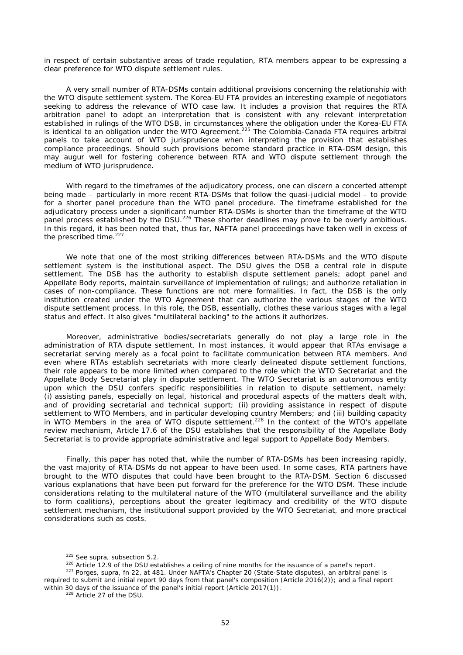in respect of certain substantive areas of trade regulation, RTA members appear to be expressing a clear preference for WTO dispute settlement rules.

A very small number of RTA-DSMs contain additional provisions concerning the relationship with the WTO dispute settlement system. The Korea-EU FTA provides an interesting example of negotiators seeking to address the relevance of WTO case law. It includes a provision that requires the RTA arbitration panel to adopt an interpretation that is consistent with any relevant interpretation established in rulings of the WTO DSB, in circumstances where the obligation under the Korea-EU FTA is identical to an obligation under the WTO Agreement.<sup>225</sup> The Colombia-Canada FTA requires arbitral panels to take account of WTO jurisprudence when interpreting the provision that establishes compliance proceedings. Should such provisions become standard practice in RTA-DSM design, this may augur well for fostering coherence between RTA and WTO dispute settlement through the medium of WTO jurisprudence.

With regard to the timeframes of the adjudicatory process, one can discern a concerted attempt being made – particularly in more recent RTA-DSMs that follow the quasi-judicial model – to provide for a shorter panel procedure than the WTO panel procedure. The timeframe established for the adjudicatory process under a significant number RTA-DSMs is shorter than the timeframe of the WTO panel process established by the DSU.<sup>226</sup> These shorter deadlines may prove to be overly ambitious. In this regard, it has been noted that, thus far, NAFTA panel proceedings have taken well in excess of the prescribed time.<sup>227</sup>

We note that one of the most striking differences between RTA-DSMs and the WTO dispute settlement system is the institutional aspect. The DSU gives the DSB a central role in dispute settlement. The DSB has the authority to establish dispute settlement panels; adopt panel and Appellate Body reports, maintain surveillance of implementation of rulings; and authorize retaliation in cases of non-compliance. These functions are not mere formalities. In fact, the DSB is the only institution created under the WTO Agreement that can *authorize* the various stages of the WTO dispute settlement process. In this role, the DSB, essentially, clothes these various stages with a legal status and effect. It also gives "multilateral backing" to the actions it authorizes.

Moreover, administrative bodies/secretariats generally do not play a large role in the administration of RTA dispute settlement. In most instances, it would appear that RTAs envisage a secretariat serving merely as a focal point to facilitate communication between RTA members. And even where RTAs establish secretariats with more clearly delineated dispute settlement functions, their role appears to be more limited when compared to the role which the WTO Secretariat and the Appellate Body Secretariat play in dispute settlement. The WTO Secretariat is an autonomous entity upon which the DSU confers specific responsibilities in relation to dispute settlement, namely: (i) assisting panels, especially on legal, historical and procedural aspects of the matters dealt with, and of providing secretarial and technical support; (ii) providing assistance in respect of dispute settlement to WTO Members, and in particular developing country Members; and (iii) building capacity in WTO Members in the area of WTO dispute settlement.<sup>228</sup> In the context of the WTO's appellate review mechanism, Article 17.6 of the DSU establishes that the responsibility of the Appellate Body Secretariat is to provide appropriate administrative and legal support to Appellate Body Members.

Finally, this paper has noted that, while the number of RTA-DSMs has been increasing rapidly, the vast majority of RTA-DSMs do not appear to have been used. In some cases, RTA partners have brought to the WTO disputes that could have been brought to the RTA-DSM. Section 6 discussed various explanations that have been put forward for the preference for the WTO DSM. These include considerations relating to the multilateral nature of the WTO (multilateral surveillance and the ability to form coalitions), perceptions about the greater legitimacy and credibility of the WTO dispute settlement mechanism, the institutional support provided by the WTO Secretariat, and more practical considerations such as costs.

<sup>225</sup> See *supra*, subsection 5.2.<br><sup>226</sup> Article 12.9 of the DSU establishes a ceiling of nine months for the issuance of a panel's report.<br><sup>227</sup> Porges, *supra*, fn 22, at 481. Under NAFTA's Chapter 20 (State-State dispu

required to submit and initial report 90 days from that panel's composition (Article 2016(2)); and a final report within 30 days of the issuance of the panel's initial report (Article 2017(1)).<br><sup>228</sup> Article 27 of the DSU.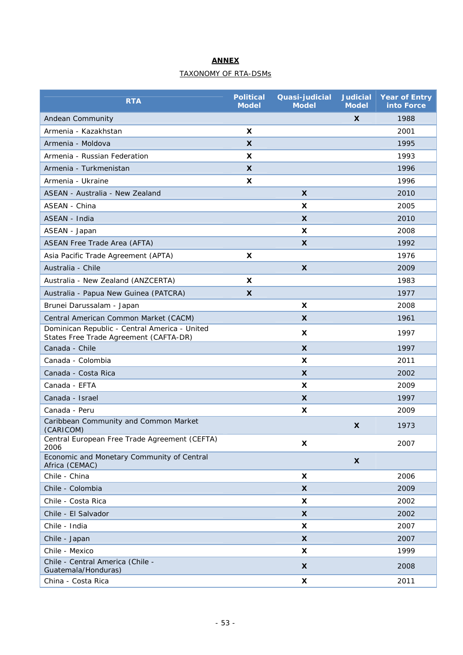# **ANNEX**

# TAXONOMY OF RTA-DSMs

| <b>RTA</b>                                                                              | <b>Political</b><br><b>Model</b> | Quasi-judicial<br><b>Model</b> | <b>Judicial</b><br><b>Model</b> | <b>Year of Entry</b><br>into Force |
|-----------------------------------------------------------------------------------------|----------------------------------|--------------------------------|---------------------------------|------------------------------------|
| Andean Community                                                                        |                                  |                                | X                               | 1988                               |
| Armenia - Kazakhstan                                                                    | X                                |                                |                                 | 2001                               |
| Armenia - Moldova                                                                       | X                                |                                |                                 | 1995                               |
| Armenia - Russian Federation                                                            | X                                |                                |                                 | 1993                               |
| Armenia - Turkmenistan                                                                  | X                                |                                |                                 | 1996                               |
| Armenia - Ukraine                                                                       | X                                |                                |                                 | 1996                               |
| ASEAN - Australia - New Zealand                                                         |                                  | $\mathbf{x}$                   |                                 | 2010                               |
| ASEAN - China                                                                           |                                  | $\boldsymbol{\mathsf{x}}$      |                                 | 2005                               |
| ASEAN - India                                                                           |                                  | $\boldsymbol{\mathsf{X}}$      |                                 | 2010                               |
| ASEAN - Japan                                                                           |                                  | X                              |                                 | 2008                               |
| <b>ASEAN Free Trade Area (AFTA)</b>                                                     |                                  | $\mathsf{x}$                   |                                 | 1992                               |
| Asia Pacific Trade Agreement (APTA)                                                     | X                                |                                |                                 | 1976                               |
| Australia - Chile                                                                       |                                  | $\boldsymbol{\mathsf{X}}$      |                                 | 2009                               |
| Australia - New Zealand (ANZCERTA)                                                      | X                                |                                |                                 | 1983                               |
| Australia - Papua New Guinea (PATCRA)                                                   | X                                |                                |                                 | 1977                               |
| Brunei Darussalam - Japan                                                               |                                  | X                              |                                 | 2008                               |
| Central American Common Market (CACM)                                                   |                                  | $\mathsf{x}$                   |                                 | 1961                               |
| Dominican Republic - Central America - United<br>States Free Trade Agreement (CAFTA-DR) |                                  | X                              |                                 | 1997                               |
| Canada - Chile                                                                          |                                  | $\boldsymbol{X}$               |                                 | 1997                               |
| Canada - Colombia                                                                       |                                  | $\boldsymbol{\mathsf{x}}$      |                                 | 2011                               |
| Canada - Costa Rica                                                                     |                                  | $\mathsf{x}$                   |                                 | 2002                               |
| Canada - EFTA                                                                           |                                  | X                              |                                 | 2009                               |
| Canada - Israel                                                                         |                                  | X                              |                                 | 1997                               |
| Canada - Peru                                                                           |                                  | X                              |                                 | 2009                               |
| Caribbean Community and Common Market<br>(CARICOM)                                      |                                  |                                | X                               | 1973                               |
| Central European Free Trade Agreement (CEFTA)<br>2006                                   |                                  | X                              |                                 | 2007                               |
| Economic and Monetary Community of Central<br>Africa (CEMAC)                            |                                  |                                | X                               |                                    |
| Chile - China                                                                           |                                  | X                              |                                 | 2006                               |
| Chile - Colombia                                                                        |                                  | X                              |                                 | 2009                               |
| Chile - Costa Rica                                                                      |                                  | $\pmb{\mathsf{X}}$             |                                 | 2002                               |
| Chile - El Salvador                                                                     |                                  | X                              |                                 | 2002                               |
| Chile - India                                                                           |                                  | $\pmb{\mathsf{X}}$             |                                 | 2007                               |
| Chile - Japan                                                                           |                                  | $\pmb{\mathsf{X}}$             |                                 | 2007                               |
| Chile - Mexico                                                                          |                                  | $\pmb{\mathsf{X}}$             |                                 | 1999                               |
| Chile - Central America (Chile -<br>Guatemala/Honduras)                                 |                                  | $\pmb{\mathsf{X}}$             |                                 | 2008                               |
| China - Costa Rica                                                                      |                                  | $\pmb{\mathsf{X}}$             |                                 | 2011                               |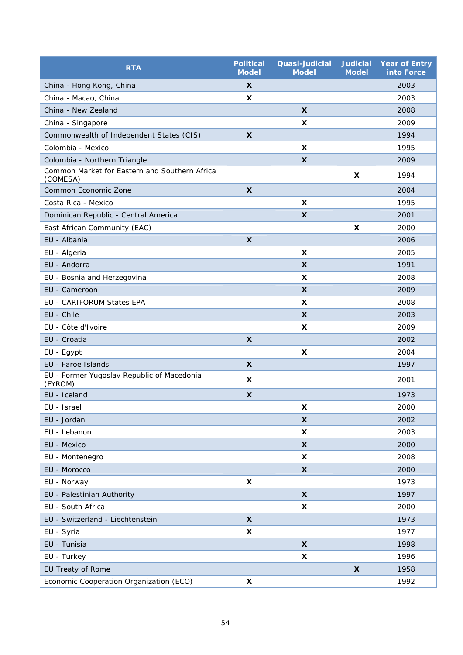| <b>RTA</b>                                                | <b>Political</b><br><b>Model</b> | Quasi-judicial<br><b>Model</b> | <b>Judicial</b><br><b>Model</b> | <b>Year of Entry</b><br>into Force |
|-----------------------------------------------------------|----------------------------------|--------------------------------|---------------------------------|------------------------------------|
| China - Hong Kong, China                                  | X                                |                                |                                 | 2003                               |
| China - Macao, China                                      | X                                |                                |                                 | 2003                               |
| China - New Zealand                                       |                                  | X                              |                                 | 2008                               |
| China - Singapore                                         |                                  | X                              |                                 | 2009                               |
| Commonwealth of Independent States (CIS)                  | X                                |                                |                                 | 1994                               |
| Colombia - Mexico                                         |                                  | X                              |                                 | 1995                               |
| Colombia - Northern Triangle                              |                                  | X                              |                                 | 2009                               |
| Common Market for Eastern and Southern Africa<br>(COMESA) |                                  |                                | X                               | 1994                               |
| Common Economic Zone                                      | $\boldsymbol{\mathsf{X}}$        |                                |                                 | 2004                               |
| Costa Rica - Mexico                                       |                                  | X                              |                                 | 1995                               |
| Dominican Republic - Central America                      |                                  | X                              |                                 | 2001                               |
| East African Community (EAC)                              |                                  |                                | $\boldsymbol{\mathsf{x}}$       | 2000                               |
| EU - Albania                                              | X                                |                                |                                 | 2006                               |
| EU - Algeria                                              |                                  | X                              |                                 | 2005                               |
| EU - Andorra                                              |                                  | $\boldsymbol{\mathsf{X}}$      |                                 | 1991                               |
| EU - Bosnia and Herzegovina                               |                                  | X                              |                                 | 2008                               |
| EU - Cameroon                                             |                                  | X                              |                                 | 2009                               |
| <b>EU - CARIFORUM States EPA</b>                          |                                  | X                              |                                 | 2008                               |
| EU - Chile                                                |                                  | X                              |                                 | 2003                               |
| EU - Côte d'Ivoire                                        |                                  | X                              |                                 | 2009                               |
| EU - Croatia                                              | $\boldsymbol{\mathsf{X}}$        |                                |                                 | 2002                               |
| EU - Egypt                                                |                                  | X                              |                                 | 2004                               |
| EU - Faroe Islands                                        | X                                |                                |                                 | 1997                               |
| EU - Former Yugoslav Republic of Macedonia<br>(FYROM)     | X                                |                                |                                 | 2001                               |
| EU - Iceland                                              | X                                |                                |                                 | 1973                               |
| EU - Israel                                               |                                  | X                              |                                 | 2000                               |
| EU - Jordan                                               |                                  | X                              |                                 | 2002                               |
| EU - Lebanon                                              |                                  | X                              |                                 | 2003                               |
| EU - Mexico                                               |                                  | $\pmb{\mathsf{X}}$             |                                 | 2000                               |
| EU - Montenegro                                           |                                  | X                              |                                 | 2008                               |
| EU - Morocco                                              |                                  | $\pmb{\mathsf{X}}$             |                                 | 2000                               |
| EU - Norway                                               | X                                |                                |                                 | 1973                               |
| EU - Palestinian Authority                                |                                  | $\pmb{\mathsf{X}}$             |                                 | 1997                               |
| EU - South Africa                                         |                                  | X                              |                                 | 2000                               |
| EU - Switzerland - Liechtenstein                          | $\pmb{\mathsf{X}}$               |                                |                                 | 1973                               |
| EU - Syria                                                | X                                |                                |                                 | 1977                               |
| EU - Tunisia                                              |                                  | X                              |                                 | 1998                               |
| EU - Turkey                                               |                                  | $\pmb{\mathsf{X}}$             |                                 | 1996                               |
| EU Treaty of Rome                                         |                                  |                                | $\pmb{\mathsf{X}}$              | 1958                               |
| Economic Cooperation Organization (ECO)                   | X                                |                                |                                 | 1992                               |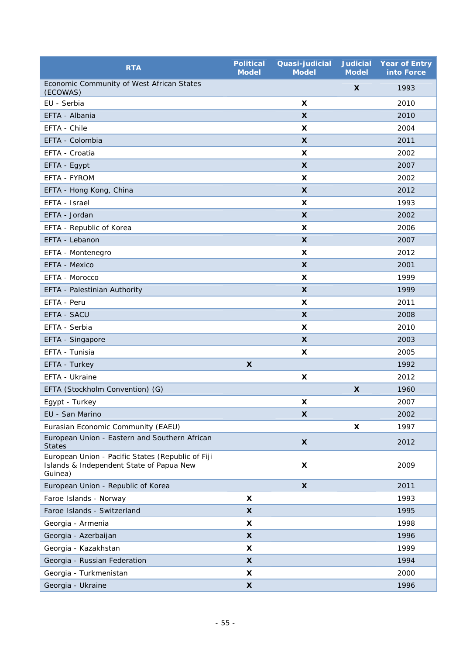| <b>RTA</b>                                                                                               | <b>Political</b><br><b>Model</b> | Quasi-judicial<br><b>Model</b> | <b>Judicial</b><br><b>Model</b> | <b>Year of Entry</b><br>into Force |
|----------------------------------------------------------------------------------------------------------|----------------------------------|--------------------------------|---------------------------------|------------------------------------|
| Economic Community of West African States<br>(ECOWAS)                                                    |                                  |                                | $\boldsymbol{X}$                | 1993                               |
| EU - Serbia                                                                                              |                                  | X                              |                                 | 2010                               |
| EFTA - Albania                                                                                           |                                  | $\boldsymbol{\mathsf{X}}$      |                                 | 2010                               |
| EFTA - Chile                                                                                             |                                  | X                              |                                 | 2004                               |
| EFTA - Colombia                                                                                          |                                  | X                              |                                 | 2011                               |
| EFTA - Croatia                                                                                           |                                  | X                              |                                 | 2002                               |
| EFTA - Egypt                                                                                             |                                  | X                              |                                 | 2007                               |
| <b>EFTA - FYROM</b>                                                                                      |                                  | X                              |                                 | 2002                               |
| EFTA - Hong Kong, China                                                                                  |                                  | $\boldsymbol{\mathsf{X}}$      |                                 | 2012                               |
| EFTA - Israel                                                                                            |                                  | X                              |                                 | 1993                               |
| EFTA - Jordan                                                                                            |                                  | X                              |                                 | 2002                               |
| EFTA - Republic of Korea                                                                                 |                                  | X                              |                                 | 2006                               |
| EFTA - Lebanon                                                                                           |                                  | X                              |                                 | 2007                               |
| EFTA - Montenegro                                                                                        |                                  | X                              |                                 | 2012                               |
| <b>EFTA - Mexico</b>                                                                                     |                                  | $\boldsymbol{\mathsf{X}}$      |                                 | 2001                               |
| EFTA - Morocco                                                                                           |                                  | X                              |                                 | 1999                               |
| EFTA - Palestinian Authority                                                                             |                                  | X                              |                                 | 1999                               |
| EFTA - Peru                                                                                              |                                  | X                              |                                 | 2011                               |
| <b>EFTA - SACU</b>                                                                                       |                                  | X                              |                                 | 2008                               |
| EFTA - Serbia                                                                                            |                                  | X                              |                                 | 2010                               |
| EFTA - Singapore                                                                                         |                                  | $\boldsymbol{\mathsf{X}}$      |                                 | 2003                               |
| EFTA - Tunisia                                                                                           |                                  | X                              |                                 | 2005                               |
| EFTA - Turkey                                                                                            | X                                |                                |                                 | 1992                               |
| EFTA - Ukraine                                                                                           |                                  | X                              |                                 | 2012                               |
| EFTA (Stockholm Convention) (G)                                                                          |                                  |                                | X                               | 1960                               |
| Egypt - Turkey                                                                                           |                                  | X                              |                                 | 2007                               |
| EU - San Marino                                                                                          |                                  | X                              |                                 | 2002                               |
| Eurasian Economic Community (EAEU)                                                                       |                                  |                                | X                               | 1997                               |
| European Union - Eastern and Southern African<br><b>States</b>                                           |                                  | X                              |                                 | 2012                               |
| European Union - Pacific States (Republic of Fiji<br>Islands & Independent State of Papua New<br>Guinea) |                                  | X                              |                                 | 2009                               |
| European Union - Republic of Korea                                                                       |                                  | $\pmb{\mathsf{X}}$             |                                 | 2011                               |
| Faroe Islands - Norway                                                                                   | X                                |                                |                                 | 1993                               |
| Faroe Islands - Switzerland                                                                              | X                                |                                |                                 | 1995                               |
| Georgia - Armenia                                                                                        | X                                |                                |                                 | 1998                               |
| Georgia - Azerbaijan                                                                                     | $\boldsymbol{\mathsf{X}}$        |                                |                                 | 1996                               |
| Georgia - Kazakhstan                                                                                     | X                                |                                |                                 | 1999                               |
| Georgia - Russian Federation                                                                             | $\pmb{\mathsf{X}}$               |                                |                                 | 1994                               |
| Georgia - Turkmenistan                                                                                   | X                                |                                |                                 | 2000                               |
| Georgia - Ukraine                                                                                        | $\pmb{\mathsf{X}}$               |                                |                                 | 1996                               |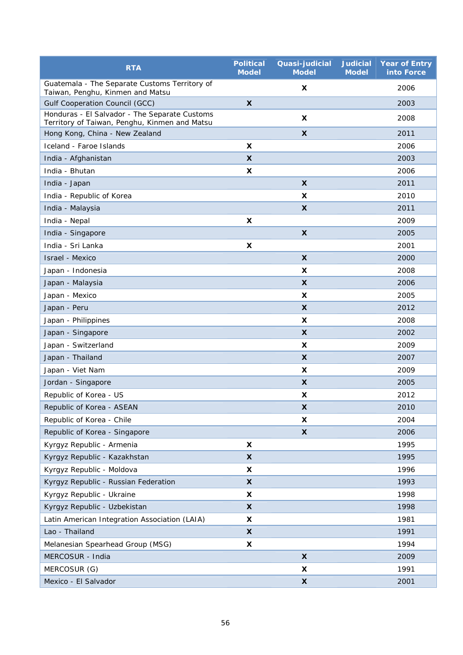| <b>RTA</b>                                                                                     | <b>Political</b><br><b>Model</b> | Quasi-judicial<br><b>Model</b> | <b>Judicial</b><br><b>Model</b> | <b>Year of Entry</b><br>into Force |
|------------------------------------------------------------------------------------------------|----------------------------------|--------------------------------|---------------------------------|------------------------------------|
| Guatemala - The Separate Customs Territory of<br>Taiwan, Penghu, Kinmen and Matsu              |                                  | X                              |                                 | 2006                               |
| Gulf Cooperation Council (GCC)                                                                 | $\boldsymbol{\mathsf{X}}$        |                                |                                 | 2003                               |
| Honduras - El Salvador - The Separate Customs<br>Territory of Taiwan, Penghu, Kinmen and Matsu |                                  | X                              |                                 | 2008                               |
| Hong Kong, China - New Zealand                                                                 |                                  | X                              |                                 | 2011                               |
| Iceland - Faroe Islands                                                                        | X                                |                                |                                 | 2006                               |
| India - Afghanistan                                                                            | X                                |                                |                                 | 2003                               |
| India - Bhutan                                                                                 | X                                |                                |                                 | 2006                               |
| India - Japan                                                                                  |                                  | X                              |                                 | 2011                               |
| India - Republic of Korea                                                                      |                                  | X                              |                                 | 2010                               |
| India - Malaysia                                                                               |                                  | X                              |                                 | 2011                               |
| India - Nepal                                                                                  | X                                |                                |                                 | 2009                               |
| India - Singapore                                                                              |                                  | $\boldsymbol{X}$               |                                 | 2005                               |
| India - Sri Lanka                                                                              | X                                |                                |                                 | 2001                               |
| Israel - Mexico                                                                                |                                  | X                              |                                 | 2000                               |
| Japan - Indonesia                                                                              |                                  | X                              |                                 | 2008                               |
| Japan - Malaysia                                                                               |                                  | X                              |                                 | 2006                               |
| Japan - Mexico                                                                                 |                                  | X                              |                                 | 2005                               |
| Japan - Peru                                                                                   |                                  | $\boldsymbol{\mathsf{X}}$      |                                 | 2012                               |
| Japan - Philippines                                                                            |                                  | X                              |                                 | 2008                               |
| Japan - Singapore                                                                              |                                  | X                              |                                 | 2002                               |
| Japan - Switzerland                                                                            |                                  | X                              |                                 | 2009                               |
| Japan - Thailand                                                                               |                                  | X                              |                                 | 2007                               |
| Japan - Viet Nam                                                                               |                                  | X                              |                                 | 2009                               |
| Jordan - Singapore                                                                             |                                  | X                              |                                 | 2005                               |
| Republic of Korea - US                                                                         |                                  | X                              |                                 | 2012                               |
| Republic of Korea - ASEAN                                                                      |                                  | X                              |                                 | 2010                               |
| Republic of Korea - Chile                                                                      |                                  | X                              |                                 | 2004                               |
| Republic of Korea - Singapore                                                                  |                                  | X                              |                                 | 2006                               |
| Kyrgyz Republic - Armenia                                                                      | X                                |                                |                                 | 1995                               |
| Kyrgyz Republic - Kazakhstan                                                                   | $\boldsymbol{\mathsf{X}}$        |                                |                                 | 1995                               |
| Kyrgyz Republic - Moldova                                                                      | X                                |                                |                                 | 1996                               |
| Kyrgyz Republic - Russian Federation                                                           | $\boldsymbol{\mathsf{X}}$        |                                |                                 | 1993                               |
| Kyrgyz Republic - Ukraine                                                                      | X                                |                                |                                 | 1998                               |
| Kyrgyz Republic - Uzbekistan                                                                   | X                                |                                |                                 | 1998                               |
| Latin American Integration Association (LAIA)                                                  | X                                |                                |                                 | 1981                               |
| Lao - Thailand                                                                                 | $\boldsymbol{\mathsf{X}}$        |                                |                                 | 1991                               |
| Melanesian Spearhead Group (MSG)                                                               | X                                |                                |                                 | 1994                               |
| MERCOSUR - India                                                                               |                                  | X                              |                                 | 2009                               |
| MERCOSUR (G)                                                                                   |                                  | $\pmb{\mathsf{X}}$             |                                 | 1991                               |
| Mexico - El Salvador                                                                           |                                  | $\pmb{\mathsf{X}}$             |                                 | 2001                               |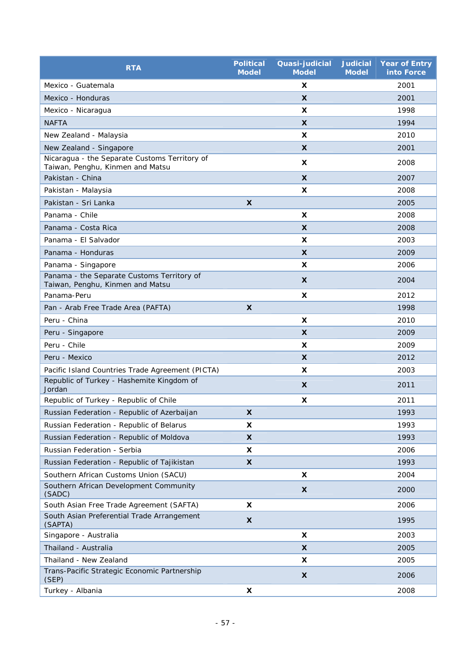| <b>RTA</b>                                                                        | <b>Political</b><br><b>Model</b> | Quasi-judicial<br><b>Model</b> | <b>Judicial</b><br><b>Model</b> | <b>Year of Entry</b><br>into Force |
|-----------------------------------------------------------------------------------|----------------------------------|--------------------------------|---------------------------------|------------------------------------|
| Mexico - Guatemala                                                                |                                  | X                              |                                 | 2001                               |
| Mexico - Honduras                                                                 |                                  | X                              |                                 | 2001                               |
| Mexico - Nicaragua                                                                |                                  | X                              |                                 | 1998                               |
| NAFTA                                                                             |                                  | X                              |                                 | 1994                               |
| New Zealand - Malaysia                                                            |                                  | X                              |                                 | 2010                               |
| New Zealand - Singapore                                                           |                                  | X                              |                                 | 2001                               |
| Nicaragua - the Separate Customs Territory of<br>Taiwan, Penghu, Kinmen and Matsu |                                  | X                              |                                 | 2008                               |
| Pakistan - China                                                                  |                                  | X                              |                                 | 2007                               |
| Pakistan - Malaysia                                                               |                                  | X                              |                                 | 2008                               |
| Pakistan - Sri Lanka                                                              | $\mathsf{x}$                     |                                |                                 | 2005                               |
| Panama - Chile                                                                    |                                  | X                              |                                 | 2008                               |
| Panama - Costa Rica                                                               |                                  | $\boldsymbol{\mathsf{X}}$      |                                 | 2008                               |
| Panama - El Salvador                                                              |                                  | X                              |                                 | 2003                               |
| Panama - Honduras                                                                 |                                  | X                              |                                 | 2009                               |
| Panama - Singapore                                                                |                                  | X                              |                                 | 2006                               |
| Panama - the Separate Customs Territory of<br>Taiwan, Penghu, Kinmen and Matsu    |                                  | X                              |                                 | 2004                               |
| Panama-Peru                                                                       |                                  | X                              |                                 | 2012                               |
| Pan - Arab Free Trade Area (PAFTA)                                                | X                                |                                |                                 | 1998                               |
| Peru - China                                                                      |                                  | X                              |                                 | 2010                               |
| Peru - Singapore                                                                  |                                  | X                              |                                 | 2009                               |
| Peru - Chile                                                                      |                                  | X                              |                                 | 2009                               |
| Peru - Mexico                                                                     |                                  | X                              |                                 | 2012                               |
| Pacific Island Countries Trade Agreement (PICTA)                                  |                                  | X                              |                                 | 2003                               |
| Republic of Turkey - Hashemite Kingdom of<br>Jordan                               |                                  | X                              |                                 | 2011                               |
| Republic of Turkey - Republic of Chile                                            |                                  | X                              |                                 | 2011                               |
| Russian Federation - Republic of Azerbaijan                                       | X                                |                                |                                 | 1993                               |
| Russian Federation - Republic of Belarus                                          | X                                |                                |                                 | 1993                               |
| Russian Federation - Republic of Moldova                                          | $\pmb{\mathsf{X}}$               |                                |                                 | 1993                               |
| Russian Federation - Serbia                                                       | X                                |                                |                                 | 2006                               |
| Russian Federation - Republic of Tajikistan                                       | X                                |                                |                                 | 1993                               |
| Southern African Customs Union (SACU)                                             |                                  | X                              |                                 | 2004                               |
| Southern African Development Community<br>(SADC)                                  |                                  | X                              |                                 | 2000                               |
| South Asian Free Trade Agreement (SAFTA)                                          | X                                |                                |                                 | 2006                               |
| South Asian Preferential Trade Arrangement<br>(SAPTA)                             | X                                |                                |                                 | 1995                               |
| Singapore - Australia                                                             |                                  | X                              |                                 | 2003                               |
| Thailand - Australia                                                              |                                  | $\pmb{\mathsf{x}}$             |                                 | 2005                               |
| Thailand - New Zealand                                                            |                                  | X                              |                                 | 2005                               |
| Trans-Pacific Strategic Economic Partnership<br>(SEP)                             |                                  | $\pmb{\mathsf{X}}$             |                                 | 2006                               |
| Turkey - Albania                                                                  | X                                |                                |                                 | 2008                               |